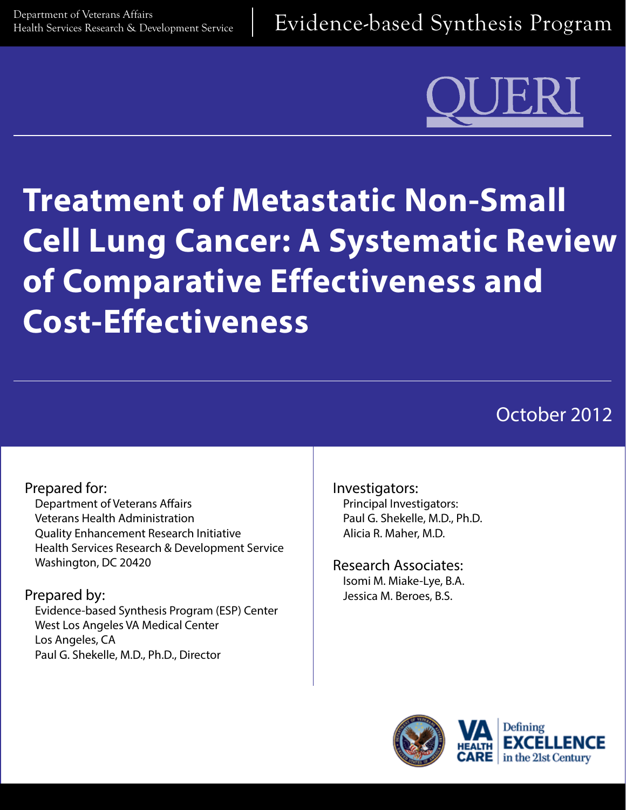

# **Treatment of Metastatic Non-Small Cell Lung Cancer: A Systematic Review of Comparative Effectiveness and Cost-Effectiveness**

October 2012

#### Prepared for:

Department of Veterans Affairs Veterans Health Administration Quality Enhancement Research Initiative Health Services Research & Development Service Washington, DC 20420

#### Prepared by:

Evidence-based Synthesis Program (ESP) Center West Los Angeles VA Medical Center Los Angeles, CA Paul G. Shekelle, M.D., Ph.D., Director

#### Investigators:

Principal Investigators: Paul G. Shekelle, M.D., Ph.D. Alicia R. Maher, M.D.

#### Research Associates: Isomi M. Miake-Lye, B.A. Jessica M. Beroes, B.S.

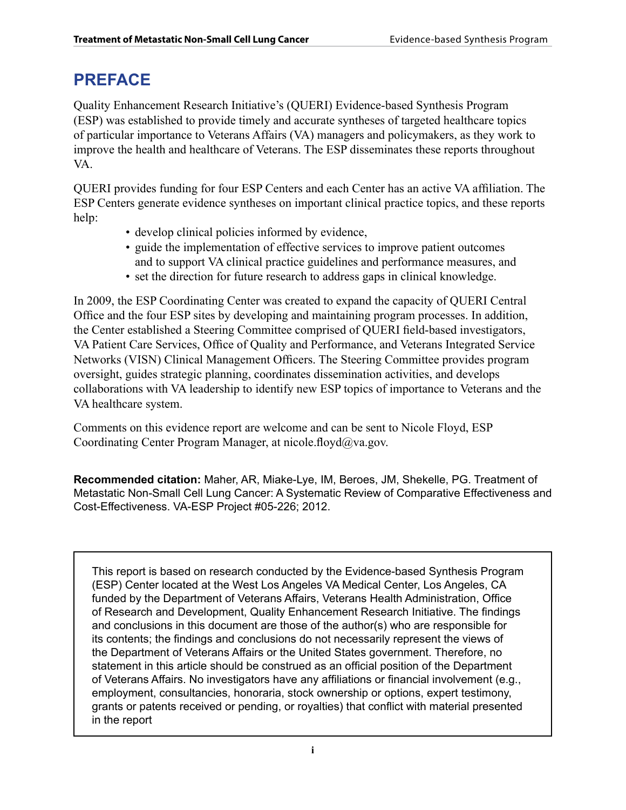# **PREFACE**

Quality Enhancement Research Initiative's (QUERI) Evidence-based Synthesis Program (ESP) was established to provide timely and accurate syntheses of targeted healthcare topics of particular importance to Veterans Affairs (VA) managers and policymakers, as they work to improve the health and healthcare of Veterans. The ESP disseminates these reports throughout VA.

QUERI provides funding for four ESP Centers and each Center has an active VA affiliation. The ESP Centers generate evidence syntheses on important clinical practice topics, and these reports help:

- develop clinical policies informed by evidence,
- guide the implementation of effective services to improve patient outcomes and to support VA clinical practice guidelines and performance measures, and
- set the direction for future research to address gaps in clinical knowledge.

In 2009, the ESP Coordinating Center was created to expand the capacity of QUERI Central Office and the four ESP sites by developing and maintaining program processes. In addition, the Center established a Steering Committee comprised of QUERI field-based investigators, VA Patient Care Services, Office of Quality and Performance, and Veterans Integrated Service Networks (VISN) Clinical Management Officers. The Steering Committee provides program oversight, guides strategic planning, coordinates dissemination activities, and develops collaborations with VA leadership to identify new ESP topics of importance to Veterans and the VA healthcare system.

Comments on this evidence report are welcome and can be sent to Nicole Floyd, ESP Coordinating Center Program Manager, at nicole.floyd $\omega$ va.gov.

**Recommended citation:** Maher, AR, Miake-Lye, IM, Beroes, JM, Shekelle, PG. Treatment of Metastatic Non-Small Cell Lung Cancer: A Systematic Review of Comparative Effectiveness and Cost-Effectiveness. VA-ESP Project #05-226; 2012.

This report is based on research conducted by the Evidence-based Synthesis Program (ESP) Center located at the West Los Angeles VA Medical Center, Los Angeles, CA funded by the Department of Veterans Affairs, Veterans Health Administration, Office of Research and Development, Quality Enhancement Research Initiative. The findings and conclusions in this document are those of the author(s) who are responsible for its contents; the findings and conclusions do not necessarily represent the views of the Department of Veterans Affairs or the United States government. Therefore, no statement in this article should be construed as an official position of the Department of Veterans Affairs. No investigators have any affiliations or financial involvement (e.g., employment, consultancies, honoraria, stock ownership or options, expert testimony, grants or patents received or pending, or royalties) that conflict with material presented in the report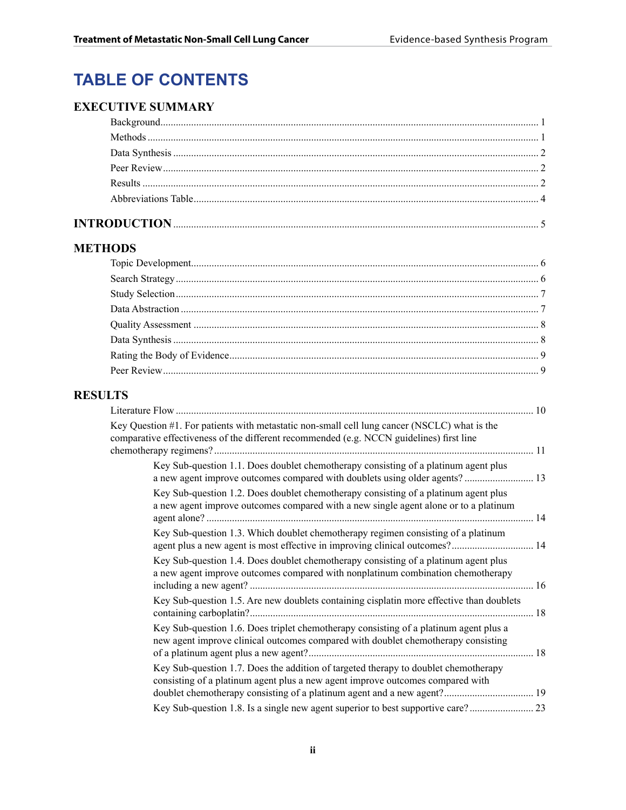# **TABLE OF CONTENTS**

#### **EXECUTIVE SUMMARY**

#### **METHODS**

#### **RESULTS**

| Key Question #1. For patients with metastatic non-small cell lung cancer (NSCLC) what is the<br>comparative effectiveness of the different recommended (e.g. NCCN guidelines) first line |  |
|------------------------------------------------------------------------------------------------------------------------------------------------------------------------------------------|--|
| Key Sub-question 1.1. Does doublet chemotherapy consisting of a platinum agent plus                                                                                                      |  |
| Key Sub-question 1.2. Does doublet chemotherapy consisting of a platinum agent plus<br>a new agent improve outcomes compared with a new single agent alone or to a platinum              |  |
| Key Sub-question 1.3. Which doublet chemotherapy regimen consisting of a platinum                                                                                                        |  |
| Key Sub-question 1.4. Does doublet chemotherapy consisting of a platinum agent plus<br>a new agent improve outcomes compared with nonplatinum combination chemotherapy                   |  |
| Key Sub-question 1.5. Are new doublets containing cisplatin more effective than doublets                                                                                                 |  |
| Key Sub-question 1.6. Does triplet chemotherapy consisting of a platinum agent plus a<br>new agent improve clinical outcomes compared with doublet chemotherapy consisting               |  |
| Key Sub-question 1.7. Does the addition of targeted therapy to doublet chemotherapy<br>consisting of a platinum agent plus a new agent improve outcomes compared with                    |  |
|                                                                                                                                                                                          |  |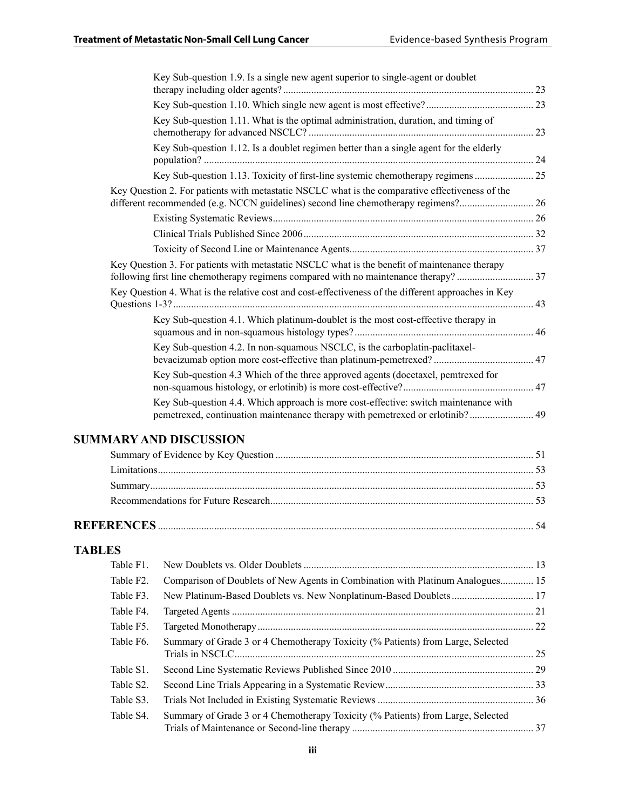|               |                        | Key Sub-question 1.9. Is a single new agent superior to single-agent or doublet                                                                                       |  |
|---------------|------------------------|-----------------------------------------------------------------------------------------------------------------------------------------------------------------------|--|
|               |                        |                                                                                                                                                                       |  |
|               |                        | Key Sub-question 1.11. What is the optimal administration, duration, and timing of                                                                                    |  |
|               |                        |                                                                                                                                                                       |  |
|               |                        | Key Sub-question 1.12. Is a doublet regimen better than a single agent for the elderly                                                                                |  |
|               |                        |                                                                                                                                                                       |  |
|               |                        | Key Question 2. For patients with metastatic NSCLC what is the comparative effectiveness of the                                                                       |  |
|               |                        |                                                                                                                                                                       |  |
|               |                        |                                                                                                                                                                       |  |
|               |                        |                                                                                                                                                                       |  |
|               |                        | Key Question 3. For patients with metastatic NSCLC what is the benefit of maintenance therapy                                                                         |  |
|               |                        | Key Question 4. What is the relative cost and cost-effectiveness of the different approaches in Key                                                                   |  |
|               |                        | Key Sub-question 4.1. Which platinum-doublet is the most cost-effective therapy in                                                                                    |  |
|               |                        | Key Sub-question 4.2. In non-squamous NSCLC, is the carboplatin-paclitaxel-                                                                                           |  |
|               |                        | Key Sub-question 4.3 Which of the three approved agents (docetaxel, pemtrexed for                                                                                     |  |
|               |                        | Key Sub-question 4.4. Which approach is more cost-effective: switch maintenance with<br>pemetrexed, continuation maintenance therapy with pemetrexed or erlotinib? 49 |  |
|               |                        | <b>SUMMARY AND DISCUSSION</b>                                                                                                                                         |  |
|               |                        |                                                                                                                                                                       |  |
|               |                        |                                                                                                                                                                       |  |
|               |                        |                                                                                                                                                                       |  |
|               |                        |                                                                                                                                                                       |  |
|               |                        |                                                                                                                                                                       |  |
| <b>TABLES</b> |                        |                                                                                                                                                                       |  |
|               | Table F1.              |                                                                                                                                                                       |  |
|               | Table F <sub>2</sub> . | Comparison of Doublets of New Agents in Combination with Platinum Analogues 15                                                                                        |  |
|               | Table F3.              |                                                                                                                                                                       |  |
|               | Table F4.              |                                                                                                                                                                       |  |
|               | Table F5.              |                                                                                                                                                                       |  |
|               | Table F6.              | Summary of Grade 3 or 4 Chemotherapy Toxicity (% Patients) from Large, Selected                                                                                       |  |
|               | Table S1.              |                                                                                                                                                                       |  |
|               | Table S2.              |                                                                                                                                                                       |  |
|               | Table S3.              |                                                                                                                                                                       |  |
|               | Table S4.              | Summary of Grade 3 or 4 Chemotherapy Toxicity (% Patients) from Large, Selected                                                                                       |  |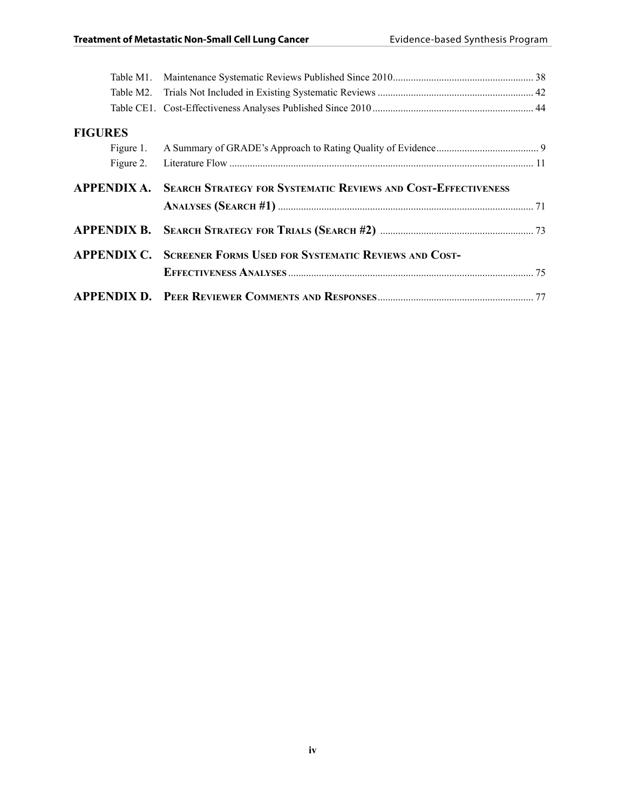| <b>FIGURES</b> |                                                                           |  |
|----------------|---------------------------------------------------------------------------|--|
|                |                                                                           |  |
|                |                                                                           |  |
|                | APPENDIX A. SEARCH STRATEGY FOR SYSTEMATIC REVIEWS AND COST-EFFECTIVENESS |  |
|                |                                                                           |  |
|                |                                                                           |  |
|                | <b>APPENDIX C. SCREENER FORMS USED FOR SYSTEMATIC REVIEWS AND COST-</b>   |  |
|                |                                                                           |  |
|                |                                                                           |  |
|                |                                                                           |  |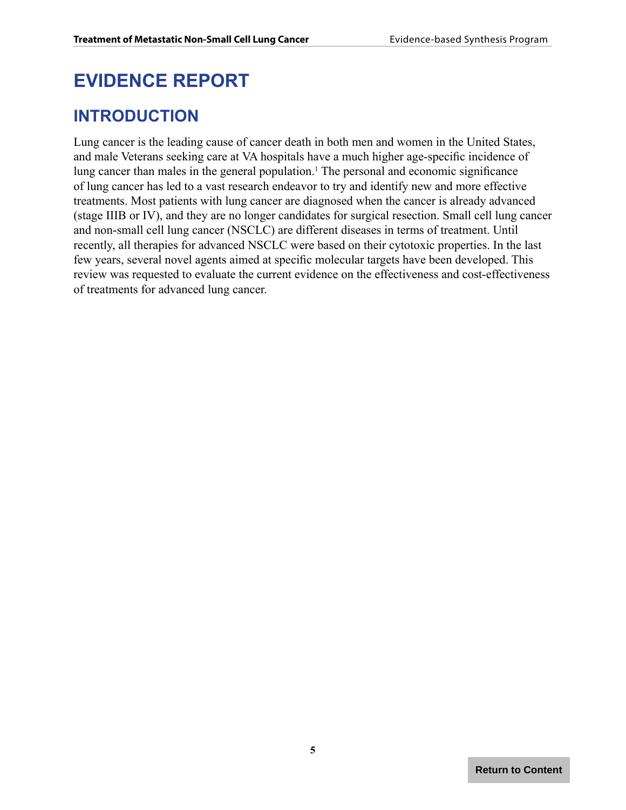# <span id="page-5-0"></span>**EVIDENCE REPORT**

# **INTRODUCTION**

Lung cancer is the leading cause of cancer death in both men and women in the United States, and male Veterans seeking care at VA hospitals have a much higher age-specific incidence of lung cancer than males in the general population.<sup>1</sup> The personal and economic significance of lung cancer has led to a vast research endeavor to try and identify new and more effective treatments. Most patients with lung cancer are diagnosed when the cancer is already advanced (stage IIIB or IV), and they are no longer candidates for surgical resection. Small cell lung cancer and non-small cell lung cancer (NSCLC) are different diseases in terms of treatment. Until recently, all therapies for advanced NSCLC were based on their cytotoxic properties. In the last few years, several novel agents aimed at specific molecular targets have been developed. This review was requested to evaluate the current evidence on the effectiveness and cost-effectiveness of treatments for advanced lung cancer.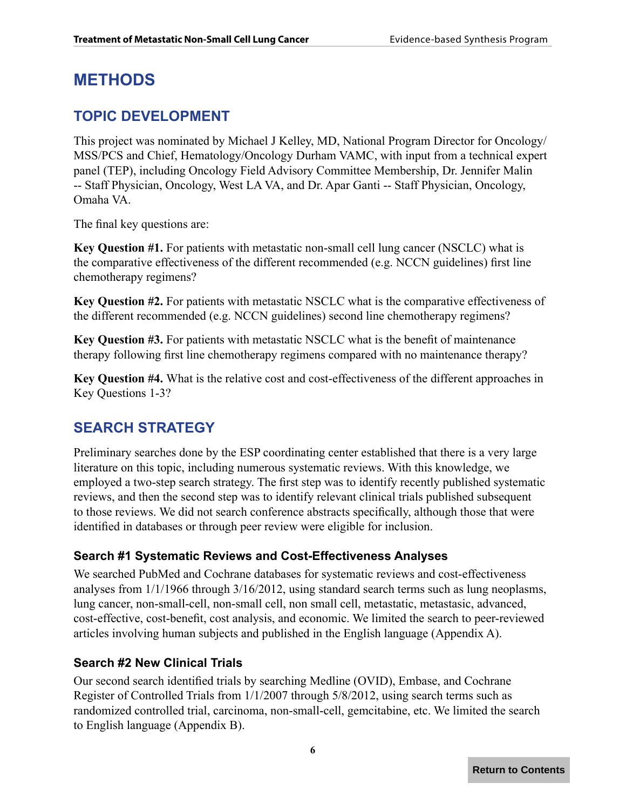# <span id="page-6-0"></span>**METHODS**

# **TOPIC DEVELOPMENT**

This project was nominated by Michael J Kelley, MD, National Program Director for Oncology/ MSS/PCS and Chief, Hematology/Oncology Durham VAMC, with input from a technical expert panel (TEP), including Oncology Field Advisory Committee Membership, Dr. Jennifer Malin -- Staff Physician, Oncology, West LA VA, and Dr. Apar Ganti -- Staff Physician, Oncology, Omaha VA.

The final key questions are:

**Key Question #1.** For patients with metastatic non-small cell lung cancer (NSCLC) what is the comparative effectiveness of the different recommended (e.g. NCCN guidelines) first line chemotherapy regimens?

**Key Question #2.** For patients with metastatic NSCLC what is the comparative effectiveness of the different recommended (e.g. NCCN guidelines) second line chemotherapy regimens?

**Key Question #3.** For patients with metastatic NSCLC what is the benefit of maintenance therapy following first line chemotherapy regimens compared with no maintenance therapy?

**Key Question #4.** What is the relative cost and cost-effectiveness of the different approaches in Key Questions 1-3?

# **SEARCH STRATEGY**

Preliminary searches done by the ESP coordinating center established that there is a very large literature on this topic, including numerous systematic reviews. With this knowledge, we employed a two-step search strategy. The first step was to identify recently published systematic reviews, and then the second step was to identify relevant clinical trials published subsequent to those reviews. We did not search conference abstracts specifically, although those that were identified in databases or through peer review were eligible for inclusion.

#### **Search #1 Systematic Reviews and Cost-Effectiveness Analyses**

We searched PubMed and Cochrane databases for systematic reviews and cost-effectiveness analyses from 1/1/1966 through 3/16/2012, using standard search terms such as lung neoplasms, lung cancer, non-small-cell, non-small cell, non small cell, metastatic, metastasic, advanced, cost-effective, cost-benefit, cost analysis, and economic. We limited the search to peer-reviewed articles involving human subjects and published in the English language (Appendix A).

#### **Search #2 New Clinical Trials**

Our second search identified trials by searching Medline (OVID), Embase, and Cochrane Register of Controlled Trials from 1/1/2007 through 5/8/2012, using search terms such as randomized controlled trial, carcinoma, non-small-cell, gemcitabine, etc. We limited the search to English language (Appendix B).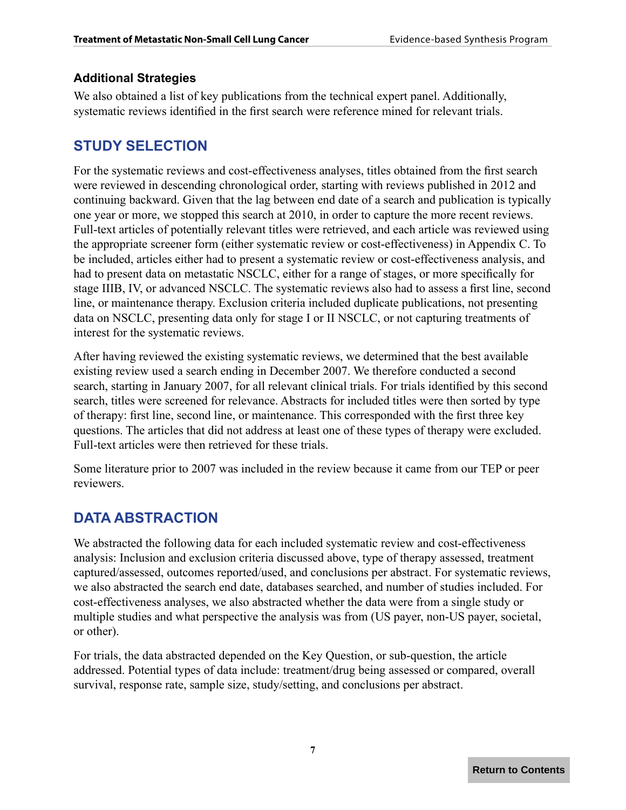#### <span id="page-7-0"></span>**Additional Strategies**

We also obtained a list of key publications from the technical expert panel. Additionally, systematic reviews identified in the first search were reference mined for relevant trials.

# **STUDY SELECTION**

For the systematic reviews and cost-effectiveness analyses, titles obtained from the first search were reviewed in descending chronological order, starting with reviews published in 2012 and continuing backward. Given that the lag between end date of a search and publication is typically one year or more, we stopped this search at 2010, in order to capture the more recent reviews. Full-text articles of potentially relevant titles were retrieved, and each article was reviewed using the appropriate screener form (either systematic review or cost-effectiveness) in Appendix C. To be included, articles either had to present a systematic review or cost-effectiveness analysis, and had to present data on metastatic NSCLC, either for a range of stages, or more specifically for stage IIIB, IV, or advanced NSCLC. The systematic reviews also had to assess a first line, second line, or maintenance therapy. Exclusion criteria included duplicate publications, not presenting data on NSCLC, presenting data only for stage I or II NSCLC, or not capturing treatments of interest for the systematic reviews.

After having reviewed the existing systematic reviews, we determined that the best available existing review used a search ending in December 2007. We therefore conducted a second search, starting in January 2007, for all relevant clinical trials. For trials identified by this second search, titles were screened for relevance. Abstracts for included titles were then sorted by type of therapy: first line, second line, or maintenance. This corresponded with the first three key questions. The articles that did not address at least one of these types of therapy were excluded. Full-text articles were then retrieved for these trials.

Some literature prior to 2007 was included in the review because it came from our TEP or peer reviewers.

# **DATA ABSTRACTION**

We abstracted the following data for each included systematic review and cost-effectiveness analysis: Inclusion and exclusion criteria discussed above, type of therapy assessed, treatment captured/assessed, outcomes reported/used, and conclusions per abstract. For systematic reviews, we also abstracted the search end date, databases searched, and number of studies included. For cost-effectiveness analyses, we also abstracted whether the data were from a single study or multiple studies and what perspective the analysis was from (US payer, non-US payer, societal, or other).

For trials, the data abstracted depended on the Key Question, or sub-question, the article addressed. Potential types of data include: treatment/drug being assessed or compared, overall survival, response rate, sample size, study/setting, and conclusions per abstract.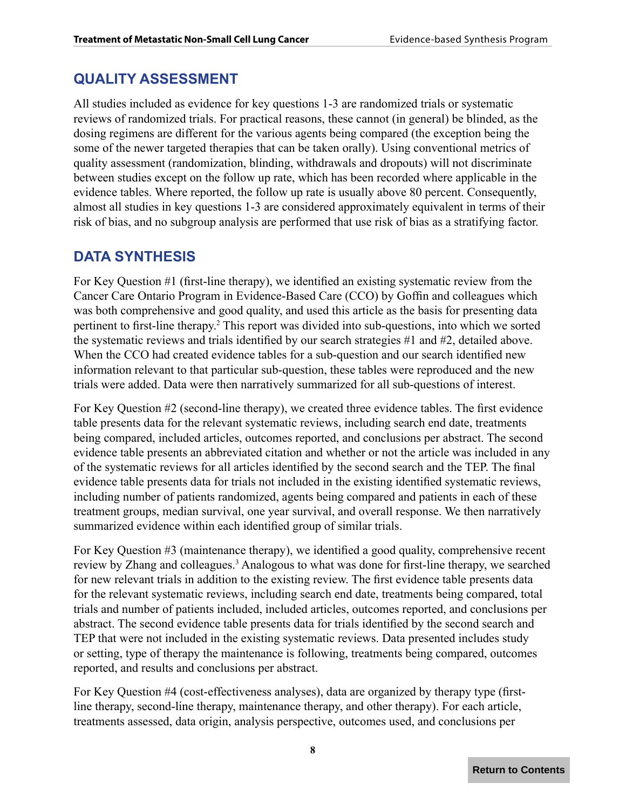## <span id="page-8-0"></span>**QUALITY ASSESSMENT**

All studies included as evidence for key questions 1-3 are randomized trials or systematic reviews of randomized trials. For practical reasons, these cannot (in general) be blinded, as the dosing regimens are different for the various agents being compared (the exception being the some of the newer targeted therapies that can be taken orally). Using conventional metrics of quality assessment (randomization, blinding, withdrawals and dropouts) will not discriminate between studies except on the follow up rate, which has been recorded where applicable in the evidence tables. Where reported, the follow up rate is usually above 80 percent. Consequently, almost all studies in key questions 1-3 are considered approximately equivalent in terms of their risk of bias, and no subgroup analysis are performed that use risk of bias as a stratifying factor.

## **DATA SYNTHESIS**

For Key Question #1 (first-line therapy), we identified an existing systematic review from the Cancer Care Ontario Program in Evidence-Based Care (CCO) by Goffin and colleagues which was both comprehensive and good quality, and used this article as the basis for presenting data pertinent to first-line therapy.<sup>2</sup> This report was divided into sub-questions, into which we sorted the systematic reviews and trials identified by our search strategies #1 and #2, detailed above. When the CCO had created evidence tables for a sub-question and our search identified new information relevant to that particular sub-question, these tables were reproduced and the new trials were added. Data were then narratively summarized for all sub-questions of interest.

For Key Question #2 (second-line therapy), we created three evidence tables. The first evidence table presents data for the relevant systematic reviews, including search end date, treatments being compared, included articles, outcomes reported, and conclusions per abstract. The second evidence table presents an abbreviated citation and whether or not the article was included in any of the systematic reviews for all articles identified by the second search and the TEP. The final evidence table presents data for trials not included in the existing identified systematic reviews, including number of patients randomized, agents being compared and patients in each of these treatment groups, median survival, one year survival, and overall response. We then narratively summarized evidence within each identified group of similar trials.

For Key Question #3 (maintenance therapy), we identified a good quality, comprehensive recent review by Zhang and colleagues.<sup>3</sup> Analogous to what was done for first-line therapy, we searched for new relevant trials in addition to the existing review. The first evidence table presents data for the relevant systematic reviews, including search end date, treatments being compared, total trials and number of patients included, included articles, outcomes reported, and conclusions per abstract. The second evidence table presents data for trials identified by the second search and TEP that were not included in the existing systematic reviews. Data presented includes study or setting, type of therapy the maintenance is following, treatments being compared, outcomes reported, and results and conclusions per abstract.

For Key Question #4 (cost-effectiveness analyses), data are organized by therapy type (firstline therapy, second-line therapy, maintenance therapy, and other therapy). For each article, treatments assessed, data origin, analysis perspective, outcomes used, and conclusions per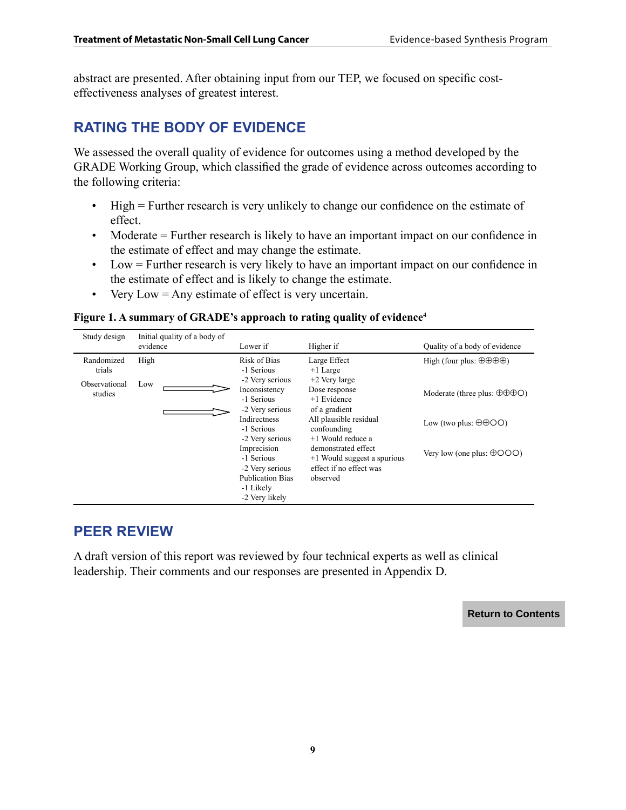<span id="page-9-0"></span>abstract are presented. After obtaining input from our TEP, we focused on specific costeffectiveness analyses of greatest interest.

# **RATING THE BODY OF EVIDENCE**

We assessed the overall quality of evidence for outcomes using a method developed by the GRADE Working Group, which classified the grade of evidence across outcomes according to the following criteria:

- High = Further research is very unlikely to change our confidence on the estimate of effect.
- Moderate = Further research is likely to have an important impact on our confidence in the estimate of effect and may change the estimate.
- Low = Further research is very likely to have an important impact on our confidence in the estimate of effect and is likely to change the estimate.
- Very Low = Any estimate of effect is very uncertain.

#### **Figure 1. A summary of GRADE's approach to rating quality of evidence4**

| Study design             | Initial quality of a body of<br>evidence | Lower if                                                                                               | Higher if                                                                                 | Quality of a body of evidence                        |
|--------------------------|------------------------------------------|--------------------------------------------------------------------------------------------------------|-------------------------------------------------------------------------------------------|------------------------------------------------------|
| Randomized<br>trials     | High                                     | Risk of Bias<br>-1 Serious                                                                             | Large Effect<br>$+1$ Large                                                                | High (four plus: $\oplus \oplus \oplus \oplus$ )     |
| Observational<br>studies | Low                                      | -2 Very serious<br>Inconsistency<br>-1 Serious<br>-2 Very serious                                      | $+2$ Very large<br>Dose response<br>+1 Evidence<br>of a gradient                          | Moderate (three plus: $\oplus \oplus \oplus \odot$ ) |
|                          |                                          | <b>Indirectness</b><br>-1 Serious<br>-2 Very serious                                                   | All plausible residual<br>confounding<br>+1 Would reduce a                                | Low (two plus: $\oplus \oplus \odot$ O)              |
|                          |                                          | Imprecision<br>-1 Serious<br>-2 Very serious<br><b>Publication Bias</b><br>-1 Likely<br>-2 Very likely | demonstrated effect<br>+1 Would suggest a spurious<br>effect if no effect was<br>observed | Very low (one plus: $\oplus$ OOO)                    |

#### **PEER REVIEW**

A draft version of this report was reviewed by four technical experts as well as clinical leadership. Their comments and our responses are presented in Appendix D.

**Return to Contents**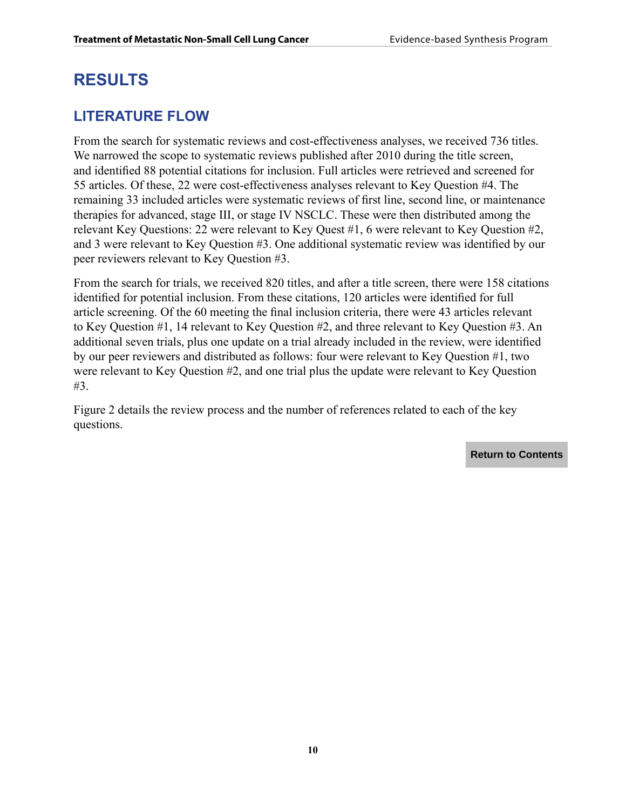# <span id="page-10-0"></span>**RESULTS**

# **LITERATURE FLOW**

From the search for systematic reviews and cost-effectiveness analyses, we received 736 titles. We narrowed the scope to systematic reviews published after 2010 during the title screen, and identified 88 potential citations for inclusion. Full articles were retrieved and screened for 55 articles. Of these, 22 were cost-effectiveness analyses relevant to Key Question #4. The remaining 33 included articles were systematic reviews of first line, second line, or maintenance therapies for advanced, stage III, or stage IV NSCLC. These were then distributed among the relevant Key Questions: 22 were relevant to Key Quest #1, 6 were relevant to Key Question #2, and 3 were relevant to Key Question #3. One additional systematic review was identified by our peer reviewers relevant to Key Question #3.

From the search for trials, we received 820 titles, and after a title screen, there were 158 citations identified for potential inclusion. From these citations, 120 articles were identified for full article screening. Of the 60 meeting the final inclusion criteria, there were 43 articles relevant to Key Question #1, 14 relevant to Key Question #2, and three relevant to Key Question #3. An additional seven trials, plus one update on a trial already included in the review, were identified by our peer reviewers and distributed as follows: four were relevant to Key Question #1, two were relevant to Key Question #2, and one trial plus the update were relevant to Key Question #3.

Figure 2 details the review process and the number of references related to each of the key questions.

**Return to Contents**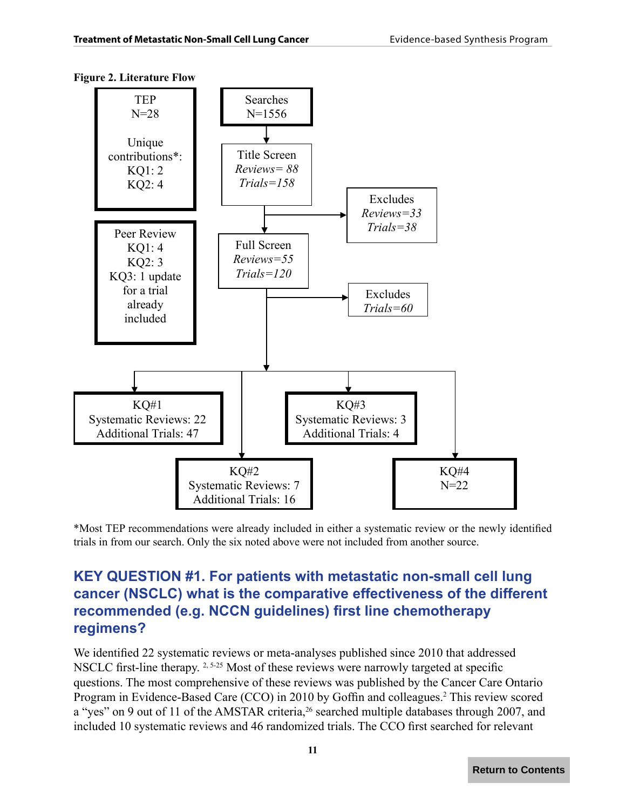<span id="page-11-0"></span>



\*Most TEP recommendations were already included in either a systematic review or the newly identified trials in from our search. Only the six noted above were not included from another source.

# **KEY QUESTION #1. For patients with metastatic non-small cell lung cancer (NSCLC) what is the comparative effectiveness of the different recommended (e.g. NCCN guidelines) first line chemotherapy regimens?**

We identified 22 systematic reviews or meta-analyses published since 2010 that addressed NSCLC first-line therapy. 2, 5-25 Most of these reviews were narrowly targeted at specific questions. The most comprehensive of these reviews was published by the Cancer Care Ontario Program in Evidence-Based Care (CCO) in 2010 by Goffin and colleagues.<sup>2</sup> This review scored a "yes" on 9 out of 11 of the AMSTAR criteria,<sup>26</sup> searched multiple databases through 2007, and included 10 systematic reviews and 46 randomized trials. The CCO first searched for relevant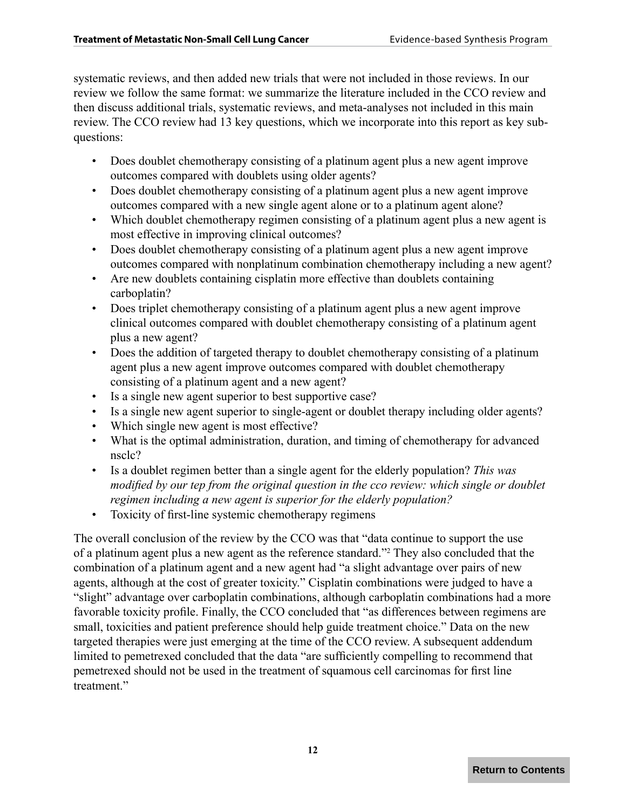<span id="page-12-0"></span>systematic reviews, and then added new trials that were not included in those reviews. In our review we follow the same format: we summarize the literature included in the CCO review and then discuss additional trials, systematic reviews, and meta-analyses not included in this main review. The CCO review had 13 key questions, which we incorporate into this report as key subquestions:

- Does doublet chemotherapy consisting of a platinum agent plus a new agent improve outcomes compared with doublets using older agents?
- Does doublet chemotherapy consisting of a platinum agent plus a new agent improve outcomes compared with a new single agent alone or to a platinum agent alone?
- Which doublet chemotherapy regimen consisting of a platinum agent plus a new agent is most effective in improving clinical outcomes?
- Does doublet chemotherapy consisting of a platinum agent plus a new agent improve outcomes compared with nonplatinum combination chemotherapy including a new agent?
- Are new doublets containing cisplatin more effective than doublets containing carboplatin?
- Does triplet chemotherapy consisting of a platinum agent plus a new agent improve clinical outcomes compared with doublet chemotherapy consisting of a platinum agent plus a new agent?
- Does the addition of targeted therapy to doublet chemotherapy consisting of a platinum agent plus a new agent improve outcomes compared with doublet chemotherapy consisting of a platinum agent and a new agent?
- Is a single new agent superior to best supportive case?
- Is a single new agent superior to single-agent or doublet therapy including older agents?
- Which single new agent is most effective?
- What is the optimal administration, duration, and timing of chemotherapy for advanced nsclc?
- Is a doublet regimen better than a single agent for the elderly population? *This was modified by our tep from the original question in the cco review: which single or doublet regimen including a new agent is superior for the elderly population?*
- Toxicity of first-line systemic chemotherapy regimens

The overall conclusion of the review by the CCO was that "data continue to support the use of a platinum agent plus a new agent as the reference standard."2 They also concluded that the combination of a platinum agent and a new agent had "a slight advantage over pairs of new agents, although at the cost of greater toxicity." Cisplatin combinations were judged to have a "slight" advantage over carboplatin combinations, although carboplatin combinations had a more favorable toxicity profile. Finally, the CCO concluded that "as differences between regimens are small, toxicities and patient preference should help guide treatment choice." Data on the new targeted therapies were just emerging at the time of the CCO review. A subsequent addendum limited to pemetrexed concluded that the data "are sufficiently compelling to recommend that pemetrexed should not be used in the treatment of squamous cell carcinomas for first line treatment."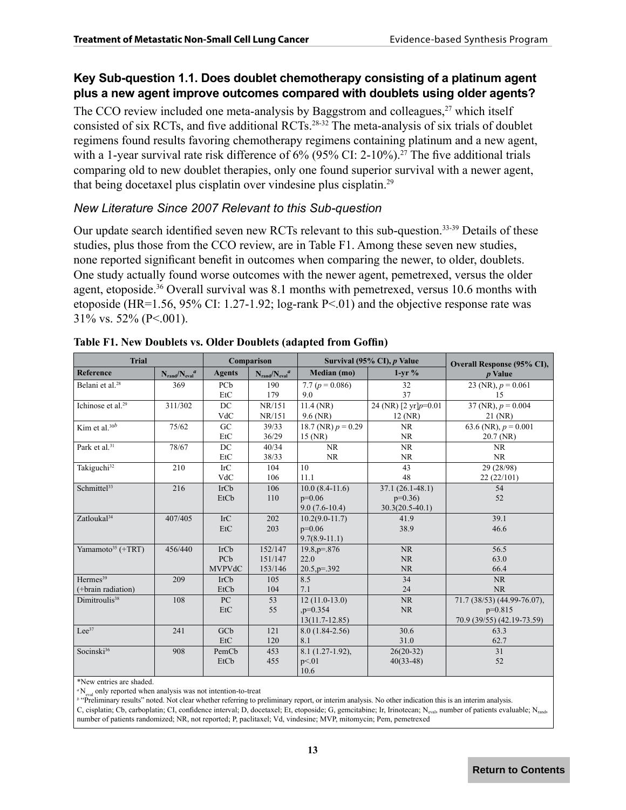#### <span id="page-13-0"></span>**Key Sub-question 1.1. Does doublet chemotherapy consisting of a platinum agent plus a new agent improve outcomes compared with doublets using older agents?**

The CCO review included one meta-analysis by Baggstrom and colleagues, $^{27}$  which itself consisted of six RCTs, and five additional RCTs.28-32 The meta-analysis of six trials of doublet regimens found results favoring chemotherapy regimens containing platinum and a new agent, with a 1-year survival rate risk difference of 6% (95% CI: 2-10%).<sup>27</sup> The five additional trials comparing old to new doublet therapies, only one found superior survival with a newer agent, that being docetaxel plus cisplatin over vindesine plus cisplatin.29

#### *New Literature Since 2007 Relevant to this Sub-question*

Our update search identified seven new RCTs relevant to this sub-question.33-39 Details of these studies, plus those from the CCO review, are in Table F1. Among these seven new studies, none reported significant benefit in outcomes when comparing the newer, to older, doublets. One study actually found worse outcomes with the newer agent, pemetrexed, versus the older agent, etoposide.<sup>36</sup> Overall survival was 8.1 months with pemetrexed, versus 10.6 months with etoposide (HR=1.56, 95% CI: 1.27-1.92; log-rank P<.01) and the objective response rate was 31% vs. 52% (P<.001).

| <b>Trial</b>                  |                       | Comparison    |                                                                    |                                   | Survival (95% CI), p Value     | Overall Response (95% CI),  |  |
|-------------------------------|-----------------------|---------------|--------------------------------------------------------------------|-----------------------------------|--------------------------------|-----------------------------|--|
| <b>Reference</b>              | $N_{rand}/N_{eval}^a$ | <b>Agents</b> | $\mathbf{N}_{\text{rand}}/\mathbf{N}_{\text{eval}}{}^{\textit{a}}$ | Median (mo)                       | $1-vr \%$                      | <i>p</i> Value              |  |
| Belani et al. <sup>28</sup>   | 369                   | PCb           | 190                                                                | $7.7(p = 0.086)$                  | 32                             | 23 (NR), $p = 0.061$        |  |
|                               |                       | EtC           | 179                                                                | 9.0                               | 37                             | 15                          |  |
| Ichinose et al. <sup>29</sup> | 311/302               | DC            | NR/151                                                             | $11.4$ (NR)                       | 24 (NR) $[2 \text{ yr}]p=0.01$ | 37 (NR), $p = 0.004$        |  |
|                               |                       | VdC           | NR/151                                                             | $9.6$ (NR)<br>12(NR)              |                                | 21 (NR)                     |  |
| Kim et al. $30b$              | 75/62                 | GC            | 39/33                                                              | <b>NR</b><br>18.7 (NR) $p = 0.29$ |                                | 63.6 (NR), $p = 0.001$      |  |
|                               |                       | EtC           | 36/29                                                              | 15 (NR)                           | <b>NR</b>                      | $20.7$ (NR)                 |  |
| Park et al. <sup>31</sup>     | 78/67                 | DC            | 40/34                                                              | <b>NR</b>                         | <b>NR</b>                      | NR                          |  |
|                               |                       | EtC           | 38/33                                                              | <b>NR</b>                         | NR                             | <b>NR</b>                   |  |
| Takiguchi <sup>32</sup>       | 210                   | IrC           | 104                                                                | 10                                | 43                             | 29 (28/98)                  |  |
|                               |                       | VdC           | 106                                                                | 11.1                              | 48                             | 22(22/101)                  |  |
| Schmittel <sup>33</sup>       | 216                   | <b>IrCb</b>   | 106                                                                | $10.0(8.4-11.6)$                  | $37.1(26.1-48.1)$              | 54                          |  |
|                               |                       | EtCb          | 110                                                                | $p=0.06$                          | $p=0.36$                       | 52                          |  |
|                               |                       |               |                                                                    | $9.0(7.6-10.4)$                   | $30.3(20.5 - 40.1)$            |                             |  |
| Zatloukal <sup>34</sup>       | 407/405               | IrC           | 202                                                                | $10.2(9.0 - 11.7)$                | 41.9                           | 39.1                        |  |
|                               |                       | EtC           | 203                                                                | $p=0.06$                          | 38.9                           | 46.6                        |  |
|                               |                       |               |                                                                    | $9.7(8.9-11.1)$                   |                                |                             |  |
| Yamamoto <sup>35</sup> (+TRT) | 456/440               | <b>IrCb</b>   | 152/147                                                            | $19.8, p = 876$                   | <b>NR</b>                      | 56.5                        |  |
|                               |                       | PCb           | 151/147                                                            | 22.0                              | <b>NR</b>                      | 63.0                        |  |
|                               |                       | MVPVdC        | 153/146                                                            | $20.5$ , $p = 392$                | <b>NR</b>                      | 66.4                        |  |
| Hermes <sup>39</sup>          | 209                   | <b>IrCb</b>   | 105                                                                | 8.5                               | 34                             | <b>NR</b>                   |  |
| (+brain radiation)            |                       | EtCb          | 104                                                                | 7.1                               | 24                             | <b>NR</b>                   |  |
| Dimitroulis <sup>38</sup>     | 108                   | PC            | 53                                                                 | $12(11.0-13.0)$                   | <b>NR</b>                      | 71.7 (38/53) (44.99-76.07), |  |
|                               |                       | EtC           | 55                                                                 | $,p=0.354$                        | NR.                            | $p=0.815$                   |  |
|                               |                       |               |                                                                    | $13(11.7-12.85)$                  |                                | 70.9 (39/55) (42.19-73.59)  |  |
| $Lee^{37}$                    | 241                   | GCb           | 121                                                                | $8.0(1.84-2.56)$                  | 30.6                           | 63.3                        |  |
|                               |                       | EtC           | 120                                                                | 8.1                               | 31.0                           | 62.7                        |  |
| Socinski <sup>36</sup>        | 908                   | PemCb         | 453                                                                | $8.1(1.27-1.92)$ ,                | $26(20-32)$                    | 31                          |  |
|                               |                       | EtCb          | 455                                                                | p<01                              | $40(33-48)$                    | 52                          |  |
|                               |                       |               |                                                                    | 10.6                              |                                |                             |  |

|  |  | Table F1. New Doublets vs. Older Doublets (adapted from Goffin) |
|--|--|-----------------------------------------------------------------|
|--|--|-----------------------------------------------------------------|

\*New entries are shaded.

<sup>a</sup> N<sub>eval</sub> only reported when analysis was not intention-to-treat

<sup>6</sup> "Preliminary results" noted. Not clear whether referring to preliminary report, or interim analysis. No other indication this is an interim analysis.

C, cisplatin; Cb, carboplatin; CI, confidence interval; D, docetaxel; Et, etoposide; G, gemcitabine; Ir, Irinotecan; N<sub>eval</sub>, number of patients evaluable; N<sub>rat</sub> number of patients randomized; NR, not reported; P, paclitaxel; Vd, vindesine; MVP, mitomycin; Pem, pemetrexed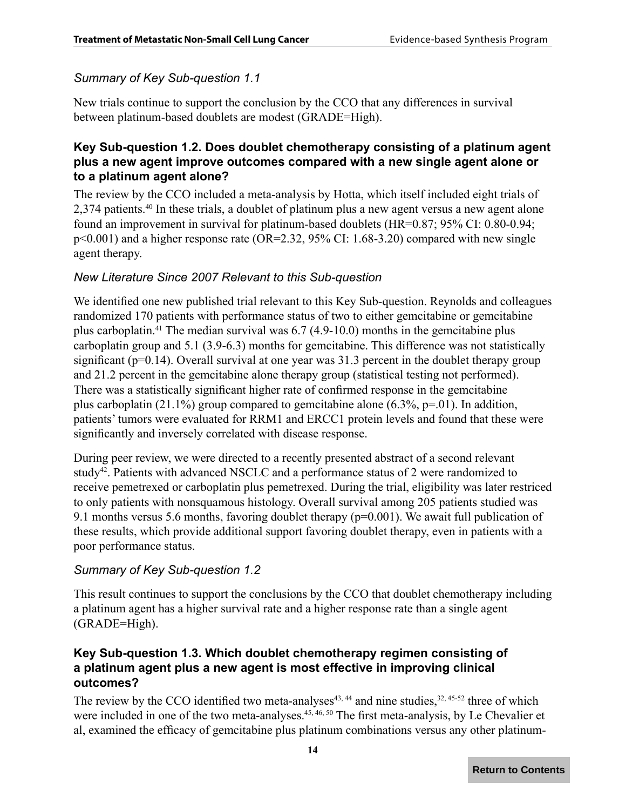#### <span id="page-14-0"></span>*Summary of Key Sub-question 1.1*

New trials continue to support the conclusion by the CCO that any differences in survival between platinum-based doublets are modest (GRADE=High).

#### **Key Sub-question 1.2. Does doublet chemotherapy consisting of a platinum agent plus a new agent improve outcomes compared with a new single agent alone or to a platinum agent alone?**

The review by the CCO included a meta-analysis by Hotta, which itself included eight trials of 2,374 patients.40 In these trials, a doublet of platinum plus a new agent versus a new agent alone found an improvement in survival for platinum-based doublets (HR=0.87; 95% CI: 0.80-0.94; p<0.001) and a higher response rate (OR=2.32, 95% CI: 1.68-3.20) compared with new single agent therapy.

#### *New Literature Since 2007 Relevant to this Sub-question*

We identified one new published trial relevant to this Key Sub-question. Reynolds and colleagues randomized 170 patients with performance status of two to either gemcitabine or gemcitabine plus carboplatin.41 The median survival was 6.7 (4.9-10.0) months in the gemcitabine plus carboplatin group and 5.1 (3.9-6.3) months for gemcitabine. This difference was not statistically significant ( $p=0.14$ ). Overall survival at one year was 31.3 percent in the doublet therapy group and 21.2 percent in the gemcitabine alone therapy group (statistical testing not performed). There was a statistically significant higher rate of confirmed response in the gemcitabine plus carboplatin (21.1%) group compared to gemcitabine alone (6.3%,  $p=01$ ). In addition, patients' tumors were evaluated for RRM1 and ERCC1 protein levels and found that these were significantly and inversely correlated with disease response.

During peer review, we were directed to a recently presented abstract of a second relevant study<sup>42</sup>. Patients with advanced NSCLC and a performance status of 2 were randomized to receive pemetrexed or carboplatin plus pemetrexed. During the trial, eligibility was later restriced to only patients with nonsquamous histology. Overall survival among 205 patients studied was 9.1 months versus 5.6 months, favoring doublet therapy (p=0.001). We await full publication of these results, which provide additional support favoring doublet therapy, even in patients with a poor performance status.

#### *Summary of Key Sub-question 1.2*

This result continues to support the conclusions by the CCO that doublet chemotherapy including a platinum agent has a higher survival rate and a higher response rate than a single agent (GRADE=High).

#### **Key Sub-question 1.3. Which doublet chemotherapy regimen consisting of a platinum agent plus a new agent is most effective in improving clinical outcomes?**

The review by the CCO identified two meta-analyses<sup>43, 44</sup> and nine studies,  $32, 45.52$  three of which were included in one of the two meta-analyses.<sup>45, 46, 50</sup> The first meta-analysis, by Le Chevalier et al, examined the efficacy of gemcitabine plus platinum combinations versus any other platinum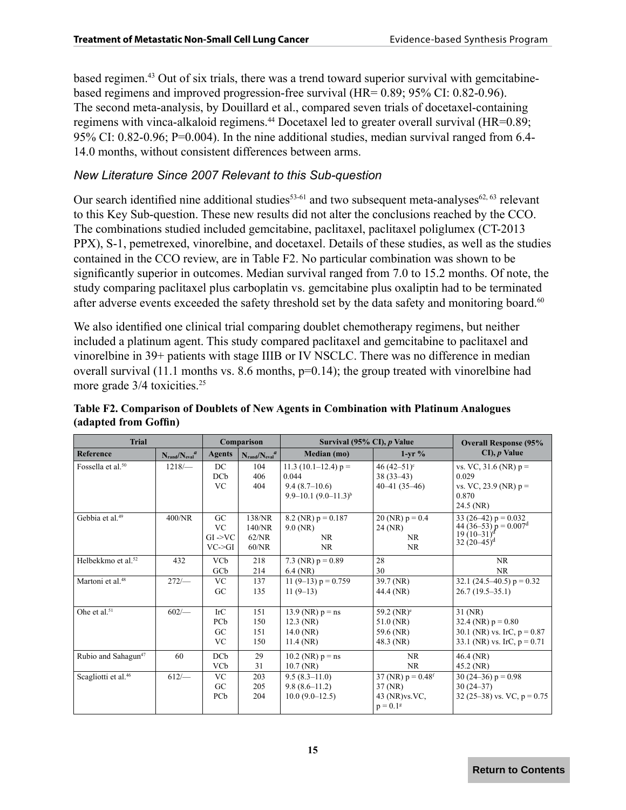<span id="page-15-0"></span>based regimen.43 Out of six trials, there was a trend toward superior survival with gemcitabinebased regimens and improved progression-free survival (HR= 0.89; 95% CI: 0.82-0.96). The second meta-analysis, by Douillard et al., compared seven trials of docetaxel-containing regimens with vinca-alkaloid regimens.<sup>44</sup> Docetaxel led to greater overall survival (HR=0.89; 95% CI: 0.82-0.96; P=0.004). In the nine additional studies, median survival ranged from 6.4- 14.0 months, without consistent differences between arms.

#### *New Literature Since 2007 Relevant to this Sub-question*

Our search identified nine additional studies<sup>53-61</sup> and two subsequent meta-analyses<sup>62, 63</sup> relevant to this Key Sub-question. These new results did not alter the conclusions reached by the CCO. The combinations studied included gemcitabine, paclitaxel, paclitaxel poliglumex (CT-2013 PPX), S-1, pemetrexed, vinorelbine, and docetaxel. Details of these studies, as well as the studies contained in the CCO review, are in Table F2. No particular combination was shown to be significantly superior in outcomes. Median survival ranged from 7.0 to 15.2 months. Of note, the study comparing paclitaxel plus carboplatin vs. gemcitabine plus oxaliptin had to be terminated after adverse events exceeded the safety threshold set by the data safety and monitoring board.<sup>60</sup>

We also identified one clinical trial comparing doublet chemotherapy regimens, but neither included a platinum agent. This study compared paclitaxel and gemcitabine to paclitaxel and vinorelbine in 39+ patients with stage IIIB or IV NSCLC. There was no difference in median overall survival (11.1 months vs. 8.6 months,  $p=0.14$ ); the group treated with vinoreloine had more grade  $3/4$  toxicities.<sup>25</sup>

| <b>Trial</b>                    |                                     |                | Comparison                                              | Survival (95% CI), $p$ Value  |                                 | <b>Overall Response (95%</b>                                                             |
|---------------------------------|-------------------------------------|----------------|---------------------------------------------------------|-------------------------------|---------------------------------|------------------------------------------------------------------------------------------|
| <b>Reference</b>                | $N_{\text{rand}}/N_{\text{eval}}^a$ | <b>Agents</b>  | $\mathbf{N}_{\text{rand}}/\mathbf{N}_{\text{eval}}{}^a$ | Median (mo)                   | $1-yr \%$                       | $CI$ ), <i>p</i> Value                                                                   |
| Fossella et al. <sup>50</sup>   | $1218/-$                            | DC             | 104                                                     | 11.3 $(10.1-12.4)$ p =        | 46 $(42-51)$ °                  | vs. VC, 31.6 (NR) $p =$                                                                  |
|                                 |                                     | DCb            | 406                                                     | 0.044                         | $38(33-43)$                     | 0.029                                                                                    |
|                                 |                                     | <b>VC</b>      | 404                                                     | $9.4(8.7-10.6)$               | $40-41(35-46)$                  | vs. VC, 23.9 (NR) $p =$                                                                  |
|                                 |                                     |                |                                                         | $9.9 - 10.1 (9.0 - 11.3)^{b}$ |                                 | 0.870                                                                                    |
|                                 |                                     |                |                                                         |                               |                                 | 24.5 (NR)                                                                                |
| Gebbia et al. <sup>49</sup>     | 400/NR                              | GC             | 138/NR                                                  | 8.2 (NR) $p = 0.187$          | 20 (NR) $p = 0.4$               | 33 (26–42) p = $0.032$<br>44 (36–53) p = $0.007$ <sup>d</sup><br>19 (10–31) <sup>d</sup> |
|                                 |                                     | <b>VC</b>      | 140/NR                                                  | $9.0$ (NR)                    | 24 (NR)                         |                                                                                          |
|                                 |                                     | $GI - > VC$    | 62/NR                                                   | <b>NR</b>                     | NR.                             | 32 $(20-45)^d$                                                                           |
|                                 |                                     | $VC$ -> $GI$   | 60/NR                                                   | <b>NR</b>                     | <b>NR</b>                       |                                                                                          |
| Helbekkmo et al. <sup>52</sup>  | 432                                 | VCb            | 218                                                     | 7.3 (NR) $p = 0.89$           | 28                              | NR                                                                                       |
|                                 |                                     | GCb            | 214                                                     | $6.4$ (NR)                    | 30                              | <b>NR</b>                                                                                |
| Martoni et al. <sup>48</sup>    | $272/-$                             | <b>VC</b>      | 137                                                     | 11 (9–13) $p = 0.759$         | 39.7 (NR)                       | 32.1 (24.5–40.5) $p = 0.32$                                                              |
|                                 |                                     | GC             | 135                                                     | $11(9-13)$                    | 44.4 (NR)                       | $26.7(19.5-35.1)$                                                                        |
|                                 |                                     |                |                                                         |                               |                                 |                                                                                          |
| Ohe et al. <sup>51</sup>        | $602$ /-                            | <b>IrC</b>     | 151                                                     | 13.9 (NR) $p = ns$            | 59.2 (NR) <sup>e</sup>          | 31 (NR)                                                                                  |
|                                 |                                     | PCb            | 150                                                     | $12.3$ (NR)                   | 51.0 (NR)                       | 32.4 (NR) $p = 0.80$                                                                     |
|                                 |                                     | GC             | 151                                                     | $14.0$ (NR)                   | 59.6 (NR)                       | 30.1 (NR) vs. IrC, $p = 0.87$                                                            |
|                                 |                                     | <b>VC</b>      | 150                                                     | $11.4$ (NR)                   | 48.3 (NR)                       | 33.1 (NR) vs. IrC, $p = 0.71$                                                            |
| Rubio and Sahagun <sup>47</sup> | 60                                  | DCb            | 29                                                      | 10.2 (NR) $p = ns$            | NR                              | 46.4 (NR)                                                                                |
|                                 |                                     | VCb            | 31                                                      | $10.7$ (NR)                   | <b>NR</b>                       | 45.2 (NR)                                                                                |
| Scagliotti et al. <sup>46</sup> | $612/-$                             | VC             | 203                                                     | $9.5(8.3-11.0)$               | 37 (NR) $p = 0.48$ <sup>f</sup> | 30 (24–36) $p = 0.98$                                                                    |
|                                 |                                     | G <sub>C</sub> | 205                                                     | $9.8(8.6-11.2)$               | 37 (NR)                         | $30(24-37)$                                                                              |
|                                 |                                     | PCb            | 204                                                     | $10.0(9.0-12.5)$              | 43 (NR) vs. VC,                 | 32 (25–38) vs. VC, $p = 0.75$                                                            |
|                                 |                                     |                |                                                         |                               | $p = 0.1$ <sup>g</sup>          |                                                                                          |

**Table F2. Comparison of Doublets of New Agents in Combination with Platinum Analogues (adapted from Goffin)**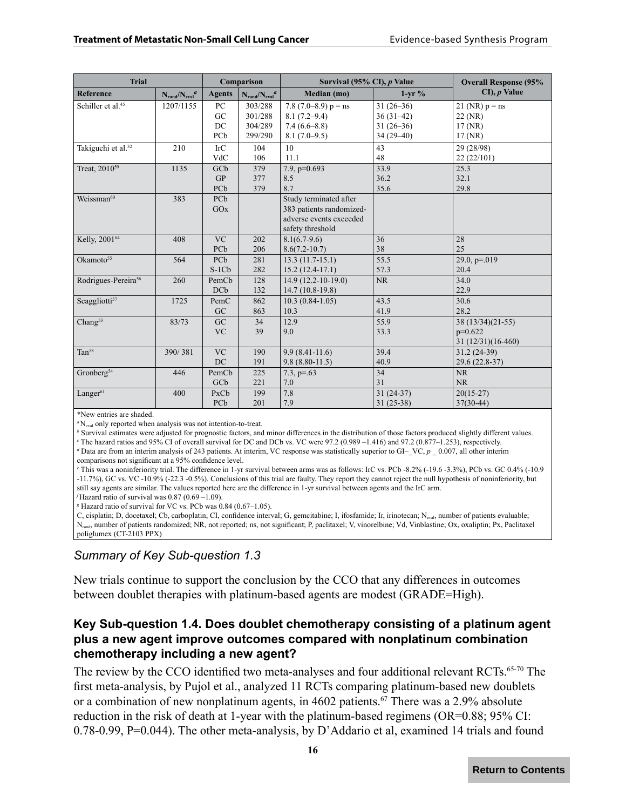| <b>Trial</b>                    |                       | Comparison    |                                                             | Survival (95% CI), p Value |               | <b>Overall Response (95%</b> |
|---------------------------------|-----------------------|---------------|-------------------------------------------------------------|----------------------------|---------------|------------------------------|
| Reference                       | $N_{rand}/N_{eval}^a$ | <b>Agents</b> | $\mathbf{N}_{\mathrm{rand}}/\mathbf{N}_{\mathrm{eval}}{}^a$ | Median (mo)                | $1-vr \%$     | $CI$ ), $p$ Value            |
| Schiller et al. <sup>45</sup>   | 1207/1155             | PC            | 303/288                                                     | 7.8 $(7.0-8.9)$ p = ns     | $31(26-36)$   | 21 (NR) $p = ns$             |
|                                 |                       | GC            | 301/288                                                     | $8.1(7.2 - 9.4)$           | $36(31-42)$   | 22 (NR)                      |
|                                 |                       | DC            | 304/289                                                     | $7.4(6.6 - 8.8)$           | $31(26-36)$   | $17$ (NR)                    |
|                                 |                       | PCb           | 299/290                                                     | $8.1(7.0-9.5)$             | $34(29 - 40)$ | $17$ (NR)                    |
| Takiguchi et al. <sup>32</sup>  | 210                   | IrC           | 104                                                         | 10                         | 43            | 29 (28/98)                   |
|                                 |                       | VdC           | 106                                                         | 11.1                       | 48            | 22(22/101)                   |
| Treat, 2010 <sup>59</sup>       | 1135                  | GCb           | 379                                                         | 7.9, $p=0.693$             | 33.9          | 25.3                         |
|                                 |                       | <b>GP</b>     | 377                                                         | 8.5                        | 36.2          | 32.1                         |
|                                 |                       | PCb           | 379                                                         | 8.7                        | 35.6          | 29.8                         |
| Weissman <sup>60</sup>          | 383                   | PCb           |                                                             | Study terminated after     |               |                              |
|                                 |                       | GOx           |                                                             | 383 patients randomized-   |               |                              |
|                                 |                       |               |                                                             | adverse events exceeded    |               |                              |
|                                 |                       |               |                                                             | safety threshold           |               |                              |
| Kelly, 2001 <sup>64</sup>       | 408                   | <b>VC</b>     | 202                                                         | $8.1(6.7-9.6)$             | 36            | 28                           |
|                                 |                       | PCb           | 206                                                         | $8.6(7.2 - 10.7)$          | 38            | 25                           |
| Okamoto <sup>55</sup>           | 564                   | PCb           | 281                                                         | $13.3(11.7-15.1)$          | 55.5          | 29.0, $p=.019$               |
|                                 |                       | $S-1Cb$       | 282                                                         | $15.2(12.4-17.1)$          | 57.3          | 20.4                         |
| Rodrigues-Pereira <sup>56</sup> | 260                   | PemCb         | 128                                                         | 14.9 (12.2-10-19.0)        | NR.           | 34.0                         |
|                                 |                       | <b>DCb</b>    | 132                                                         | $14.7(10.8-19.8)$          |               | 22.9                         |
| Scaggliotti <sup>57</sup>       | 1725                  | PemC          | 862                                                         | $10.3(0.84-1.05)$          | 43.5          | 30.6                         |
|                                 |                       | GC            | 863                                                         | 10.3                       | 41.9          | 28.2                         |
| Chang <sup>53</sup>             | 83/73                 | GC            | 34                                                          | 12.9                       | 55.9          | 38 (13/34)(21-55)            |
|                                 |                       | <b>VC</b>     | 39                                                          | 9.0                        | 33.3          | $p=0.622$                    |
|                                 |                       |               |                                                             |                            |               | $31(12/31)(16-460)$          |
| Tan <sup>58</sup>               | 390/381               | <b>VC</b>     | 190                                                         | $9.9(8.41-11.6)$           | 39.4          | $31.2(24-39)$                |
|                                 |                       | DC            | 191                                                         | $9.8(8.80-11.5)$           | 40.9          | 29.6 (22.8-37)               |
| Gronberg <sup>54</sup>          | 446                   | PemCb         | 225                                                         | $7.3, p = .63$             | 34            | <b>NR</b>                    |
|                                 |                       | GCb           | 221                                                         | 7.0                        | 31            | <b>NR</b>                    |
| Langer <sup>61</sup>            | 400                   | PxCb          | 199                                                         | 7.8                        | $31(24-37)$   | $20(15-27)$                  |
|                                 |                       | PCb           | 201                                                         | 7.9                        | $31(25-38)$   | $37(30-44)$                  |

\*New entries are shaded.

<sup>*a*</sup>N<sub>eval</sub> only reported when analysis was not intention-to-treat.

*<sup>b</sup>* Survival estimates were adjusted for prognostic factors, and minor differences in the distribution of those factors produced slightly different values.

*<sup>c</sup>* The hazard ratios and 95% CI of overall survival for DC and DCb vs. VC were 97.2 (0.989 –1.416) and 97.2 (0.877–1.253), respectively. *<sup>d</sup>* Data are from an interim analysis of 243 patients. At interim, VC response was statistically superior to GI–\_VC, *p* \_ 0.007, all other interim comparisons not significant at a 95% confidence level.

*<sup>e</sup>* This was a noninferiority trial. The difference in 1-yr survival between arms was as follows: IrC vs. PCb -8.2% (-19.6 -3.3%), PCb vs. GC 0.4% (-10.9 -11.7%), GC vs. VC -10.9% (-22.3 -0.5%). Conclusions of this trial are faulty. They report they cannot reject the null hypothesis of noninferiority, but still say agents are similar. The values reported here are the difference in 1-yr survival between agents and the IrC arm.

*f*Hazard ratio of survival was  $0.87$  ( $0.69 - 1.09$ ).

*<sup>g</sup>* Hazard ratio of survival for VC vs. PCb was 0.84 (0.67–1.05).

C, cisplatin; D, docetaxel; Cb, carboplatin; CI, confidence interval; G, gemcitabine; I, ifosfamide; Ir, irinotecan; N<sub>eval</sub>, number of patients evaluable; N<sub>rand</sub>, number of patients randomized; NR, not reported; ns, not significant; P, paclitaxel; V, vinorelbine; Vd, Vinblastine; Ox, oxaliptin; Px, Paclitaxel poliglumex (CT-2103 PPX)

#### *Summary of Key Sub-question 1.3*

New trials continue to support the conclusion by the CCO that any differences in outcomes between doublet therapies with platinum-based agents are modest (GRADE=High).

#### **Key Sub-question 1.4. Does doublet chemotherapy consisting of a platinum agent plus a new agent improve outcomes compared with nonplatinum combination chemotherapy including a new agent?**

The review by the CCO identified two meta-analyses and four additional relevant RCTs.<sup>65-70</sup> The first meta-analysis, by Pujol et al., analyzed 11 RCTs comparing platinum-based new doublets or a combination of new nonplatinum agents, in 4602 patients.<sup>67</sup> There was a 2.9% absolute reduction in the risk of death at 1-year with the platinum-based regimens (OR=0.88; 95% CI: 0.78-0.99, P=0.044). The other meta-analysis, by D'Addario et al, examined 14 trials and found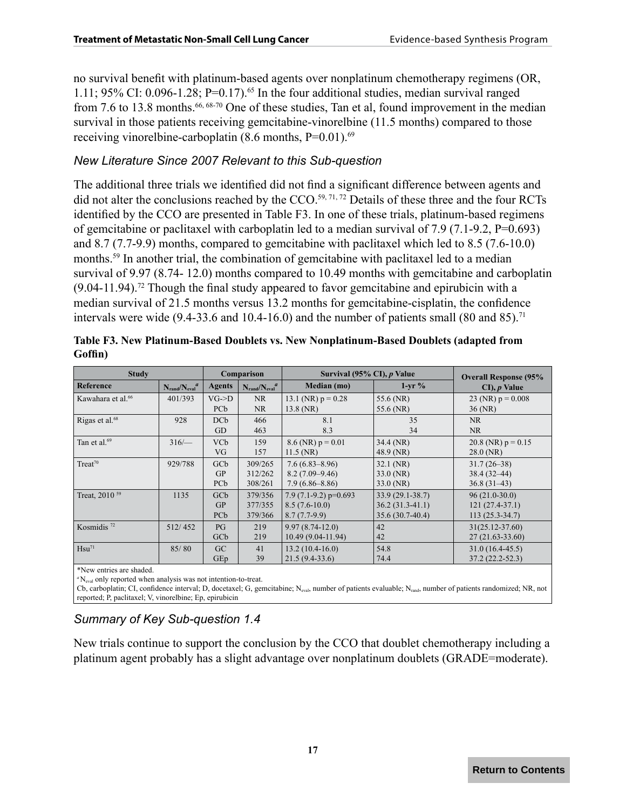<span id="page-17-0"></span>no survival benefit with platinum-based agents over nonplatinum chemotherapy regimens (OR, 1.11;  $95\%$  CI: 0.096-1.28; P=0.17).<sup>65</sup> In the four additional studies, median survival ranged from 7.6 to 13.8 months.<sup>66, 68-70</sup> One of these studies. Tan et al, found improvement in the median survival in those patients receiving gemcitabine-vinorelbine (11.5 months) compared to those receiving vinorelbine-carboplatin  $(8.6 \text{ months}, P=0.01)$ .<sup>69</sup>

#### *New Literature Since 2007 Relevant to this Sub-question*

The additional three trials we identified did not find a significant difference between agents and did not alter the conclusions reached by the CCO.<sup>59, 71, 72</sup> Details of these three and the four RCTs identified by the CCO are presented in Table F3. In one of these trials, platinum-based regimens of gemcitabine or paclitaxel with carboplatin led to a median survival of 7.9 (7.1-9.2,  $P=0.693$ ) and 8.7 (7.7-9.9) months, compared to gemcitabine with paclitaxel which led to 8.5 (7.6-10.0) months.<sup>59</sup> In another trial, the combination of gemcitabine with paclitaxel led to a median survival of 9.97 (8.74- 12.0) months compared to 10.49 months with gemcitabine and carboplatin  $(9.04-11.94)$ .<sup>72</sup> Though the final study appeared to favor gemcitabine and epirubicin with a median survival of 21.5 months versus 13.2 months for gemcitabine-cisplatin, the confidence intervals were wide  $(9.4-33.6 \text{ and } 10.4-16.0)$  and the number of patients small  $(80 \text{ and } 85)^{71}$ 

| <b>Study</b>                  |                     | Comparison      |                     | Survival (95% CI), p Value | <b>Overall Response (95%</b> |                      |
|-------------------------------|---------------------|-----------------|---------------------|----------------------------|------------------------------|----------------------|
| Reference                     | $N_{rand}/N_{eval}$ | <b>Agents</b>   | $N_{rand}/N_{eval}$ | Median (mo)                | $1-vr \%$                    | $CI$ ), p Value      |
| Kawahara et al. <sup>66</sup> | 401/393             | $VG\text{-}PD$  | NR.                 | 13.1 (NR) $p = 0.28$       | 55.6 (NR)                    | 23 (NR) $p = 0.008$  |
|                               |                     | <b>PCb</b>      | NR                  | $13.8$ (NR)                | 55.6 (NR)                    | 36 (NR)              |
| Rigas et al. <sup>68</sup>    | 928                 | DC <sub>b</sub> | 466                 | 8.1                        | 35                           | <b>NR</b>            |
|                               |                     | <b>GD</b>       | 463                 | 8.3                        | 34                           | <b>NR</b>            |
| Tan et al. <sup>69</sup>      | 316/                | <b>VCb</b>      | 159                 | 8.6 (NR) $p = 0.01$        | 34.4 (NR)                    | 20.8 (NR) $p = 0.15$ |
|                               |                     | VG              | 157                 | $11.5$ (NR)                | 48.9 (NR)                    | $28.0$ (NR)          |
| $Treat^{70}$                  | 929/788             | GCb             | 309/265             | $7.6(6.83 - 8.96)$         | $32.1$ (NR)                  | $31.7(26 - 38)$      |
|                               |                     | <b>GP</b>       | 312/262             | $8.2(7.09 - 9.46)$         | 33.0 (NR)                    | $38.4(32 - 44)$      |
|                               |                     | <b>PCb</b>      | 308/261             | $7.9(6.86 - 8.86)$         | 33.0 (NR)                    | $36.8(31-43)$        |
| Treat, 2010 <sup>59</sup>     | 1135                | GCb             | 379/356             | $7.9(7.1-9.2)$ p=0.693     | $33.9(29.1 - 38.7)$          | $96(21.0-30.0)$      |
|                               |                     | GP              | 377/355             | $8.5(7.6-10.0)$            | $36.2(31.3-41.1)$            | $121(27.4-37.1)$     |
|                               |                     | PCb             | 379/366             | $8.7(7.7-9.9)$             | 35.6 (30.7-40.4)             | $113(25.3 - 34.7)$   |
| Kosmidis <sup>72</sup>        | 512/452             | PG              | 219                 | $9.97(8.74-12.0)$          | 42                           | $31(25.12 - 37.60)$  |
|                               |                     | GCb             | 219                 | 10.49 (9.04-11.94)         | 42                           | 27 (21.63-33.60)     |
| Hsu <sup>71</sup>             | 85/80               | GC              | 41                  | $13.2(10.4-16.0)$          | 54.8                         | $31.0(16.4-45.5)$    |
|                               |                     | GEp             | 39                  | $21.5(9.4-33.6)$           | 74.4                         | $37.2(22.2 - 52.3)$  |
| *New entries are shaded       |                     |                 |                     |                            |                              |                      |

**Table F3. New Platinum-Based Doublets vs. New Nonplatinum-Based Doublets (adapted from Goffin)**

\*New entries are shaded.

<sup>a</sup>N<sub>eval</sub> only reported when analysis was not intention-to-treat.

Cb, carboplatin; CI, confidence interval; D, docetaxel; G, gemcitabine; N<sub>eval</sub>, number of patients evaluable; N<sub>and</sub>, number of patients randomized; NR, not reported; P, paclitaxel; V, vinorelbine; Ep, epirubicin

#### *Summary of Key Sub-question 1.4*

New trials continue to support the conclusion by the CCO that doublet chemotherapy including a platinum agent probably has a slight advantage over nonplatinum doublets (GRADE=moderate).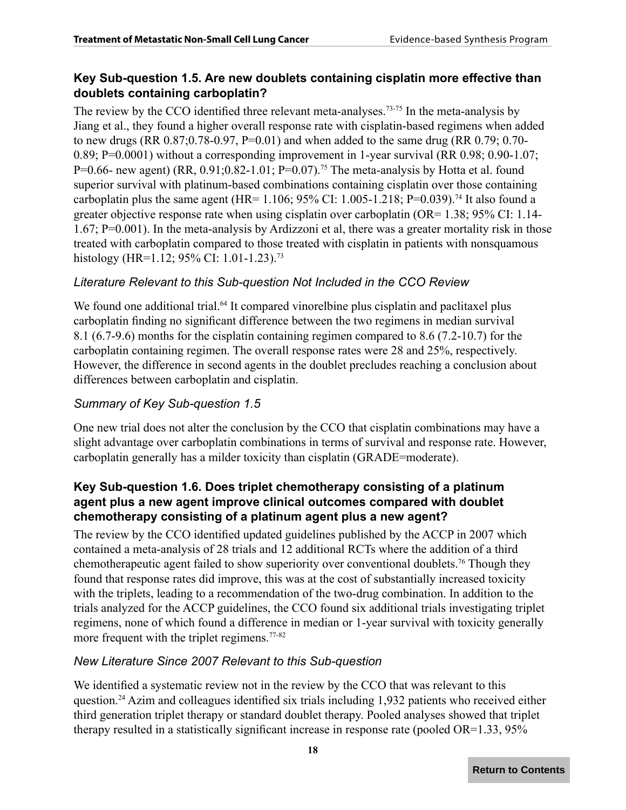#### <span id="page-18-0"></span>**Key Sub-question 1.5. Are new doublets containing cisplatin more effective than doublets containing carboplatin?**

The review by the CCO identified three relevant meta-analyses.<sup>73-75</sup> In the meta-analysis by Jiang et al., they found a higher overall response rate with cisplatin-based regimens when added to new drugs (RR 0.87;0.78-0.97, P=0.01) and when added to the same drug (RR 0.79; 0.70- 0.89; P=0.0001) without a corresponding improvement in 1-year survival (RR 0.98; 0.90-1.07; P=0.66- new agent) (RR, 0.91;0.82-1.01; P=0.07).<sup>75</sup> The meta-analysis by Hotta et al. found superior survival with platinum-based combinations containing cisplatin over those containing carboplatin plus the same agent (HR=  $1.106$ ; 95% CI: 1.005-1.218; P=0.039).<sup>74</sup> It also found a greater objective response rate when using cisplatin over carboplatin (OR= 1.38; 95% CI: 1.14- 1.67; P=0.001). In the meta-analysis by Ardizzoni et al, there was a greater mortality risk in those treated with carboplatin compared to those treated with cisplatin in patients with nonsquamous histology (HR=1.12; 95% CI: 1.01-1.23).<sup>73</sup>

#### *Literature Relevant to this Sub-question Not Included in the CCO Review*

We found one additional trial.<sup>64</sup> It compared vinorelbine plus cisplatin and paclitaxel plus carboplatin finding no significant difference between the two regimens in median survival 8.1 (6.7-9.6) months for the cisplatin containing regimen compared to 8.6 (7.2-10.7) for the carboplatin containing regimen. The overall response rates were 28 and 25%, respectively. However, the difference in second agents in the doublet precludes reaching a conclusion about differences between carboplatin and cisplatin.

#### *Summary of Key Sub-question 1.5*

One new trial does not alter the conclusion by the CCO that cisplatin combinations may have a slight advantage over carboplatin combinations in terms of survival and response rate. However, carboplatin generally has a milder toxicity than cisplatin (GRADE=moderate).

#### **Key Sub-question 1.6. Does triplet chemotherapy consisting of a platinum agent plus a new agent improve clinical outcomes compared with doublet chemotherapy consisting of a platinum agent plus a new agent?**

The review by the CCO identified updated guidelines published by the ACCP in 2007 which contained a meta-analysis of 28 trials and 12 additional RCTs where the addition of a third chemotherapeutic agent failed to show superiority over conventional doublets.76 Though they found that response rates did improve, this was at the cost of substantially increased toxicity with the triplets, leading to a recommendation of the two-drug combination. In addition to the trials analyzed for the ACCP guidelines, the CCO found six additional trials investigating triplet regimens, none of which found a difference in median or 1-year survival with toxicity generally more frequent with the triplet regimens.<sup>77-82</sup>

#### *New Literature Since 2007 Relevant to this Sub-question*

We identified a systematic review not in the review by the CCO that was relevant to this question.24 Azim and colleagues identified six trials including 1,932 patients who received either third generation triplet therapy or standard doublet therapy. Pooled analyses showed that triplet therapy resulted in a statistically significant increase in response rate (pooled OR=1.33, 95%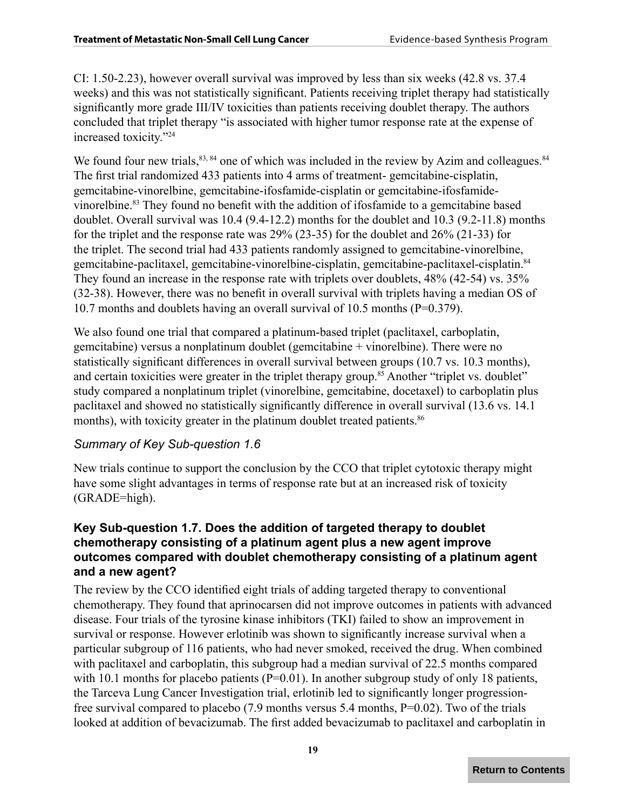<span id="page-19-0"></span>CI: 1.50-2.23), however overall survival was improved by less than six weeks (42.8 vs. 37.4 weeks) and this was not statistically significant. Patients receiving triplet therapy had statistically significantly more grade III/IV toxicities than patients receiving doublet therapy. The authors concluded that triplet therapy "is associated with higher tumor response rate at the expense of increased toxicity."24

We found four new trials,  $83, 84$  one of which was included in the review by Azim and colleagues.  $84$ The first trial randomized 433 patients into 4 arms of treatment- gemcitabine-cisplatin, gemcitabine-vinorelbine, gemcitabine-ifosfamide-cisplatin or gemcitabine-ifosfamidevinorelbine.83 They found no benefit with the addition of ifosfamide to a gemcitabine based doublet. Overall survival was 10.4 (9.4-12.2) months for the doublet and 10.3 (9.2-11.8) months for the triplet and the response rate was 29% (23-35) for the doublet and 26% (21-33) for the triplet. The second trial had 433 patients randomly assigned to gemcitabine-vinorelbine, gemcitabine-paclitaxel, gemcitabine-vinorelbine-cisplatin, gemcitabine-paclitaxel-cisplatin.84 They found an increase in the response rate with triplets over doublets, 48% (42-54) vs. 35% (32-38). However, there was no benefit in overall survival with triplets having a median OS of 10.7 months and doublets having an overall survival of 10.5 months (P=0.379).

We also found one trial that compared a platinum-based triplet (paclitaxel, carboplatin, gemcitabine) versus a nonplatinum doublet (gemcitabine + vinorelbine). There were no statistically significant differences in overall survival between groups (10.7 vs. 10.3 months), and certain toxicities were greater in the triplet therapy group.<sup>85</sup> Another "triplet vs. doublet" study compared a nonplatinum triplet (vinorelbine, gemcitabine, docetaxel) to carboplatin plus paclitaxel and showed no statistically significantly difference in overall survival (13.6 vs. 14.1 months), with toxicity greater in the platinum doublet treated patients.<sup>86</sup>

#### *Summary of Key Sub-question 1.6*

New trials continue to support the conclusion by the CCO that triplet cytotoxic therapy might have some slight advantages in terms of response rate but at an increased risk of toxicity (GRADE=high).

#### **Key Sub-question 1.7. Does the addition of targeted therapy to doublet chemotherapy consisting of a platinum agent plus a new agent improve outcomes compared with doublet chemotherapy consisting of a platinum agent and a new agent?**

The review by the CCO identified eight trials of adding targeted therapy to conventional chemotherapy. They found that aprinocarsen did not improve outcomes in patients with advanced disease. Four trials of the tyrosine kinase inhibitors (TKI) failed to show an improvement in survival or response. However erlotinib was shown to significantly increase survival when a particular subgroup of 116 patients, who had never smoked, received the drug. When combined with paclitaxel and carboplatin, this subgroup had a median survival of 22.5 months compared with 10.1 months for placebo patients ( $P=0.01$ ). In another subgroup study of only 18 patients, the Tarceva Lung Cancer Investigation trial, erlotinib led to significantly longer progressionfree survival compared to placebo (7.9 months versus 5.4 months, P=0.02). Two of the trials looked at addition of bevacizumab. The first added bevacizumab to paclitaxel and carboplatin in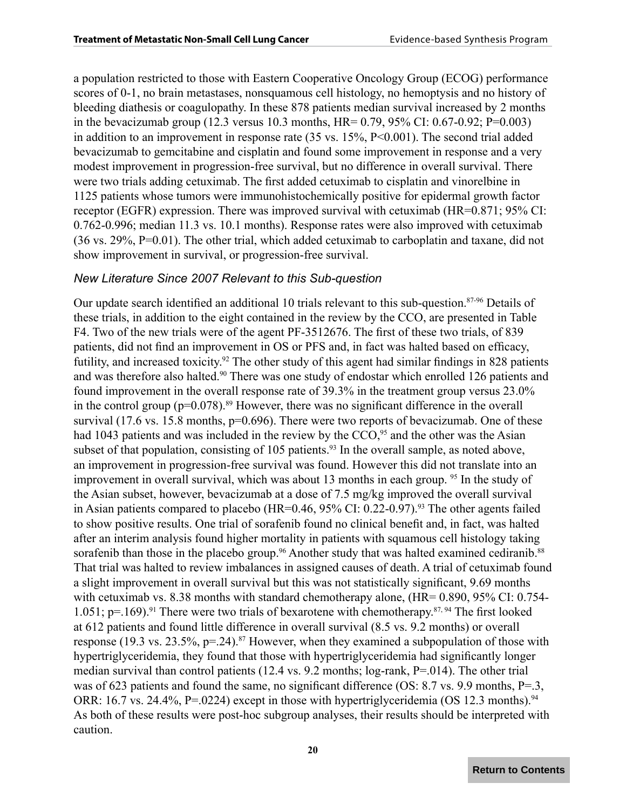a population restricted to those with Eastern Cooperative Oncology Group (ECOG) performance scores of 0-1, no brain metastases, nonsquamous cell histology, no hemoptysis and no history of bleeding diathesis or coagulopathy. In these 878 patients median survival increased by 2 months in the bevacizumab group (12.3 versus 10.3 months, HR= 0.79, 95% CI: 0.67-0.92; P=0.003) in addition to an improvement in response rate (35 vs. 15%, P<0.001). The second trial added bevacizumab to gemcitabine and cisplatin and found some improvement in response and a very modest improvement in progression-free survival, but no difference in overall survival. There were two trials adding cetuximab. The first added cetuximab to cisplatin and vinorelbine in 1125 patients whose tumors were immunohistochemically positive for epidermal growth factor receptor (EGFR) expression. There was improved survival with cetuximab (HR=0.871; 95% CI: 0.762-0.996; median 11.3 vs. 10.1 months). Response rates were also improved with cetuximab (36 vs. 29%, P=0.01). The other trial, which added cetuximab to carboplatin and taxane, did not show improvement in survival, or progression-free survival.

#### *New Literature Since 2007 Relevant to this Sub-question*

Our update search identified an additional 10 trials relevant to this sub-question.<sup>87-96</sup> Details of these trials, in addition to the eight contained in the review by the CCO, are presented in Table F4. Two of the new trials were of the agent PF-3512676. The first of these two trials, of 839 patients, did not find an improvement in OS or PFS and, in fact was halted based on efficacy, futility, and increased toxicity.<sup>92</sup> The other study of this agent had similar findings in 828 patients and was therefore also halted.<sup>90</sup> There was one study of endostar which enrolled 126 patients and found improvement in the overall response rate of 39.3% in the treatment group versus 23.0% in the control group  $(p=0.078)^{89}$  However, there was no significant difference in the overall survival (17.6 vs. 15.8 months, p=0.696). There were two reports of bevacizumab. One of these had 1043 patients and was included in the review by the CCO,<sup>95</sup> and the other was the Asian subset of that population, consisting of 105 patients.<sup>93</sup> In the overall sample, as noted above, an improvement in progression-free survival was found. However this did not translate into an improvement in overall survival, which was about 13 months in each group. <sup>95</sup> In the study of the Asian subset, however, bevacizumab at a dose of 7.5 mg/kg improved the overall survival in Asian patients compared to placebo (HR=0.46, 95% CI: 0.22-0.97).<sup>93</sup> The other agents failed to show positive results. One trial of sorafenib found no clinical benefit and, in fact, was halted after an interim analysis found higher mortality in patients with squamous cell histology taking sorafenib than those in the placebo group.<sup>96</sup> Another study that was halted examined cediranib.<sup>88</sup> That trial was halted to review imbalances in assigned causes of death. A trial of cetuximab found a slight improvement in overall survival but this was not statistically significant, 9.69 months with cetuximab vs. 8.38 months with standard chemotherapy alone, (HR= 0.890, 95% CI: 0.754-1.051; p=.169).<sup>91</sup> There were two trials of bexarotene with chemotherapy.<sup>87, 94</sup> The first looked at 612 patients and found little difference in overall survival (8.5 vs. 9.2 months) or overall response (19.3 vs. 23.5%,  $p=24$ ).<sup>87</sup> However, when they examined a subpopulation of those with hypertriglyceridemia, they found that those with hypertriglyceridemia had significantly longer median survival than control patients (12.4 vs. 9.2 months; log-rank, P=.014). The other trial was of 623 patients and found the same, no significant difference (OS: 8.7 vs. 9.9 months, P=.3, ORR: 16.7 vs. 24.4%, P=.0224) except in those with hypertriglyceridemia (OS 12.3 months).<sup>94</sup> As both of these results were post-hoc subgroup analyses, their results should be interpreted with caution.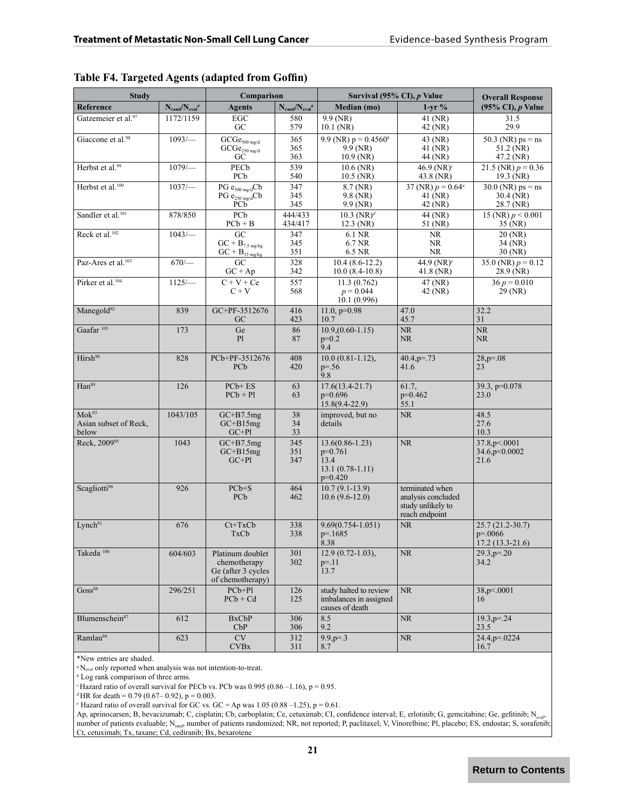| <b>Study</b>                                        |                                                             | Comparison                                                                                  |                                                             | Survival (95% CI), p Value                                                 | <b>Overall Response</b>                                                      |                                                            |
|-----------------------------------------------------|-------------------------------------------------------------|---------------------------------------------------------------------------------------------|-------------------------------------------------------------|----------------------------------------------------------------------------|------------------------------------------------------------------------------|------------------------------------------------------------|
| Reference                                           | $\mathbf{N}_{\mathrm{rand}}/\mathbf{N}_{\mathrm{eval}}{}^a$ | <b>Agents</b>                                                                               | $\mathbf{N}_{\mathrm{rand}}/\mathbf{N}_{\mathrm{eval}}{}^a$ | Median (mo)                                                                | $1-yr \%$                                                                    | $(95\%$ CI), p Value                                       |
| Gatzemeier et al.97                                 | 1172/1159                                                   | EGC<br>GC                                                                                   | 580<br>579                                                  | $9.9$ (NR)<br>$10.1$ (NR)                                                  | 41 (NR)<br>42 (NR)                                                           | 31.5<br>29.9                                               |
| Giaccone et al. <sup>98</sup>                       | 1093/                                                       | $\overline{\mathrm{GC}}\mathrm{Ge}_{500\,\mathrm{mg/d}}$<br>$GCGe_{250 \text{ mg/d}}$<br>GC | 365<br>365<br>363                                           | 9.9 (NR) $p = 0.4560^b$<br>$9.9$ (NR)<br>10.9 (NR)                         | 43 (NR)<br>41 (NR)<br>44 (NR)                                                | 50.3 (NR) $ps = ns$<br>51.2 (NR)<br>47.2 (NR)              |
| Herbst et al. <sup>99</sup>                         | $1079$ /-                                                   | PECb<br>PCb                                                                                 | 539<br>540                                                  | $10.6$ (NR)<br>$10.5$ (NR)                                                 | 46.9 (NR) <sup>c</sup><br>43.8 (NR)                                          | 21.5 (NR) $p = 0.36$<br>19.3 (NR)                          |
| Herbst et al. <sup>100</sup>                        | $1037/-$                                                    | PG $e_{500 \text{ mg/d}}$ Cb<br>$PG \frac{e_{250 \text{ mg/d}}}{PCb}$                       | 347<br>345<br>345                                           | 8.7 (NR)<br>$9.8$ (NR)<br>$9.9$ (NR)                                       | 37 (NR) $p = 0.64^a$<br>41 (NR)<br>42 (NR)                                   | $30.0$ (NR) ps = ns<br>$30.4 \overline{(NR)}$<br>28.7 (NR) |
| Sandler et al. <sup>101</sup>                       | 878/850                                                     | PCb<br>$PCb + B$                                                                            | 444/433<br>434/417                                          | 10.3 $(NR)^d$<br>$12.3$ (NR)                                               | 44 (NR)<br>51 (NR)                                                           | 15 (NR) $p < 0.001$<br>35 (NR)                             |
| Reck et al. <sup>102</sup>                          | 1043/                                                       | <b>GC</b><br>$GC + B_{7.5 \text{ mg/kg}}$<br>$GC + B_{15 \text{ mg/kg}}$                    | 347<br>345<br>351                                           | $6.1$ NR<br>6.7 NR<br>6.5 NR                                               | NR<br>NR<br>NR                                                               | 20 (NR)<br>34 (NR)<br>30 (NR)                              |
| Paz-Ares et al. <sup>103</sup>                      | $670/-$                                                     | GC<br>$GC + Ap$                                                                             | 328<br>342                                                  | $10.4(8.6-12.2)$<br>$10.0(8.4-10.8)$                                       | 44.9 (NR) <sup>e</sup><br>41.8 (NR)                                          | 35.0 (NR) $p = 0.12$<br>$28.9$ (NR)                        |
| Pirker et al. <sup>104</sup>                        | $1125/-$                                                    | $C + V + Ce$<br>$C + V$                                                                     | 557<br>568                                                  | 11.3(0.762)<br>$p = 0.044$<br>10.1(0.996)                                  | 47 (NR)<br>42 (NR)                                                           | $36 p = 0.010$<br>$29$ (NR)                                |
| Manegold <sup>92</sup>                              | 839                                                         | GC+PF-3512676<br>GC                                                                         | 416<br>423                                                  | $11.0, p=0.98$<br>10.7                                                     | 47.0<br>45.7                                                                 | 32.2<br>31                                                 |
| Gaafar <sup>105</sup>                               | 173                                                         | Ge<br>P <sub>1</sub>                                                                        | 86<br>87                                                    | $10.9(0.60 - 1.15)$<br>$p=0.2$<br>9.4                                      | NR<br>NR                                                                     | <b>NR</b><br><b>NR</b>                                     |
| Hirsh <sup>90</sup>                                 | 828                                                         | PCb+PF-3512676<br>PCb                                                                       | 408<br>420                                                  | $10.0(0.81 - 1.12)$ ,<br>$p = 56$<br>9.8                                   | $40.4$ , $p = 73$<br>41.6                                                    | $28, p = 0.08$<br>23                                       |
| Han <sup>89</sup>                                   | 126                                                         | $PCb + ES$<br>$PCb + P1$                                                                    | 63<br>63                                                    | $17.6(13.4-21.7)$<br>$p=0.696$<br>$15.8(9.4-22.9)$                         | 61.7,<br>$p=0.462$<br>55.1                                                   | $39.3, p=0.078$<br>23.0                                    |
| Mok <sup>93</sup><br>Asian subset of Reck,<br>below | 1043/105                                                    | $GC+B7.5mg$<br>GC+B15mg<br>$G C + P1$                                                       | 38<br>34<br>33                                              | improved, but no<br>details                                                | NR                                                                           | 48.5<br>27.6<br>10.3                                       |
| Reck, 200995                                        | 1043                                                        | $GC+B7.5mg$<br>$G$ C+B $15$ mg<br>$G C + P1$                                                | 345<br>351<br>347                                           | $13.6(0.86 - 1.23)$<br>$p=0.761$<br>13.4<br>$13.1(0.78-1.11)$<br>$p=0.420$ | <b>NR</b>                                                                    | 37.8,p<.0001<br>34.6,p<0.0002<br>21.6                      |
| Scagliotti <sup>96</sup>                            | 926                                                         | $PCb + S$<br>PCb                                                                            | 464<br>462                                                  | $10.7(9.1-13.9)$<br>$10.6(9.6-12.0)$                                       | terminated when<br>analysis concluded<br>study unlikely to<br>reach endpoint |                                                            |
| Lynch <sup>91</sup>                                 | 676                                                         | $Ct+TxCb$<br>TxCb                                                                           | 338<br>338                                                  | $9.69(0.754 - 1.051)$<br>$p = 1685$<br>8.38                                | $\rm NR$                                                                     | $25.7(21.2-30.7)$<br>$p = 0.0066$<br>$17.2(13.3-21.6)$     |
| Takeda <sup>106</sup>                               | 604/603                                                     | Platinum doublet<br>chemotherapy<br>Ge (after 3 cycles<br>of chemotherapy)                  | 301<br>302                                                  | $12.9(0.72 - 1.03),$<br>$p = 11$<br>13.7                                   | NR.                                                                          | $29.3, p = 20$<br>34.2                                     |
| Goss <sup>88</sup>                                  | 296/251                                                     | $PCb+PI$<br>$PCb + Cd$                                                                      | 126<br>125                                                  | study halted to review<br>imbalances in assigned<br>causes of death        | NR.                                                                          | 38, p < 0.001<br>16                                        |
| Blumenschein <sup>87</sup>                          | 612                                                         | <b>BxCbP</b><br>CbP                                                                         | 306<br>306                                                  | 8.5<br>9.2                                                                 | $\rm NR$                                                                     | $19.3, p = 24$<br>23.5                                     |
| Ramlau <sup>94</sup>                                | 623                                                         | <b>CV</b><br>CVBx                                                                           | 312<br>311                                                  | $9.9, p = .3$<br>8.7                                                       | $\rm NR$                                                                     | $24.4, p = 0.0224$<br>16.7                                 |

<span id="page-21-0"></span>

|  | Table F4. Targeted Agents (adapted from Goffin) |  |  |  |  |
|--|-------------------------------------------------|--|--|--|--|
|--|-------------------------------------------------|--|--|--|--|

\*New entries are shaded.

*<sup>a</sup>* Neval only reported when analysis was not intention-to-treat.

*b* Log rank comparison of three arms.

 $c$ Hazard ratio of overall survival for PECb vs. PCb was 0.995 (0.86 –1.16), p = 0.95.

 $d$  HR for death = 0.79 (0.67– 0.92), p = 0.003.

 $e$  Hazard ratio of overall survival for GC vs. GC = Ap was 1.05 (0.88 –1.25), p = 0.61.

Ap, aprinocarsen; B, bevacizumab; C, cisplatin; Cb, carboplatin; Ce, cetuximab; CI, confidence interval; E, erlotinib; G, gemcitabine; Ge, gefitinib; N<sub>eval</sub>, number of patients evaluable; N<sub>rand</sub>, number of patients randomized; NR, not reported; P, paclitaxel; V, Vinorelbine; PI, placebo; ES, endostar; S, sorafenib; Ct, cetuximab; Tx, taxane; Cd, cediranib; Bx, bexarotene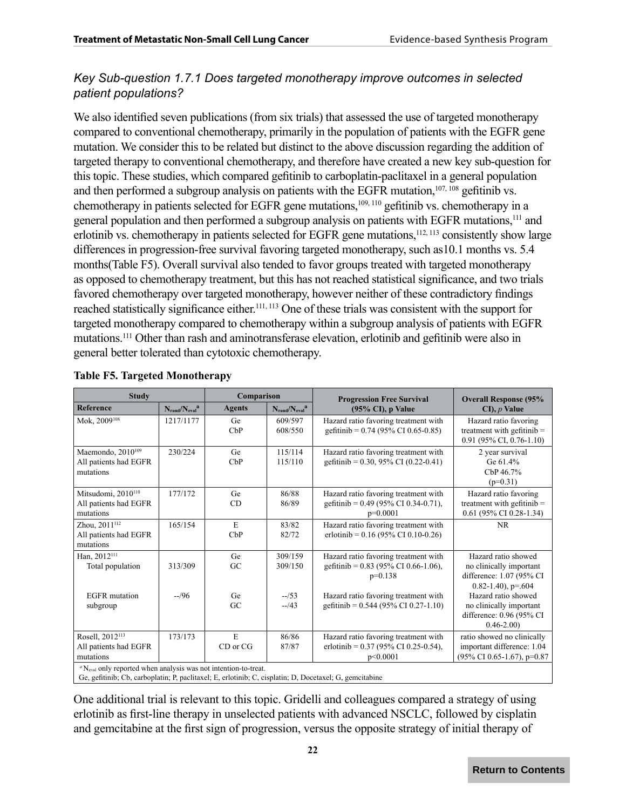#### <span id="page-22-0"></span>*Key Sub-question 1.7.1 Does targeted monotherapy improve outcomes in selected patient populations?*

We also identified seven publications (from six trials) that assessed the use of targeted monotherapy compared to conventional chemotherapy, primarily in the population of patients with the EGFR gene mutation. We consider this to be related but distinct to the above discussion regarding the addition of targeted therapy to conventional chemotherapy, and therefore have created a new key sub-question for this topic. These studies, which compared gefitinib to carboplatin-paclitaxel in a general population and then performed a subgroup analysis on patients with the EGFR mutation, $107, 108$  gefitinib vs. chemotherapy in patients selected for EGFR gene mutations,<sup>109, 110</sup> gefitinib vs. chemotherapy in a general population and then performed a subgroup analysis on patients with EGFR mutations,<sup>111</sup> and erlotinib vs. chemotherapy in patients selected for EGFR gene mutations,<sup>112, 113</sup> consistently show large differences in progression-free survival favoring targeted monotherapy, such as10.1 months vs. 5.4 months(Table F5). Overall survival also tended to favor groups treated with targeted monotherapy as opposed to chemotherapy treatment, but this has not reached statistical significance, and two trials favored chemotherapy over targeted monotherapy, however neither of these contradictory findings reached statistically significance either.<sup>111, 113</sup> One of these trials was consistent with the support for targeted monotherapy compared to chemotherapy within a subgroup analysis of patients with EGFR mutations.111 Other than rash and aminotransferase elevation, erlotinib and gefitinib were also in general better tolerated than cytotoxic chemotherapy.

| <b>Study</b>                                                                                                                               |                       | Comparison    |                       | <b>Progression Free Survival</b>                                                             | <b>Overall Response (95%</b>                                                                          |  |  |
|--------------------------------------------------------------------------------------------------------------------------------------------|-----------------------|---------------|-----------------------|----------------------------------------------------------------------------------------------|-------------------------------------------------------------------------------------------------------|--|--|
| <b>Reference</b>                                                                                                                           | $N_{rand}/N_{eval}^a$ | <b>Agents</b> | $N_{rand}/N_{eval}^a$ | $(95\% \text{ CI})$ , p Value                                                                | $CI$ ), p Value                                                                                       |  |  |
| Mok, 2009 <sup>108</sup>                                                                                                                   | 1217/1177             | Ge<br>CbP     | 609/597<br>608/550    | Hazard ratio favoring treatment with<br>gefitinib = $0.74$ (95% CI 0.65-0.85)                | Hazard ratio favoring<br>treatment with gefitinib $=$<br>0.91 (95% CI, 0.76-1.10)                     |  |  |
| Maemondo, 2010 <sup>109</sup><br>All patients had EGFR<br>mutations                                                                        | 230/224               | Ge<br>CbP     | 115/114<br>115/110    | Hazard ratio favoring treatment with<br>gefitinib = $0.30, 95\%$ CI (0.22-0.41)              | 2 year survival<br>Ge $61.4\%$<br>CbP 46.7%<br>$(p=0.31)$                                             |  |  |
| Mitsudomi, 2010 <sup>110</sup><br>All patients had EGFR<br>mutations                                                                       | 177/172               | Ge<br>CD      | 86/88<br>86/89        | Hazard ratio favoring treatment with<br>gefitinib = $0.49$ (95% CI 0.34-0.71),<br>$p=0.0001$ | Hazard ratio favoring<br>treatment with gefitinib $=$<br>0.61 (95% CI 0.28-1.34)                      |  |  |
| Zhou, 2011 <sup>112</sup><br>All patients had EGFR<br>mutations                                                                            | 165/154               | E<br>CbP      | 83/82<br>82/72        | Hazard ratio favoring treatment with<br>erlotinib = $0.16$ (95% CI 0.10-0.26)                | <b>NR</b>                                                                                             |  |  |
| Han, 2012 <sup>111</sup><br>Total population                                                                                               | 313/309               | Ge<br>GC      | 309/159<br>309/150    | Hazard ratio favoring treatment with<br>gefitinib = $0.83$ (95% CI 0.66-1.06),<br>$p=0.138$  | Hazard ratio showed<br>no clinically important<br>difference: 1.07 (95% CI<br>$0.82 - 1.40$ , p=.604  |  |  |
| <b>EGFR</b> mutation<br>subgroup                                                                                                           | $-296$                | Ge<br>GC      | $-1/53$<br>$-43$      | Hazard ratio favoring treatment with<br>gefitinib = $0.544$ (95% CI 0.27-1.10)               | Hazard ratio showed<br>no clinically important<br>difference: 0.96 (95% CI<br>$0.46 - 2.00$           |  |  |
| Rosell, 2012 <sup>113</sup><br>All patients had EGFR<br>mutations<br><sup>a</sup> N only reported when analysis was not intention to treat | 173/173               | E<br>CD or CG | 86/86<br>87/87        | Hazard ratio favoring treatment with<br>erlotinib = $0.37$ (95% CI 0.25-0.54),<br>p<0.0001   | ratio showed no clinically<br>important difference: 1.04<br>$(95\% \text{ CI } 0.65 - 1.67)$ , p=0.87 |  |  |

|  | Table F5. Targeted Monotherapy |
|--|--------------------------------|
|--|--------------------------------|

N<sub>eval</sub> only reported when analysis was not intention-to-treat.

Ge, gefitinib; Cb, carboplatin; P, paclitaxel; E, erlotinib; C, cisplatin; D, Docetaxel; G, gemcitabine

One additional trial is relevant to this topic. Gridelli and colleagues compared a strategy of using erlotinib as first-line therapy in unselected patients with advanced NSCLC, followed by cisplatin and gemcitabine at the first sign of progression, versus the opposite strategy of initial therapy of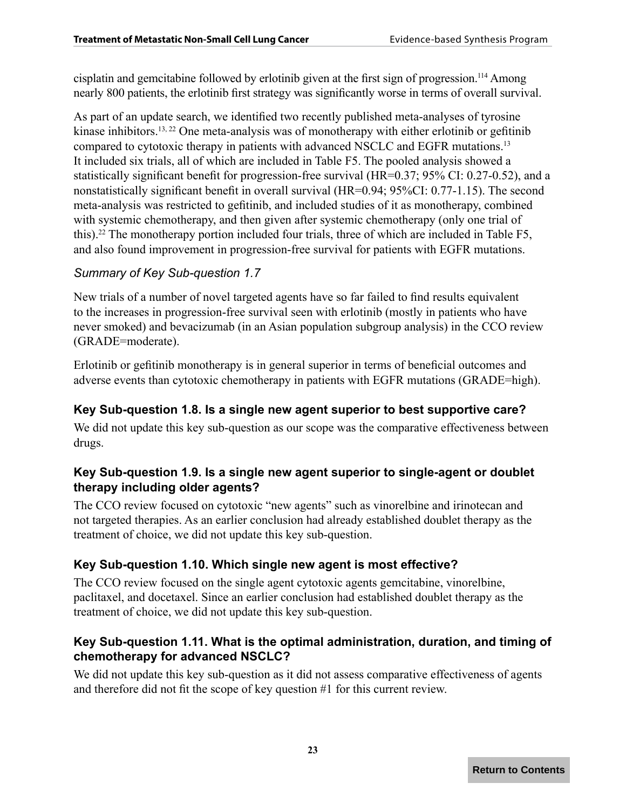<span id="page-23-0"></span>cisplatin and gemcitabine followed by erlotinib given at the first sign of progression.114 Among nearly 800 patients, the erlotinib first strategy was significantly worse in terms of overall survival.

As part of an update search, we identified two recently published meta-analyses of tyrosine kinase inhibitors.<sup>13, 22</sup> One meta-analysis was of monotherapy with either erlotinib or gefitinib compared to cytotoxic therapy in patients with advanced NSCLC and EGFR mutations.13 It included six trials, all of which are included in Table F5. The pooled analysis showed a statistically significant benefit for progression-free survival (HR=0.37; 95% CI: 0.27-0.52), and a nonstatistically significant benefit in overall survival (HR=0.94; 95%CI: 0.77-1.15). The second meta-analysis was restricted to gefitinib, and included studies of it as monotherapy, combined with systemic chemotherapy, and then given after systemic chemotherapy (only one trial of this).22 The monotherapy portion included four trials, three of which are included in Table F5, and also found improvement in progression-free survival for patients with EGFR mutations.

#### *Summary of Key Sub-question 1.7*

New trials of a number of novel targeted agents have so far failed to find results equivalent to the increases in progression-free survival seen with erlotinib (mostly in patients who have never smoked) and bevacizumab (in an Asian population subgroup analysis) in the CCO review (GRADE=moderate).

Erlotinib or gefitinib monotherapy is in general superior in terms of beneficial outcomes and adverse events than cytotoxic chemotherapy in patients with EGFR mutations (GRADE=high).

#### **Key Sub-question 1.8. Is a single new agent superior to best supportive care?**

We did not update this key sub-question as our scope was the comparative effectiveness between drugs.

#### **Key Sub-question 1.9. Is a single new agent superior to single-agent or doublet therapy including older agents?**

The CCO review focused on cytotoxic "new agents" such as vinorelbine and irinotecan and not targeted therapies. As an earlier conclusion had already established doublet therapy as the treatment of choice, we did not update this key sub-question.

#### **Key Sub-question 1.10. Which single new agent is most effective?**

The CCO review focused on the single agent cytotoxic agents gemcitabine, vinorelbine, paclitaxel, and docetaxel. Since an earlier conclusion had established doublet therapy as the treatment of choice, we did not update this key sub-question.

#### **Key Sub-question 1.11. What is the optimal administration, duration, and timing of chemotherapy for advanced nsclc?**

We did not update this key sub-question as it did not assess comparative effectiveness of agents and therefore did not fit the scope of key question #1 for this current review.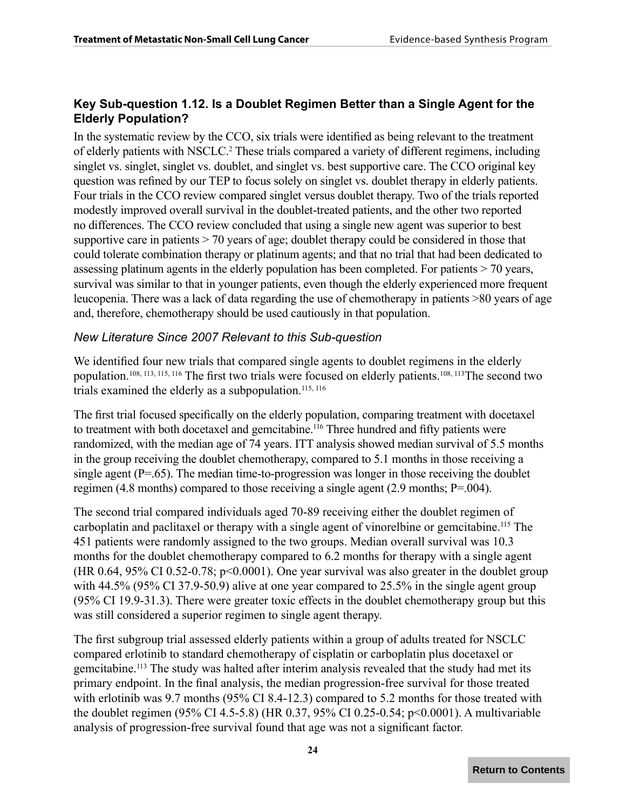#### <span id="page-24-0"></span>**Key Sub-question 1.12. Is a Doublet Regimen Better than a Single Agent for the Elderly Population?**

In the systematic review by the CCO, six trials were identified as being relevant to the treatment of elderly patients with NSCLC.<sup>2</sup> These trials compared a variety of different regimens, including singlet vs. singlet, singlet vs. doublet, and singlet vs. best supportive care. The CCO original key question was refined by our TEP to focus solely on singlet vs. doublet therapy in elderly patients. Four trials in the CCO review compared singlet versus doublet therapy. Two of the trials reported modestly improved overall survival in the doublet-treated patients, and the other two reported no differences. The CCO review concluded that using a single new agent was superior to best supportive care in patients > 70 years of age; doublet therapy could be considered in those that could tolerate combination therapy or platinum agents; and that no trial that had been dedicated to assessing platinum agents in the elderly population has been completed. For patients > 70 years, survival was similar to that in younger patients, even though the elderly experienced more frequent leucopenia. There was a lack of data regarding the use of chemotherapy in patients >80 years of age and, therefore, chemotherapy should be used cautiously in that population.

#### *New Literature Since 2007 Relevant to this Sub-question*

We identified four new trials that compared single agents to doublet regimens in the elderly population.108, 113, 115, 116 The first two trials were focused on elderly patients.108, 113The second two trials examined the elderly as a subpopulation.<sup>115, 116</sup>

The first trial focused specifically on the elderly population, comparing treatment with docetaxel to treatment with both docetaxel and gemcitabine.<sup>116</sup> Three hundred and fifty patients were randomized, with the median age of 74 years. ITT analysis showed median survival of 5.5 months in the group receiving the doublet chemotherapy, compared to 5.1 months in those receiving a single agent  $(P=.65)$ . The median time-to-progression was longer in those receiving the doublet regimen (4.8 months) compared to those receiving a single agent (2.9 months; P=.004).

The second trial compared individuals aged 70-89 receiving either the doublet regimen of carboplatin and paclitaxel or therapy with a single agent of vinorelbine or gemcitabine.115 The 451 patients were randomly assigned to the two groups. Median overall survival was 10.3 months for the doublet chemotherapy compared to 6.2 months for therapy with a single agent (HR 0.64, 95% CI 0.52-0.78; p<0.0001). One year survival was also greater in the doublet group with 44.5% (95% CI 37.9-50.9) alive at one year compared to 25.5% in the single agent group (95% CI 19.9-31.3). There were greater toxic effects in the doublet chemotherapy group but this was still considered a superior regimen to single agent therapy.

The first subgroup trial assessed elderly patients within a group of adults treated for NSCLC compared erlotinib to standard chemotherapy of cisplatin or carboplatin plus docetaxel or gemcitabine.<sup>113</sup> The study was halted after interim analysis revealed that the study had met its primary endpoint. In the final analysis, the median progression-free survival for those treated with erlotinib was 9.7 months (95% CI 8.4-12.3) compared to 5.2 months for those treated with the doublet regimen (95% CI 4.5-5.8) (HR 0.37, 95% CI 0.25-0.54; p<0.0001). A multivariable analysis of progression-free survival found that age was not a significant factor.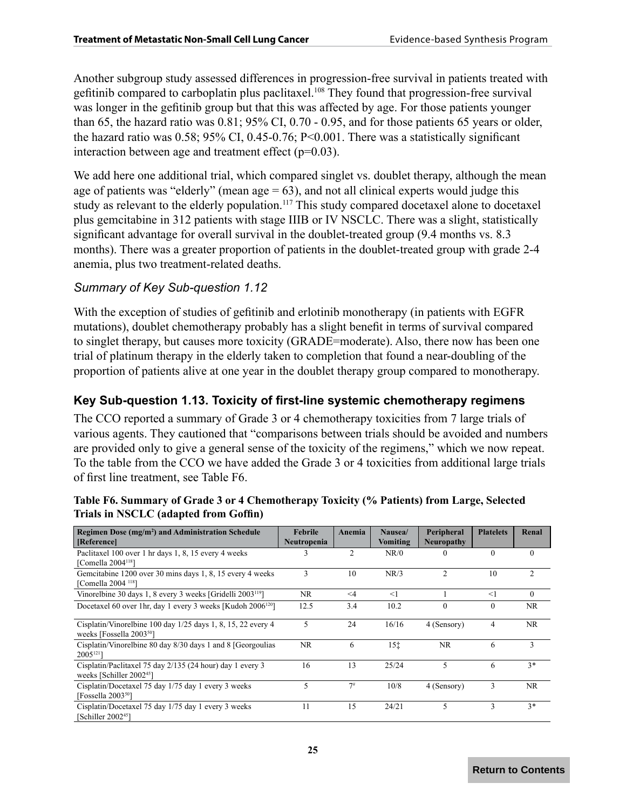<span id="page-25-0"></span>Another subgroup study assessed differences in progression-free survival in patients treated with gefitinib compared to carboplatin plus paclitaxel.<sup>108</sup> They found that progression-free survival was longer in the gefitinib group but that this was affected by age. For those patients younger than 65, the hazard ratio was 0.81; 95% CI, 0.70 - 0.95, and for those patients 65 years or older, the hazard ratio was  $0.58$ ;  $95\%$  CI,  $0.45$ -0.76; P<0.001. There was a statistically significant interaction between age and treatment effect (p=0.03).

We add here one additional trial, which compared singlet vs. doublet therapy, although the mean age of patients was "elderly" (mean  $age = 63$ ), and not all clinical experts would judge this study as relevant to the elderly population.<sup>117</sup> This study compared docetaxel alone to docetaxel plus gemcitabine in 312 patients with stage IIIB or IV NSCLC. There was a slight, statistically significant advantage for overall survival in the doublet-treated group (9.4 months vs. 8.3 months). There was a greater proportion of patients in the doublet-treated group with grade 2-4 anemia, plus two treatment-related deaths.

#### *Summary of Key Sub-question 1.12*

With the exception of studies of gefitinib and erlotinib monotherapy (in patients with EGFR mutations), doublet chemotherapy probably has a slight benefit in terms of survival compared to singlet therapy, but causes more toxicity (GRADE=moderate). Also, there now has been one trial of platinum therapy in the elderly taken to completion that found a near-doubling of the proportion of patients alive at one year in the doublet therapy group compared to monotherapy.

#### **Key Sub-question 1.13. Toxicity of first-line systemic chemotherapy regimens**

The CCO reported a summary of Grade 3 or 4 chemotherapy toxicities from 7 large trials of various agents. They cautioned that "comparisons between trials should be avoided and numbers are provided only to give a general sense of the toxicity of the regimens," which we now repeat. To the table from the CCO we have added the Grade 3 or 4 toxicities from additional large trials of first line treatment, see Table F6.

| Regimen Dose (mg/m <sup>2</sup> ) and Administration Schedule<br>[Reference]                         | Febrile<br><b>Neutropenia</b> | Anemia         | Nausea/<br>Vomiting | Peripheral<br><b>Neuropathy</b> | <b>Platelets</b> | Renal          |
|------------------------------------------------------------------------------------------------------|-------------------------------|----------------|---------------------|---------------------------------|------------------|----------------|
| Paclitaxel 100 over 1 hr days 1, 8, 15 every 4 weeks<br>[Comella $2004^{118}$ ]                      | 3                             | $\overline{2}$ | NR/0                | 0                               | $\theta$         | $\theta$       |
| Gemcitabine 1200 over 30 mins days 1, 8, 15 every 4 weeks<br>[Comella 2004 $118$ ]                   | 3                             | 10             | NR/3                | $\overline{2}$                  | 10               | $\mathfrak{D}$ |
| Vinorelbine 30 days 1, 8 every 3 weeks [Gridelli 2003 <sup>119</sup> ]                               | NR.                           | $\leq 4$       | <1                  |                                 | <1               | $\theta$       |
| Docetaxel 60 over 1hr, day 1 every 3 weeks [Kudoh 2006 <sup>120</sup> ]                              | 12.5                          | 3.4            | 10.2                | $\theta$                        | $\theta$         | <b>NR</b>      |
| Cisplatin/Vinorelbine 100 day 1/25 days 1, 8, 15, 22 every 4<br>weeks [Fossella 2003 <sup>50</sup> ] | 5                             | 24             | 16/16               | 4 (Sensory)                     | $\overline{4}$   | <b>NR</b>      |
| Cisplatin/Vinorelbine 80 day 8/30 days 1 and 8 [Georgoulias]<br>$2005^{121}$                         | NR.                           | 6              | 151                 | <b>NR</b>                       | 6                | 3              |
| Cisplatin/Paclitaxel 75 day 2/135 (24 hour) day 1 every 3<br>weeks [Schiller 2002 <sup>45</sup> ]    | 16                            | 13             | 25/24               | 5                               | 6                | $3*$           |
| Cisplatin/Docetaxel 75 day 1/75 day 1 every 3 weeks<br>[Fossella 2003 <sup>50</sup> ]                | 5                             | $7^{\#}$       | 10/8                | 4 (Sensory)                     | 3                | <b>NR</b>      |
| Cisplatin/Docetaxel 75 day 1/75 day 1 every 3 weeks<br>[Schiller 2002 <sup>45</sup> ]                | 11                            | 15             | 24/21               | 5                               | 3                | $3*$           |

#### **Table F6. Summary of Grade 3 or 4 Chemotherapy Toxicity (% Patients) from Large, Selected Trials in NSCLC (adapted from Goffin)**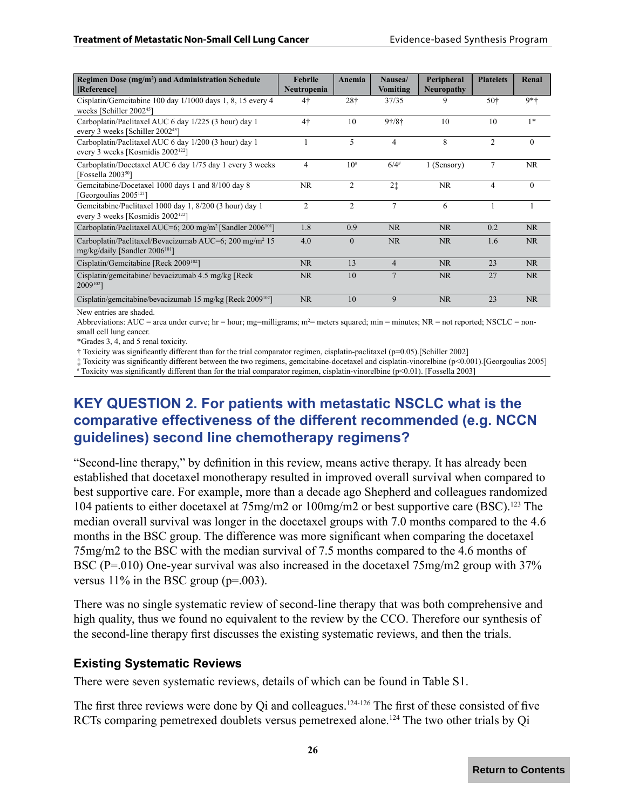<span id="page-26-0"></span>

| Regimen Dose (mg/m <sup>2</sup> ) and Administration Schedule                                                    | Febrile        | Anemia         | Nausea/        | Peripheral        | <b>Platelets</b> | Renal    |
|------------------------------------------------------------------------------------------------------------------|----------------|----------------|----------------|-------------------|------------------|----------|
| [Reference]                                                                                                      | Neutropenia    |                | Vomiting       | <b>Neuropathy</b> |                  |          |
| Cisplatin/Gemeitabine 100 day 1/1000 days 1, 8, 15 every 4<br>weeks [Schiller 2002 <sup>45</sup> ]               | 4 <sup>†</sup> | 28†            | 37/35          | 9                 | 50 <sup>†</sup>  | $9*+$    |
| Carboplatin/Paclitaxel AUC 6 day 1/225 (3 hour) day 1<br>every 3 weeks [Schiller 2002 <sup>45</sup> ]            | 4†             | 10             | 91/81          | 10                | 10               | $1*$     |
| Carboplatin/Paclitaxel AUC 6 day 1/200 (3 hour) day 1<br>every 3 weeks [Kosmidis 2002 <sup>122</sup> ]           |                | 5              | 4              | 8                 | 2                | $\theta$ |
| Carboplatin/Docetaxel AUC 6 day 1/75 day 1 every 3 weeks<br>[Fossella 2003 <sup>50</sup> ]                       | 4              | $10^{#}$       | $6/4^{\#}$     | 1 (Sensory)       | 7                | NR.      |
| Gemcitabine/Docetaxel 1000 days 1 and 8/100 day 8<br>[Georgoulias 2005 <sup>121</sup> ]                          | <b>NR</b>      | $\overline{c}$ | 21             | <b>NR</b>         | 4                | $\theta$ |
| Gemcitabine/Paclitaxel 1000 day 1, 8/200 (3 hour) day 1<br>every 3 weeks [Kosmidis 2002 <sup>122</sup> ]         | $\overline{2}$ | $\overline{2}$ | $\overline{7}$ | 6                 |                  |          |
| Carboplatin/Paclitaxel AUC=6; 200 mg/m <sup>2</sup> [Sandler 2006 <sup>101</sup> ]                               | 1.8            | 0.9            | NR.            | <b>NR</b>         | 0.2              | NR.      |
| Carboplatin/Paclitaxel/Bevacizumab AUC=6; 200 mg/m <sup>2</sup> 15<br>mg/kg/daily [Sandler 2006 <sup>101</sup> ] | 4.0            | $\theta$       | NR.            | <b>NR</b>         | 1.6              | NR.      |
| Cisplatin/Gemcitabine [Reck 2009 <sup>102</sup> ]                                                                | NR.            | 13             | $\overline{4}$ | NR                | 23               | NR.      |
| Cisplatin/gemcitabine/ bevacizumab 4.5 mg/kg [Reck]<br>$2009^{102}$ ]                                            | <b>NR</b>      | 10             | $\overline{7}$ | <b>NR</b>         | 27               | NR.      |
| Cisplatin/gemcitabine/bevacizumab 15 mg/kg [Reck 2009 <sup>102</sup> ]                                           | <b>NR</b>      | 10             | 9              | NR                | 23               | NR       |

New entries are shaded.

Abbreviations: AUC = area under curve;  $hr = hour$ ; mg=milligrams; m<sup>2</sup>= meters squared; min = minutes; NR = not reported; NSCLC = nonsmall cell lung cancer.

\*Grades 3, 4, and 5 renal toxicity.

† Toxicity was significantly different than for the trial comparator regimen, cisplatin-paclitaxel (p=0.05).[Schiller 2002]

‡ Toxicity was significantly different between the two regimens, gemcitabine-docetaxel and cisplatin-vinorelbine (p<0.001).[Georgoulias 2005]

# Toxicity was significantly different than for the trial comparator regimen, cisplatin-vinorelbine (p<0.01). [Fossella 2003]

# **KEY QUESTION 2. For patients with metastatic NSCLC what is the comparative effectiveness of the different recommended (e.g. NCCN guidelines) second line chemotherapy regimens?**

"Second-line therapy," by definition in this review, means active therapy. It has already been established that docetaxel monotherapy resulted in improved overall survival when compared to best supportive care. For example, more than a decade ago Shepherd and colleagues randomized 104 patients to either docetaxel at 75mg/m2 or 100mg/m2 or best supportive care (BSC).123 The median overall survival was longer in the docetaxel groups with 7.0 months compared to the 4.6 months in the BSC group. The difference was more significant when comparing the docetaxel 75mg/m2 to the BSC with the median survival of 7.5 months compared to the 4.6 months of BSC (P=.010) One-year survival was also increased in the docetaxel 75mg/m2 group with 37% versus  $11\%$  in the BSC group ( $p=.003$ ).

There was no single systematic review of second-line therapy that was both comprehensive and high quality, thus we found no equivalent to the review by the CCO. Therefore our synthesis of the second-line therapy first discusses the existing systematic reviews, and then the trials.

#### **Existing Systematic Reviews**

There were seven systematic reviews, details of which can be found in Table S1.

The first three reviews were done by Qi and colleagues.<sup>124-126</sup> The first of these consisted of five RCTs comparing pemetrexed doublets versus pemetrexed alone.<sup>124</sup> The two other trials by Qi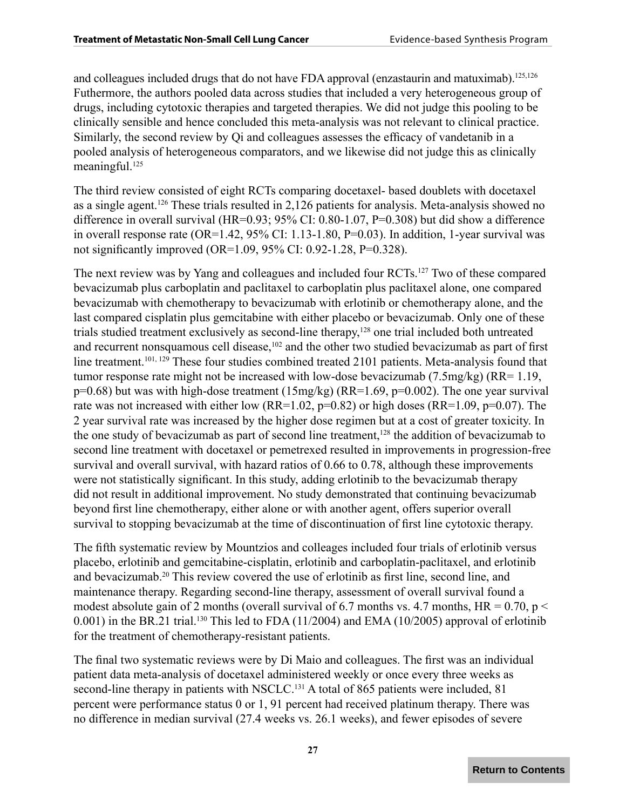<span id="page-27-0"></span>and colleagues included drugs that do not have FDA approval (enzastaurin and matuximab).<sup>125,126</sup> Futhermore, the authors pooled data across studies that included a very heterogeneous group of drugs, including cytotoxic therapies and targeted therapies. We did not judge this pooling to be clinically sensible and hence concluded this meta-analysis was not relevant to clinical practice. Similarly, the second review by Qi and colleagues assesses the efficacy of vandetanib in a pooled analysis of heterogeneous comparators, and we likewise did not judge this as clinically meaningful. $125$ 

The third review consisted of eight RCTs comparing docetaxel- based doublets with docetaxel as a single agent.126 These trials resulted in 2,126 patients for analysis. Meta-analysis showed no difference in overall survival (HR=0.93; 95% CI: 0.80-1.07, P=0.308) but did show a difference in overall response rate (OR=1.42, 95% CI: 1.13-1.80, P=0.03). In addition, 1-year survival was not significantly improved (OR=1.09, 95% CI: 0.92-1.28, P=0.328).

The next review was by Yang and colleagues and included four RCTs.127 Two of these compared bevacizumab plus carboplatin and paclitaxel to carboplatin plus paclitaxel alone, one compared bevacizumab with chemotherapy to bevacizumab with erlotinib or chemotherapy alone, and the last compared cisplatin plus gemcitabine with either placebo or bevacizumab. Only one of these trials studied treatment exclusively as second-line therapy,128 one trial included both untreated and recurrent nonsquamous cell disease, $102$  and the other two studied bevacizumab as part of first line treatment.<sup>101, 129</sup> These four studies combined treated 2101 patients. Meta-analysis found that tumor response rate might not be increased with low-dose bevacizumab (7.5mg/kg) (RR= 1.19,  $p=0.68$ ) but was with high-dose treatment (15mg/kg) (RR=1.69,  $p=0.002$ ). The one year survival rate was not increased with either low (RR=1.02,  $p=0.82$ ) or high doses (RR=1.09,  $p=0.07$ ). The 2 year survival rate was increased by the higher dose regimen but at a cost of greater toxicity. In the one study of bevacizumab as part of second line treatment,<sup>128</sup> the addition of bevacizumab to second line treatment with docetaxel or pemetrexed resulted in improvements in progression-free survival and overall survival, with hazard ratios of 0.66 to 0.78, although these improvements were not statistically significant. In this study, adding erlotinib to the bevacizumab therapy did not result in additional improvement. No study demonstrated that continuing bevacizumab beyond first line chemotherapy, either alone or with another agent, offers superior overall survival to stopping bevacizumab at the time of discontinuation of first line cytotoxic therapy.

The fifth systematic review by Mountzios and colleages included four trials of erlotinib versus placebo, erlotinib and gemcitabine-cisplatin, erlotinib and carboplatin-paclitaxel, and erlotinib and bevacizumab.20 This review covered the use of erlotinib as first line, second line, and maintenance therapy. Regarding second-line therapy, assessment of overall survival found a modest absolute gain of 2 months (overall survival of 6.7 months vs. 4.7 months,  $HR = 0.70$ , p < 0.001) in the BR.21 trial.<sup>130</sup> This led to FDA (11/2004) and EMA (10/2005) approval of erlotinib for the treatment of chemotherapy-resistant patients.

The final two systematic reviews were by Di Maio and colleagues. The first was an individual patient data meta-analysis of docetaxel administered weekly or once every three weeks as second-line therapy in patients with NSCLC.<sup>131</sup> A total of 865 patients were included, 81 percent were performance status 0 or 1, 91 percent had received platinum therapy. There was no difference in median survival (27.4 weeks vs. 26.1 weeks), and fewer episodes of severe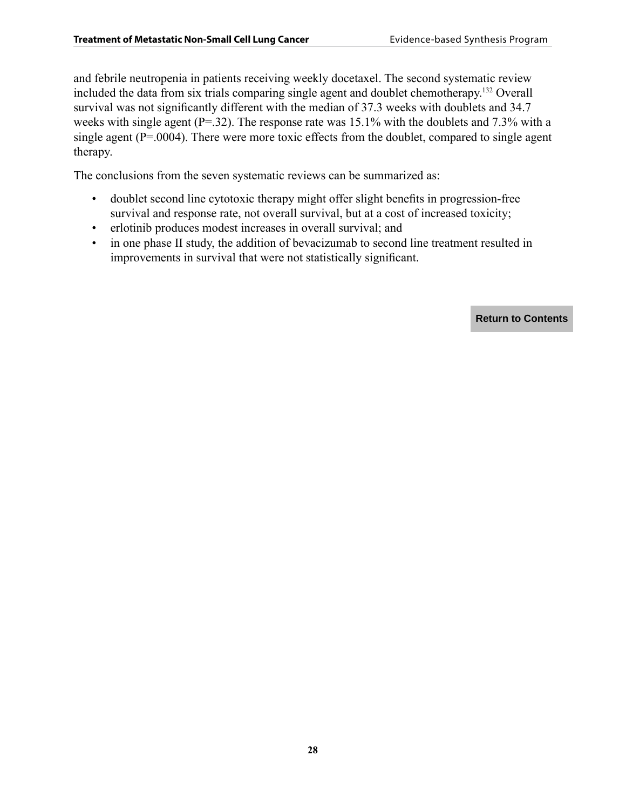and febrile neutropenia in patients receiving weekly docetaxel. The second systematic review included the data from six trials comparing single agent and doublet chemotherapy.132 Overall survival was not significantly different with the median of 37.3 weeks with doublets and 34.7 weeks with single agent (P=.32). The response rate was 15.1% with the doublets and 7.3% with a single agent (P=.0004). There were more toxic effects from the doublet, compared to single agent therapy.

The conclusions from the seven systematic reviews can be summarized as:

- doublet second line cytotoxic therapy might offer slight benefits in progression-free survival and response rate, not overall survival, but at a cost of increased toxicity;
- erlotinib produces modest increases in overall survival; and
- in one phase II study, the addition of bevacizumab to second line treatment resulted in improvements in survival that were not statistically significant.

**Return to Contents**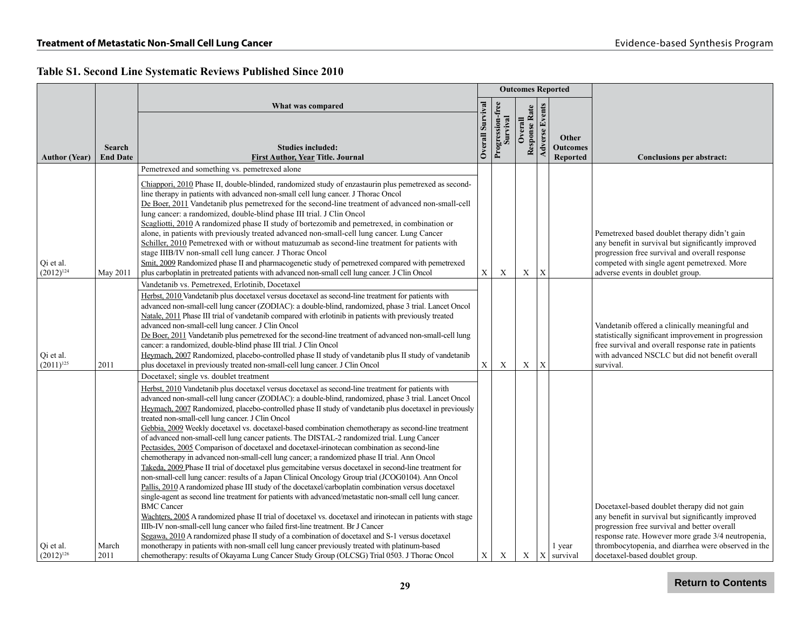#### <span id="page-29-0"></span>**Table S1. Second Line Systematic Reviews Published Since 2010**

|                             |                                  |                                                                                                                                                                                                                                                                                                                                                                                                                                                                                                                                                                                                                                                                                                                                                                                                                                                                                                                                                                                                                                                                                                                                                                                                                                                                                                                                                                                                                                                                                                                                                                                                                                                                                                                                                                                         |                         |                              |                                 |                           | <b>Outcomes Reported</b>             |                                                                                                                                                                                                                                                                                                   |
|-----------------------------|----------------------------------|-----------------------------------------------------------------------------------------------------------------------------------------------------------------------------------------------------------------------------------------------------------------------------------------------------------------------------------------------------------------------------------------------------------------------------------------------------------------------------------------------------------------------------------------------------------------------------------------------------------------------------------------------------------------------------------------------------------------------------------------------------------------------------------------------------------------------------------------------------------------------------------------------------------------------------------------------------------------------------------------------------------------------------------------------------------------------------------------------------------------------------------------------------------------------------------------------------------------------------------------------------------------------------------------------------------------------------------------------------------------------------------------------------------------------------------------------------------------------------------------------------------------------------------------------------------------------------------------------------------------------------------------------------------------------------------------------------------------------------------------------------------------------------------------|-------------------------|------------------------------|---------------------------------|---------------------------|--------------------------------------|---------------------------------------------------------------------------------------------------------------------------------------------------------------------------------------------------------------------------------------------------------------------------------------------------|
| <b>Author (Year)</b>        | <b>Search</b><br><b>End Date</b> | What was compared<br><b>Studies included:</b><br><b>First Author, Year Title. Journal</b>                                                                                                                                                                                                                                                                                                                                                                                                                                                                                                                                                                                                                                                                                                                                                                                                                                                                                                                                                                                                                                                                                                                                                                                                                                                                                                                                                                                                                                                                                                                                                                                                                                                                                               | <b>Overall Survival</b> | Progression-free<br>Survival | <b>Overall</b><br>Response Rate | <b>Adverse Events</b>     | Other<br><b>Outcomes</b><br>Reported | <b>Conclusions per abstract:</b>                                                                                                                                                                                                                                                                  |
|                             |                                  | Pemetrexed and something vs. pemetrexed alone                                                                                                                                                                                                                                                                                                                                                                                                                                                                                                                                                                                                                                                                                                                                                                                                                                                                                                                                                                                                                                                                                                                                                                                                                                                                                                                                                                                                                                                                                                                                                                                                                                                                                                                                           |                         |                              |                                 |                           |                                      |                                                                                                                                                                                                                                                                                                   |
| Qi et al.<br>$(2012)^{124}$ | May 2011                         | Chiappori, 2010 Phase II, double-blinded, randomized study of enzastaurin plus pemetrexed as second-<br>line therapy in patients with advanced non-small cell lung cancer. J Thorac Oncol<br>De Boer, 2011 Vandetanib plus pemetrexed for the second-line treatment of advanced non-small-cell<br>lung cancer: a randomized, double-blind phase III trial. J Clin Oncol<br>Scagliotti, 2010 A randomized phase II study of bortezomib and pemetrexed, in combination or<br>alone, in patients with previously treated advanced non-small-cell lung cancer. Lung Cancer<br>Schiller, 2010 Pemetrexed with or without matuzumab as second-line treatment for patients with<br>stage IIIB/IV non-small cell lung cancer. J Thorac Oncol<br>Smit, 2009 Randomized phase II and pharmacogenetic study of pemetrexed compared with pemetrexed<br>plus carboplatin in pretreated patients with advanced non-small cell lung cancer. J Clin Oncol                                                                                                                                                                                                                                                                                                                                                                                                                                                                                                                                                                                                                                                                                                                                                                                                                                               | $\mathbf X$             | X                            | $\boldsymbol{\mathrm{X}}$       | $\boldsymbol{\mathrm{X}}$ |                                      | Pemetrexed based doublet therapy didn't gain<br>any benefit in survival but significantly improved<br>progression free survival and overall response<br>competed with single agent pemetrexed. More<br>adverse events in doublet group.                                                           |
| Oi et al.<br>$(2011)^{125}$ | 2011                             | Vandetanib vs. Pemetrexed, Erlotinib, Docetaxel<br>Herbst, 2010 Vandetanib plus docetaxel versus docetaxel as second-line treatment for patients with<br>advanced non-small-cell lung cancer (ZODIAC): a double-blind, randomized, phase 3 trial. Lancet Oncol<br>Natale, 2011 Phase III trial of vandetanib compared with erlotinib in patients with previously treated<br>advanced non-small-cell lung cancer. J Clin Oncol<br>De Boer, 2011 Vandetanib plus pemetrexed for the second-line treatment of advanced non-small-cell lung<br>cancer: a randomized, double-blind phase III trial. J Clin Oncol<br>Heymach, 2007 Randomized, placebo-controlled phase II study of vandetanib plus II study of vandetanib<br>plus docetaxel in previously treated non-small-cell lung cancer. J Clin Oncol                                                                                                                                                                                                                                                                                                                                                                                                                                                                                                                                                                                                                                                                                                                                                                                                                                                                                                                                                                                   | X                       | X                            | X                               | X                         |                                      | Vandetanib offered a clinically meaningful and<br>statistically significant improvement in progression<br>free survival and overall response rate in patients<br>with advanced NSCLC but did not benefit overall<br>survival.                                                                     |
| Qi et al.<br>$(2012)^{126}$ | March<br>2011                    | Docetaxel; single vs. doublet treatment<br>Herbst, 2010 Vandetanib plus docetaxel versus docetaxel as second-line treatment for patients with<br>advanced non-small-cell lung cancer (ZODIAC): a double-blind, randomized, phase 3 trial. Lancet Oncol<br>Heymach, 2007 Randomized, placebo-controlled phase II study of vandetanib plus docetaxel in previously<br>treated non-small-cell lung cancer. J Clin Oncol<br>Gebbia, 2009 Weekly docetaxel vs. docetaxel-based combination chemotherapy as second-line treatment<br>of advanced non-small-cell lung cancer patients. The DISTAL-2 randomized trial. Lung Cancer<br>Pectasides, 2005 Comparison of docetaxel and docetaxel-irinotecan combination as second-line<br>chemotherapy in advanced non-small-cell lung cancer; a randomized phase II trial. Ann Oncol<br>Takeda, 2009 Phase II trial of docetaxel plus gemcitabine versus docetaxel in second-line treatment for<br>non-small-cell lung cancer: results of a Japan Clinical Oncology Group trial (JCOG0104). Ann Oncol<br>Pallis, 2010 A randomized phase III study of the docetaxel/carboplatin combination versus docetaxel<br>single-agent as second line treatment for patients with advanced/metastatic non-small cell lung cancer.<br><b>BMC</b> Cancer<br>Wachters, 2005 A randomized phase II trial of docetaxel vs. docetaxel and irinotecan in patients with stage<br>IIIb-IV non-small-cell lung cancer who failed first-line treatment. Br J Cancer<br>Segawa, 2010 A randomized phase II study of a combination of docetaxel and S-1 versus docetaxel<br>monotherapy in patients with non-small cell lung cancer previously treated with platinum-based<br>chemotherapy: results of Okayama Lung Cancer Study Group (OLCSG) Trial 0503. J Thorac Oncol | $\mathbf X$             | X                            | $\mathbf{X}$                    |                           | 1 year<br>$ X $ survival             | Docetaxel-based doublet therapy did not gain<br>any benefit in survival but significantly improved<br>progression free survival and better overall<br>response rate. However more grade 3/4 neutropenia,<br>thrombocytopenia, and diarrhea were observed in the<br>docetaxel-based doublet group. |
|                             |                                  |                                                                                                                                                                                                                                                                                                                                                                                                                                                                                                                                                                                                                                                                                                                                                                                                                                                                                                                                                                                                                                                                                                                                                                                                                                                                                                                                                                                                                                                                                                                                                                                                                                                                                                                                                                                         |                         |                              |                                 |                           |                                      |                                                                                                                                                                                                                                                                                                   |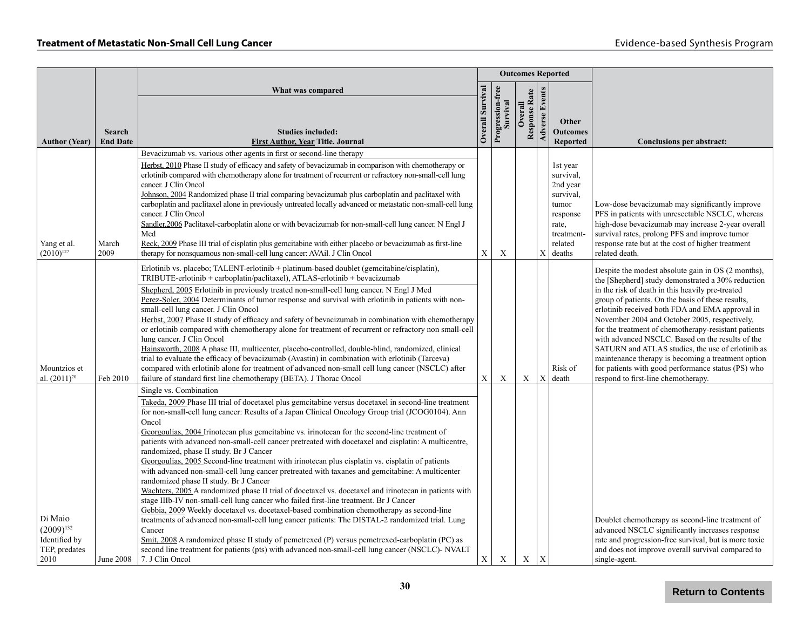|                                                                     |                                  |                                                                                                                                                                                                                                                                                                                                                                                                                                                                                                                                                                                                                                                                                                                                                                                                                                                                                                                                                                                                                                                                                                                                                                                                                                                                                                                                                                                       |                           |                              |                           |                       | <b>Outcomes Reported</b>                                                                                        |                                                                                                                                                                                                                                                                                                                                                                                                                                                                                                                                                                                    |
|---------------------------------------------------------------------|----------------------------------|---------------------------------------------------------------------------------------------------------------------------------------------------------------------------------------------------------------------------------------------------------------------------------------------------------------------------------------------------------------------------------------------------------------------------------------------------------------------------------------------------------------------------------------------------------------------------------------------------------------------------------------------------------------------------------------------------------------------------------------------------------------------------------------------------------------------------------------------------------------------------------------------------------------------------------------------------------------------------------------------------------------------------------------------------------------------------------------------------------------------------------------------------------------------------------------------------------------------------------------------------------------------------------------------------------------------------------------------------------------------------------------|---------------------------|------------------------------|---------------------------|-----------------------|-----------------------------------------------------------------------------------------------------------------|------------------------------------------------------------------------------------------------------------------------------------------------------------------------------------------------------------------------------------------------------------------------------------------------------------------------------------------------------------------------------------------------------------------------------------------------------------------------------------------------------------------------------------------------------------------------------------|
|                                                                     |                                  | What was compared                                                                                                                                                                                                                                                                                                                                                                                                                                                                                                                                                                                                                                                                                                                                                                                                                                                                                                                                                                                                                                                                                                                                                                                                                                                                                                                                                                     |                           |                              |                           |                       |                                                                                                                 |                                                                                                                                                                                                                                                                                                                                                                                                                                                                                                                                                                                    |
| <b>Author (Year)</b>                                                | <b>Search</b><br><b>End Date</b> | <b>Studies included:</b><br><b>First Author, Year Title. Journal</b>                                                                                                                                                                                                                                                                                                                                                                                                                                                                                                                                                                                                                                                                                                                                                                                                                                                                                                                                                                                                                                                                                                                                                                                                                                                                                                                  | <b>Overall Survival</b>   | Progression-free<br>Survival | Response Rate<br>Overall  | <b>Adverse Events</b> | Other<br><b>Outcomes</b><br><b>Reported</b>                                                                     | <b>Conclusions per abstract:</b>                                                                                                                                                                                                                                                                                                                                                                                                                                                                                                                                                   |
|                                                                     |                                  | Bevacizumab vs. various other agents in first or second-line therapy                                                                                                                                                                                                                                                                                                                                                                                                                                                                                                                                                                                                                                                                                                                                                                                                                                                                                                                                                                                                                                                                                                                                                                                                                                                                                                                  |                           |                              |                           |                       |                                                                                                                 |                                                                                                                                                                                                                                                                                                                                                                                                                                                                                                                                                                                    |
| Yang et al.<br>$(2010)^{127}$                                       | March<br>2009                    | Herbst, 2010 Phase II study of efficacy and safety of bevacizumab in comparison with chemotherapy or<br>erlotinib compared with chemotherapy alone for treatment of recurrent or refractory non-small-cell lung<br>cancer. J Clin Oncol<br>Johnson, 2004 Randomized phase II trial comparing bevacizumab plus carboplatin and paclitaxel with<br>carboplatin and paclitaxel alone in previously untreated locally advanced or metastatic non-small-cell lung<br>cancer. J Clin Oncol<br>Sandler, 2006 Paclitaxel-carboplatin alone or with bevacizumab for non-small-cell lung cancer. N Engl J<br>Med<br>Reck, 2009 Phase III trial of cisplatin plus gemcitabine with either placebo or bevacizumab as first-line<br>therapy for nonsquamous non-small-cell lung cancer: AVAil. J Clin Oncol                                                                                                                                                                                                                                                                                                                                                                                                                                                                                                                                                                                        | X                         | $\boldsymbol{\mathrm{X}}$    |                           | X                     | 1st year<br>survival.<br>2nd year<br>survival,<br>tumor<br>response<br>rate,<br>treatment-<br>related<br>deaths | Low-dose bevacizumab may significantly improve<br>PFS in patients with unresectable NSCLC, whereas<br>high-dose bevacizumab may increase 2-year overall<br>survival rates, prolong PFS and improve tumor<br>response rate but at the cost of higher treatment<br>related death.                                                                                                                                                                                                                                                                                                    |
|                                                                     |                                  | Erlotinib vs. placebo; TALENT-erlotinib + platinum-based doublet (gemcitabine/cisplatin),                                                                                                                                                                                                                                                                                                                                                                                                                                                                                                                                                                                                                                                                                                                                                                                                                                                                                                                                                                                                                                                                                                                                                                                                                                                                                             |                           |                              |                           |                       |                                                                                                                 | Despite the modest absolute gain in OS (2 months),                                                                                                                                                                                                                                                                                                                                                                                                                                                                                                                                 |
| Mountzios et<br>al. $(2011)^{20}$                                   | Feb 2010                         | TRIBUTE-erlotinib + carboplatin/paclitaxel), ATLAS-erlotinib + bevacizumab<br>Shepherd, 2005 Erlotinib in previously treated non-small-cell lung cancer. N Engl J Med<br>Perez-Soler, 2004 Determinants of tumor response and survival with erlotinib in patients with non-<br>small-cell lung cancer. J Clin Oncol<br>Herbst, 2007 Phase II study of efficacy and safety of bevacizumab in combination with chemotherapy<br>or erlotinib compared with chemotherapy alone for treatment of recurrent or refractory non small-cell<br>lung cancer. J Clin Oncol<br>Hainsworth, 2008 A phase III, multicenter, placebo-controlled, double-blind, randomized, clinical<br>trial to evaluate the efficacy of bevacizumab (Avastin) in combination with erlotinib (Tarceva)<br>compared with erlotinib alone for treatment of advanced non-small cell lung cancer (NSCLC) after<br>failure of standard first line chemotherapy (BETA). J Thorac Oncol                                                                                                                                                                                                                                                                                                                                                                                                                                     | X                         | $\boldsymbol{\mathrm{X}}$    | $\boldsymbol{\mathrm{X}}$ |                       | Risk of<br>$X$ death                                                                                            | the [Shepherd] study demonstrated a 30% reduction<br>in the risk of death in this heavily pre-treated<br>group of patients. On the basis of these results,<br>erlotinib received both FDA and EMA approval in<br>November 2004 and October 2005, respectively,<br>for the treatment of chemotherapy-resistant patients<br>with advanced NSCLC. Based on the results of the<br>SATURN and ATLAS studies, the use of erlotinib as<br>maintenance therapy is becoming a treatment option<br>for patients with good performance status (PS) who<br>respond to first-line chemotherapy. |
| Di Maio<br>$(2009)^{132}$<br>Identified by<br>TEP, predates<br>2010 | June 2008                        | Single vs. Combination<br>Takeda, 2009 Phase III trial of docetaxel plus gemcitabine versus docetaxel in second-line treatment<br>for non-small-cell lung cancer: Results of a Japan Clinical Oncology Group trial (JCOG0104). Ann<br>Oncol<br>Georgoulias, 2004 Irinotecan plus gemeitabine vs. irinotecan for the second-line treatment of<br>patients with advanced non-small-cell cancer pretreated with docetaxel and cisplatin: A multicentre,<br>randomized, phase II study. Br J Cancer<br>Georgoulias, 2005 Second-line treatment with irinotecan plus cisplatin vs. cisplatin of patients<br>with advanced non-small-cell lung cancer pretreated with taxanes and gemcitabine: A multicenter<br>randomized phase II study. Br J Cancer<br>Wachters, 2005 A randomized phase II trial of docetaxel vs. docetaxel and irinotecan in patients with<br>stage IIIb-IV non-small-cell lung cancer who failed first-line treatment. Br J Cancer<br>Gebbia, 2009 Weekly docetaxel vs. docetaxel-based combination chemotherapy as second-line<br>treatments of advanced non-small-cell lung cancer patients: The DISTAL-2 randomized trial. Lung<br>Cancer<br>Smit, 2008 A randomized phase II study of pemetrexed (P) versus pemetrexed-carboplatin (PC) as<br>second line treatment for patients (pts) with advanced non-small-cell lung cancer (NSCLC)- NVALT<br>7. J Clin Oncol | $\boldsymbol{\mathrm{X}}$ | $\boldsymbol{\mathrm{X}}$    | $\boldsymbol{\mathrm{X}}$ | X                     |                                                                                                                 | Doublet chemotherapy as second-line treatment of<br>advanced NSCLC significantly increases response<br>rate and progression-free survival, but is more toxic<br>and does not improve overall survival compared to<br>single-agent.                                                                                                                                                                                                                                                                                                                                                 |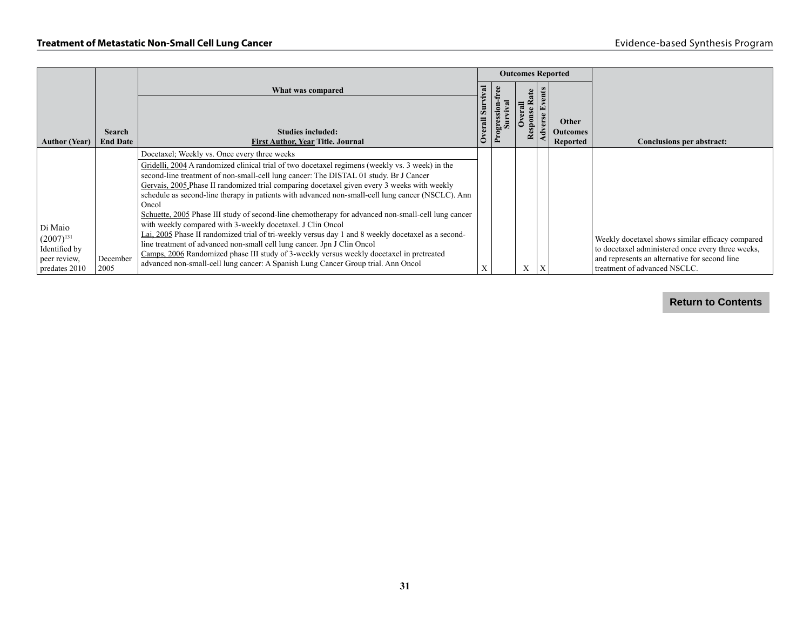|                               |                                  |                                                                                                                                                                                          |           |                |                   |   | <b>Outcomes Reported</b>                           |                                                                               |
|-------------------------------|----------------------------------|------------------------------------------------------------------------------------------------------------------------------------------------------------------------------------------|-----------|----------------|-------------------|---|----------------------------------------------------|-------------------------------------------------------------------------------|
|                               |                                  | What was compared                                                                                                                                                                        |           |                |                   |   |                                                    |                                                                               |
| <b>Author (Year)</b>          | <b>Search</b><br><b>End Date</b> | <b>Studies included:</b><br><b>First Author, Year Title. Journal</b>                                                                                                                     | Overall   | Progres<br>Sui | Res               |   | <b>Other</b><br><b>Outcomes</b><br><b>Reported</b> | <b>Conclusions per abstract:</b>                                              |
|                               |                                  | Docetaxel; Weekly vs. Once every three weeks                                                                                                                                             |           |                |                   |   |                                                    |                                                                               |
|                               |                                  | Gridelli, 2004 A randomized clinical trial of two docetaxel regimens (weekly vs. 3 week) in the<br>second-line treatment of non-small-cell lung cancer: The DISTAL 01 study. Br J Cancer |           |                |                   |   |                                                    |                                                                               |
|                               |                                  | Gervais, 2005 Phase II randomized trial comparing docetaxel given every 3 weeks with weekly                                                                                              |           |                |                   |   |                                                    |                                                                               |
|                               |                                  | schedule as second-line therapy in patients with advanced non-small-cell lung cancer (NSCLC). Ann                                                                                        |           |                |                   |   |                                                    |                                                                               |
|                               |                                  | Oncol                                                                                                                                                                                    |           |                |                   |   |                                                    |                                                                               |
|                               |                                  | Schuette, 2005 Phase III study of second-line chemotherapy for advanced non-small-cell lung cancer                                                                                       |           |                |                   |   |                                                    |                                                                               |
| Di Maio                       |                                  | with weekly compared with 3-weekly docetaxel. J Clin Oncol<br>Lai, 2005 Phase II randomized trial of tri-weekly versus day 1 and 8 weekly docetaxel as a second-                         |           |                |                   |   |                                                    |                                                                               |
| $(2007)^{131}$                |                                  | line treatment of advanced non-small cell lung cancer. Jpn J Clin Oncol                                                                                                                  |           |                |                   |   |                                                    | Weekly docetaxel shows similar efficacy compared                              |
| Identified by                 |                                  | Camps, 2006 Randomized phase III study of 3-weekly versus weekly docetaxel in pretreated                                                                                                 |           |                |                   |   |                                                    | to docetaxel administered once every three weeks,                             |
| peer review,<br>predates 2010 | December<br>2005                 | advanced non-small-cell lung cancer: A Spanish Lung Cancer Group trial. Ann Oncol                                                                                                        | $\Lambda$ |                | $\mathbf{v}$<br>A | X |                                                    | and represents an alternative for second line<br>treatment of advanced NSCLC. |

# **Return to Contents Return to Contents**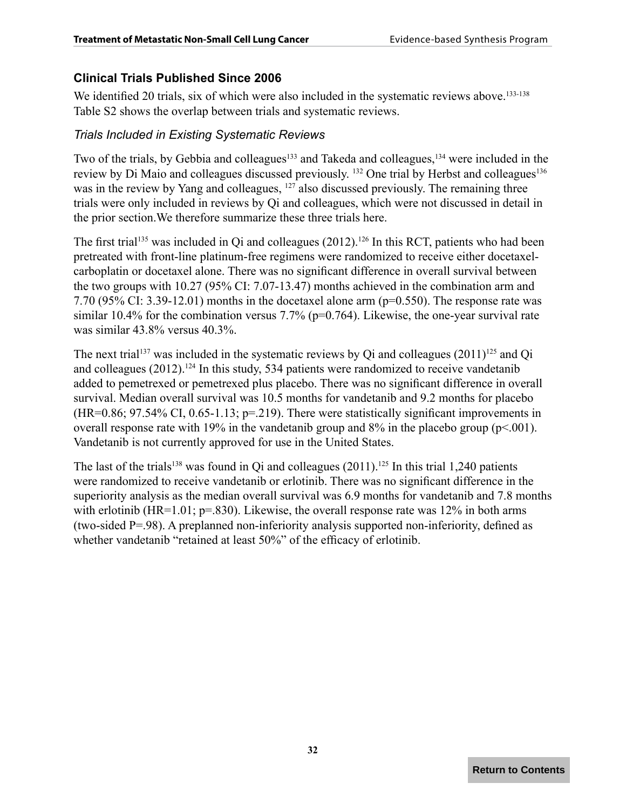#### <span id="page-32-0"></span>**Clinical Trials Published Since 2006**

We identified 20 trials, six of which were also included in the systematic reviews above.<sup>133-138</sup> Table S2 shows the overlap between trials and systematic reviews.

#### *Trials Included in Existing Systematic Reviews*

Two of the trials, by Gebbia and colleagues<sup>133</sup> and Takeda and colleagues,<sup>134</sup> were included in the review by Di Maio and colleagues discussed previously. <sup>132</sup> One trial by Herbst and colleagues<sup>136</sup> was in the review by Yang and colleagues, <sup>127</sup> also discussed previously. The remaining three trials were only included in reviews by Qi and colleagues, which were not discussed in detail in the prior section.We therefore summarize these three trials here.

The first trial<sup>135</sup> was included in Qi and colleagues  $(2012)$ .<sup>126</sup> In this RCT, patients who had been pretreated with front-line platinum-free regimens were randomized to receive either docetaxelcarboplatin or docetaxel alone. There was no significant difference in overall survival between the two groups with 10.27 (95% CI: 7.07-13.47) months achieved in the combination arm and 7.70 (95% CI: 3.39-12.01) months in the docetaxel alone arm (p=0.550). The response rate was similar 10.4% for the combination versus  $7.7\%$  (p=0.764). Likewise, the one-year survival rate was similar 43.8% versus 40.3%.

The next trial<sup>137</sup> was included in the systematic reviews by Qi and colleagues  $(2011)^{125}$  and Qi and colleagues  $(2012)$ .<sup>124</sup> In this study, 534 patients were randomized to receive vandetanib added to pemetrexed or pemetrexed plus placebo. There was no significant difference in overall survival. Median overall survival was 10.5 months for vandetanib and 9.2 months for placebo (HR=0.86; 97.54% CI, 0.65-1.13; p=.219). There were statistically significant improvements in overall response rate with 19% in the vandetanib group and  $8\%$  in the placebo group ( $p<.001$ ). Vandetanib is not currently approved for use in the United States.

The last of the trials<sup>138</sup> was found in Qi and colleagues  $(2011)$ .<sup>125</sup> In this trial 1,240 patients were randomized to receive vandetanib or erlotinib. There was no significant difference in the superiority analysis as the median overall survival was 6.9 months for vandetanib and 7.8 months with erlotinib (HR=1.01;  $p=.830$ ). Likewise, the overall response rate was 12% in both arms (two-sided P=.98). A preplanned non-inferiority analysis supported non-inferiority, defined as whether vandetanib "retained at least 50%" of the efficacy of erlotinib.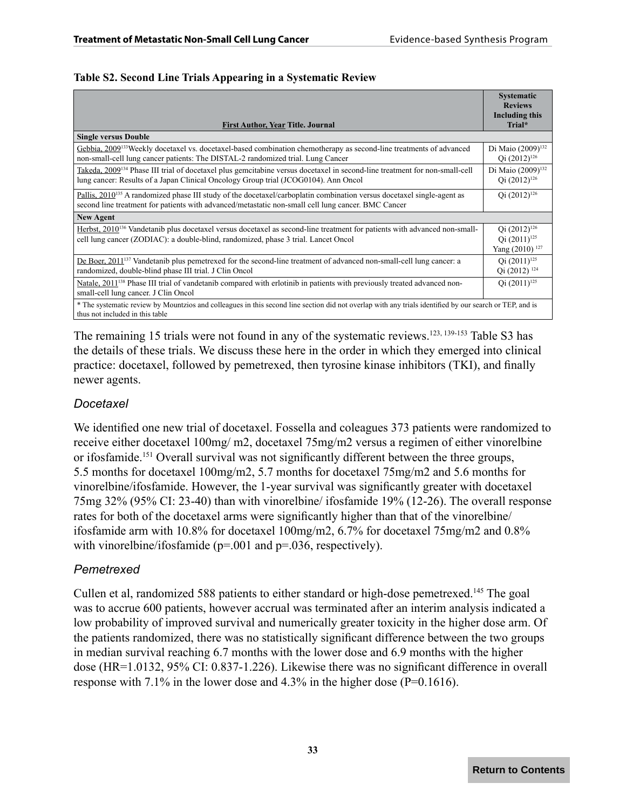|                                                                                                                                                                                                                                          | <b>Systematic</b><br><b>Reviews</b><br><b>Including this</b>         |  |  |  |  |  |  |
|------------------------------------------------------------------------------------------------------------------------------------------------------------------------------------------------------------------------------------------|----------------------------------------------------------------------|--|--|--|--|--|--|
| <b>First Author, Year Title. Journal</b>                                                                                                                                                                                                 | Trial*                                                               |  |  |  |  |  |  |
| <b>Single versus Double</b>                                                                                                                                                                                                              |                                                                      |  |  |  |  |  |  |
| Gebbia, 2009 <sup>133</sup> Weekly docetaxel vs. docetaxel-based combination chemotherapy as second-line treatments of advanced<br>non-small-cell lung cancer patients: The DISTAL-2 randomized trial. Lung Cancer                       | Di Maio (2009) <sup>132</sup><br>$Qi (2012)^{126}$                   |  |  |  |  |  |  |
| Takeda, 2009 <sup>134</sup> Phase III trial of docetaxel plus gemeitabine versus docetaxel in second-line treatment for non-small-cell<br>lung cancer: Results of a Japan Clinical Oncology Group trial (JCOG0104). Ann Oncol            | Di Maio (2009) <sup>132</sup><br>$Qi (2012)^{126}$                   |  |  |  |  |  |  |
| Pallis, 2010 <sup>135</sup> A randomized phase III study of the docetaxel/carboplatin combination versus docetaxel single-agent as<br>second line treatment for patients with advanced/metastatic non-small cell lung cancer. BMC Cancer |                                                                      |  |  |  |  |  |  |
| <b>New Agent</b>                                                                                                                                                                                                                         |                                                                      |  |  |  |  |  |  |
| Herbst, $2010^{136}$ Vandetanib plus docetaxel versus docetaxel as second-line treatment for patients with advanced non-small-<br>cell lung cancer (ZODIAC): a double-blind, randomized, phase 3 trial. Lancet Oncol                     | $Qi (2012)^{126}$<br>$Q_1(2011)^{125}$<br>Yang (2010) <sup>127</sup> |  |  |  |  |  |  |
| De Boer, 2011 <sup>137</sup> Vandetanib plus pemetrexed for the second-line treatment of advanced non-small-cell lung cancer: a<br>randomized, double-blind phase III trial. J Clin Oncol                                                | Qi $(2011)^{125}$<br>$Qi (2012)^{124}$                               |  |  |  |  |  |  |
| Natale, $2011^{138}$ Phase III trial of vandetanib compared with erlotinib in patients with previously treated advanced non-<br>small-cell lung cancer. J Clin Oncol                                                                     | Qi $(2011)^{125}$                                                    |  |  |  |  |  |  |
| * The systematic review by Mountzios and colleagues in this second line section did not overlap with any trials identified by our search or TEP, and is<br>thus not included in this table                                               |                                                                      |  |  |  |  |  |  |

#### <span id="page-33-0"></span>**Table S2. Second Line Trials Appearing in a Systematic Review**

The remaining 15 trials were not found in any of the systematic reviews.<sup>123, 139-153</sup> Table S3 has the details of these trials. We discuss these here in the order in which they emerged into clinical practice: docetaxel, followed by pemetrexed, then tyrosine kinase inhibitors (TKI), and finally newer agents.

#### *Docetaxel*

We identified one new trial of docetaxel. Fossella and coleagues 373 patients were randomized to receive either docetaxel 100mg/ m2, docetaxel 75mg/m2 versus a regimen of either vinorelbine or ifosfamide.151 Overall survival was not significantly different between the three groups, 5.5 months for docetaxel 100mg/m2, 5.7 months for docetaxel 75mg/m2 and 5.6 months for vinorelbine/ifosfamide. However, the 1-year survival was significantly greater with docetaxel 75mg 32% (95% CI: 23-40) than with vinorelbine/ ifosfamide 19% (12-26). The overall response rates for both of the docetaxel arms were significantly higher than that of the vinorelbine/ ifosfamide arm with 10.8% for docetaxel 100mg/m2, 6.7% for docetaxel 75mg/m2 and 0.8% with vinorelbine/ifosfamide (p=.001 and p=.036, respectively).

#### *Pemetrexed*

Cullen et al, randomized 588 patients to either standard or high-dose pemetrexed.<sup>145</sup> The goal was to accrue 600 patients, however accrual was terminated after an interim analysis indicated a low probability of improved survival and numerically greater toxicity in the higher dose arm. Of the patients randomized, there was no statistically significant difference between the two groups in median survival reaching 6.7 months with the lower dose and 6.9 months with the higher dose (HR=1.0132, 95% CI: 0.837-1.226). Likewise there was no significant difference in overall response with 7.1% in the lower dose and 4.3% in the higher dose (P=0.1616).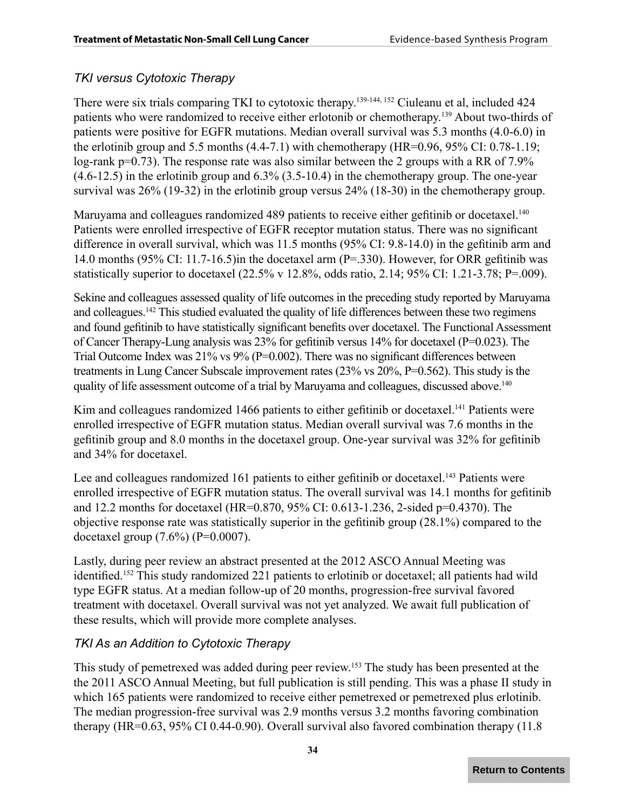#### *TKI versus Cytotoxic Therapy*

There were six trials comparing TKI to cytotoxic therapy.139-144, 152 Ciuleanu et al, included 424 patients who were randomized to receive either erlotonib or chemotherapy.139 About two-thirds of patients were positive for EGFR mutations. Median overall survival was 5.3 months (4.0-6.0) in the erlotinib group and 5.5 months  $(4.4-7.1)$  with chemotherapy  $(HR=0.96, 95\% \text{ CI: } 0.78-1.19;$ log-rank p=0.73). The response rate was also similar between the 2 groups with a RR of 7.9%  $(4.6-12.5)$  in the erlotinib group and  $6.3\%$   $(3.5-10.4)$  in the chemotherapy group. The one-year survival was 26% (19-32) in the erlotinib group versus 24% (18-30) in the chemotherapy group.

Maruyama and colleagues randomized 489 patients to receive either gefitinib or docetaxel.<sup>140</sup> Patients were enrolled irrespective of EGFR receptor mutation status. There was no significant difference in overall survival, which was 11.5 months (95% CI: 9.8-14.0) in the gefitinib arm and 14.0 months (95% CI: 11.7-16.5)in the docetaxel arm (P=.330). However, for ORR gefitinib was statistically superior to docetaxel (22.5% v 12.8%, odds ratio, 2.14; 95% CI: 1.21-3.78; P=.009).

Sekine and colleagues assessed quality of life outcomes in the preceding study reported by Maruyama and colleagues.<sup>142</sup> This studied evaluated the quality of life differences between these two regimens and found gefitinib to have statistically significant benefits over docetaxel. The Functional Assessment of Cancer Therapy-Lung analysis was 23% for gefitinib versus 14% for docetaxel (P=0.023). The Trial Outcome Index was 21% vs 9% (P=0.002). There was no significant differences between treatments in Lung Cancer Subscale improvement rates (23% vs 20%, P=0.562). This study is the quality of life assessment outcome of a trial by Maruyama and colleagues, discussed above.<sup>140</sup>

Kim and colleagues randomized 1466 patients to either gefitinib or docetaxel.<sup>141</sup> Patients were enrolled irrespective of EGFR mutation status. Median overall survival was 7.6 months in the gefitinib group and 8.0 months in the docetaxel group. One-year survival was 32% for gefitinib and 34% for docetaxel.

Lee and colleagues randomized 161 patients to either gefitinib or docetaxel.<sup>143</sup> Patients were enrolled irrespective of EGFR mutation status. The overall survival was 14.1 months for gefitinib and 12.2 months for docetaxel (HR=0.870, 95% CI: 0.613-1.236, 2-sided p=0.4370). The objective response rate was statistically superior in the gefitinib group (28.1%) compared to the docetaxel group (7.6%) (P=0.0007).

Lastly, during peer review an abstract presented at the 2012 ASCO Annual Meeting was identified.152 This study randomized 221 patients to erlotinib or docetaxel; all patients had wild type EGFR status. At a median follow-up of 20 months, progression-free survival favored treatment with docetaxel. Overall survival was not yet analyzed. We await full publication of these results, which will provide more complete analyses.

#### *TKI As an Addition to Cytotoxic Therapy*

This study of pemetrexed was added during peer review.<sup>153</sup> The study has been presented at the the 2011 ASCO Annual Meeting, but full publication is still pending. This was a phase II study in which 165 patients were randomized to receive either pemetrexed or pemetrexed plus erlotinib. The median progression-free survival was 2.9 months versus 3.2 months favoring combination therapy (HR=0.63, 95% CI 0.44-0.90). Overall survival also favored combination therapy (11.8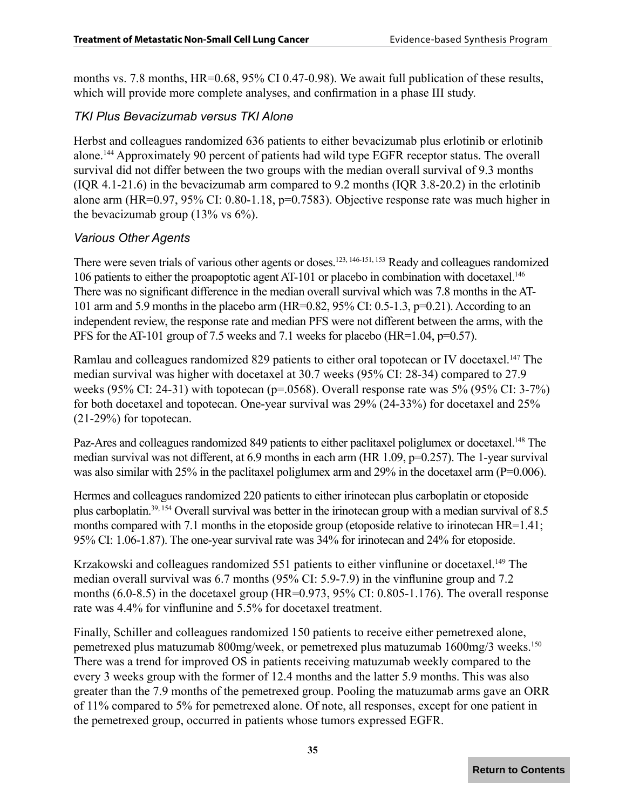months vs. 7.8 months, HR=0.68, 95% CI 0.47-0.98). We await full publication of these results, which will provide more complete analyses, and confirmation in a phase III study.

#### *TKI Plus Bevacizumab versus TKI Alone*

Herbst and colleagues randomized 636 patients to either bevacizumab plus erlotinib or erlotinib alone.144 Approximately 90 percent of patients had wild type EGFR receptor status. The overall survival did not differ between the two groups with the median overall survival of 9.3 months (IQR 4.1-21.6) in the bevacizumab arm compared to 9.2 months (IQR 3.8-20.2) in the erlotinib alone arm (HR=0.97, 95% CI: 0.80-1.18, p=0.7583). Objective response rate was much higher in the bevacizumab group  $(13\% \text{ vs } 6\%).$ 

#### *Various Other Agents*

There were seven trials of various other agents or doses.<sup>123, 146-151, 153</sup> Ready and colleagues randomized 106 patients to either the proapoptotic agent AT-101 or placebo in combination with docetaxel.<sup>146</sup> There was no significant difference in the median overall survival which was 7.8 months in the AT-101 arm and 5.9 months in the placebo arm (HR=0.82, 95% CI: 0.5-1.3, p=0.21). According to an independent review, the response rate and median PFS were not different between the arms, with the PFS for the AT-101 group of 7.5 weeks and 7.1 weeks for placebo (HR=1.04, p=0.57).

Ramlau and colleagues randomized 829 patients to either oral topotecan or IV docetaxel.<sup>147</sup> The median survival was higher with docetaxel at 30.7 weeks (95% CI: 28-34) compared to 27.9 weeks (95% CI: 24-31) with topotecan (p=.0568). Overall response rate was  $5\%$  (95% CI: 3-7%) for both docetaxel and topotecan. One-year survival was 29% (24-33%) for docetaxel and 25% (21-29%) for topotecan.

Paz-Ares and colleagues randomized 849 patients to either paclitaxel poliglumex or docetaxel.<sup>148</sup> The median survival was not different, at 6.9 months in each arm (HR 1.09, p=0.257). The 1-year survival was also similar with 25% in the paclitaxel poliglumex arm and 29% in the docetaxel arm (P=0.006).

Hermes and colleagues randomized 220 patients to either irinotecan plus carboplatin or etoposide plus carboplatin.39, 154 Overall survival was better in the irinotecan group with a median survival of 8.5 months compared with 7.1 months in the etoposide group (etoposide relative to irinotecan HR=1.41; 95% CI: 1.06-1.87). The one-year survival rate was 34% for irinotecan and 24% for etoposide.

Krzakowski and colleagues randomized 551 patients to either vinflunine or docetaxel.<sup>149</sup> The median overall survival was 6.7 months (95% CI: 5.9-7.9) in the vinflunine group and 7.2 months (6.0-8.5) in the docetaxel group (HR=0.973, 95% CI: 0.805-1.176). The overall response rate was 4.4% for vinflunine and 5.5% for docetaxel treatment.

Finally, Schiller and colleagues randomized 150 patients to receive either pemetrexed alone, pemetrexed plus matuzumab 800mg/week, or pemetrexed plus matuzumab 1600mg/3 weeks.150 There was a trend for improved OS in patients receiving matuzumab weekly compared to the every 3 weeks group with the former of 12.4 months and the latter 5.9 months. This was also greater than the 7.9 months of the pemetrexed group. Pooling the matuzumab arms gave an ORR of 11% compared to 5% for pemetrexed alone. Of note, all responses, except for one patient in the pemetrexed group, occurred in patients whose tumors expressed EGFR.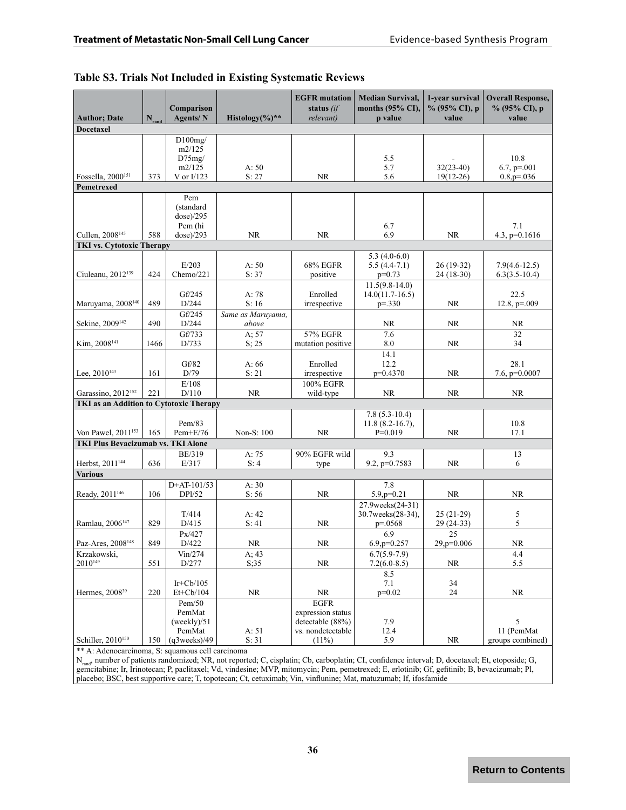|                                                |                  |                                                                 |                                     | <b>EGFR</b> mutation                                                                  | <b>Median Survival,</b>                                     | 1-year survival<br>% (95% CI), p | <b>Overall Response,</b><br>% (95% CI), p    |  |
|------------------------------------------------|------------------|-----------------------------------------------------------------|-------------------------------------|---------------------------------------------------------------------------------------|-------------------------------------------------------------|----------------------------------|----------------------------------------------|--|
| <b>Author</b> ; Date                           | $N_{\text{ran}}$ | Comparison<br><b>Agents/N</b>                                   | Histology(%)**                      | status $(i f)$<br>relevant)                                                           | months $(95\% \text{ CI}),$<br>p value                      | value                            | value                                        |  |
| <b>Docetaxel</b>                               |                  |                                                                 |                                     |                                                                                       |                                                             |                                  |                                              |  |
| Fossella, 2000 <sup>151</sup>                  | 373              | D100mg/<br>m2/125<br>D75mg/<br>m2/125<br>V or I/123             | A: 50<br>S: 27                      | NR                                                                                    | 5.5<br>5.7<br>5.6                                           | $32(23-40)$<br>$19(12-26)$       | 10.8<br>$6.7, p = 0.001$<br>$0.8, p = 0.036$ |  |
| Pemetrexed                                     |                  |                                                                 |                                     |                                                                                       |                                                             |                                  |                                              |  |
|                                                |                  | Pem<br>(standard<br>dose)/295<br>Pem (hi                        |                                     |                                                                                       | 6.7                                                         |                                  | 7.1                                          |  |
| Cullen, 2008 <sup>145</sup>                    | 588              | $dose$ )/293                                                    | NR.                                 | NR                                                                                    | 6.9                                                         | NR                               | 4.3, $p=0.1616$                              |  |
| <b>TKI vs. Cytotoxic Therapy</b>               |                  |                                                                 |                                     |                                                                                       |                                                             |                                  |                                              |  |
| Ciuleanu, 2012 <sup>139</sup>                  | 424              | E/203<br>Chemo/221                                              | A: 50<br>S: 37                      | 68% EGFR<br>positive                                                                  | $5.3(4.0-6.0)$<br>$5.5(4.4-7.1)$<br>$p=0.73$                | 26 (19-32)<br>24 (18-30)         | $7.9(4.6-12.5)$<br>$6.3(3.5-10.4)$           |  |
| Maruyama, 2008 <sup>140</sup>                  | 489              | Gf/245<br>D/244<br>Gf/245                                       | A: 78<br>S: 16<br>Same as Maruyama, | Enrolled<br>irrespective                                                              | $11.5(9.8-14.0)$<br>$14.0(11.7-16.5)$<br>$p = 330$          | NR                               | 22.5<br>$12.8$ , $p=.009$                    |  |
| Sekine, 2009 <sup>142</sup>                    | 490              | D/244                                                           | above                               |                                                                                       | NR.                                                         | NR.                              | NR.                                          |  |
| Kim, 2008 <sup>141</sup>                       | 1466             | Gf/733<br>D/733                                                 | A; 57<br>S: 25                      | 57% EGFR<br>mutation positive                                                         | 7.6<br>8.0                                                  | NR.                              | 32<br>34                                     |  |
| Lee, 2010 <sup>143</sup>                       | 161              | Gf/82<br>D/79                                                   | A:66<br>S: 21                       | Enrolled<br>irrespective                                                              | 14.1<br>12.2<br>$p=0.4370$                                  | NR                               | 28.1<br>7.6, $p=0.0007$                      |  |
| Garassino, 2012 <sup>152</sup>                 | 221              | E/108<br>D/110                                                  | <b>NR</b>                           | 100% EGFR<br>wild-type                                                                | NR.                                                         | NR                               | NR                                           |  |
| <b>TKI</b> as an Addition to Cytotoxic Therapy |                  |                                                                 |                                     |                                                                                       |                                                             |                                  |                                              |  |
| Von Pawel, 2011 <sup>153</sup>                 | 165              | Pem/83<br>$Pem+E/76$                                            | Non-S: 100                          | <b>NR</b>                                                                             | $7.8(5.3-10.4)$<br>$11.8(8.2 - 16.7),$<br>$P=0.019$         | <b>NR</b>                        | 10.8<br>17.1                                 |  |
| <b>TKI Plus Bevacizumab vs. TKI Alone</b>      |                  |                                                                 |                                     |                                                                                       |                                                             |                                  |                                              |  |
|                                                |                  | BE/319                                                          | A: 75                               | 90% EGFR wild                                                                         | 9.3                                                         |                                  | 13                                           |  |
| Herbst, 2011 <sup>144</sup>                    | 636              | E/317                                                           | S: 4                                | type                                                                                  | $9.2, p=0.7583$                                             | NR.                              | 6                                            |  |
| <b>Various</b>                                 |                  |                                                                 |                                     |                                                                                       |                                                             |                                  |                                              |  |
| Ready, 2011 <sup>146</sup>                     | 106              | D+AT-101/53<br>DPl/52                                           | A: 30<br>S: 56                      | <b>NR</b>                                                                             | 7.8<br>$5.9, p=0.21$                                        | NR.                              | <b>NR</b>                                    |  |
| Ramlau, 2006 <sup>147</sup>                    | 829              | T/414<br>D/415                                                  | A: 42<br>S: 41                      | NR                                                                                    | $27.9$ weeks $(24-31)$<br>30.7weeks(28-34),<br>$p = 0.0568$ | 25 (21-29)<br>29 (24-33)         | 5<br>5                                       |  |
| Paz-Ares, 2008 <sup>148</sup>                  | 849              | Px/427<br>D/422                                                 | NR.                                 | <b>NR</b>                                                                             | 6.9<br>$6.9$ , $p=0.257$                                    | 25<br>$29,p=0.006$               | <b>NR</b>                                    |  |
| Krzakowski,<br>2010 <sup>149</sup>             | 551              | $V\ln/274$<br>D/277                                             | A; 43<br>S:35                       | NR                                                                                    | $6.7(5.9-7.9)$<br>$7.2(6.0-8.5)$                            | NR                               | 4.4<br>5.5                                   |  |
| Hermes, 2008 <sup>39</sup>                     | 220              | $Ir + Cb/105$<br>$Et + Cb/104$                                  | <b>NR</b>                           | NR                                                                                    | 8.5<br>7.1<br>$p=0.02$                                      | 34<br>24                         | <b>NR</b>                                    |  |
| Schiller, 2010 <sup>150</sup>                  | 150              | Pem/50<br>PemMat<br>(weakly)/51<br>PemMat<br>$(q3$ weeks $)/49$ | A: 51<br>S: 31                      | <b>EGFR</b><br>expression status<br>detectable (88%)<br>vs. nondetectable<br>$(11\%)$ | 7.9<br>12.4<br>5.9                                          | $\rm NR$                         | 5<br>11 (PemMat<br>groups combined)          |  |

#### <span id="page-36-0"></span>**Table S3. Trials Not Included in Existing Systematic Reviews**

\*\* A: Adenocarcinoma, S: squamous cell carcinoma

N<sub>rand</sub>, number of patients randomized; NR, not reported; C, cisplatin; Cb, carboplatin; CI, confidence interval; D, docetaxel; Et, etoposide; G, gemcitabine; Ir, Irinotecan; P, paclitaxel; Vd, vindesine; MVP, mitomycin; P placebo; BSC, best supportive care; T, topotecan; Ct, cetuximab; Vin, vinflunine; Mat, matuzumab; If, ifosfamide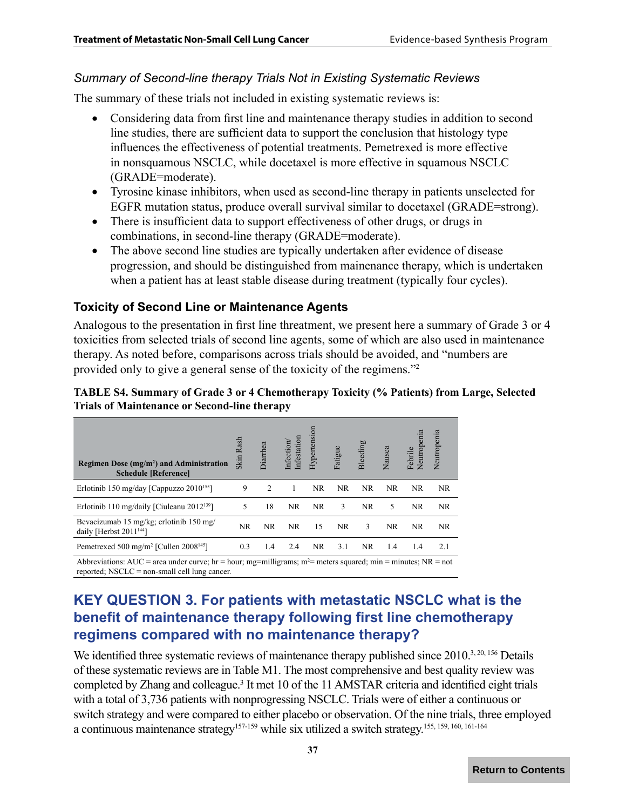#### <span id="page-37-0"></span>*Summary of Second-line therapy Trials Not in Existing Systematic Reviews*

The summary of these trials not included in existing systematic reviews is:

- Considering data from first line and maintenance therapy studies in addition to second line studies, there are sufficient data to support the conclusion that histology type influences the effectiveness of potential treatments. Pemetrexed is more effective in nonsquamous NSCLC, while docetaxel is more effective in squamous NSCLC (GRADE=moderate).
- Tyrosine kinase inhibitors, when used as second-line therapy in patients unselected for EGFR mutation status, produce overall survival similar to docetaxel (GRADE=strong).
- There is insufficient data to support effectiveness of other drugs, or drugs in combinations, in second-line therapy (GRADE=moderate).
- The above second line studies are typically undertaken after evidence of disease progression, and should be distinguished from mainenance therapy, which is undertaken when a patient has at least stable disease during treatment (typically four cycles).

#### **Toxicity of Second Line or Maintenance Agents**

Analogous to the presentation in first line threatment, we present here a summary of Grade 3 or 4 toxicities from selected trials of second line agents, some of which are also used in maintenance therapy. As noted before, comparisons across trials should be avoided, and "numbers are provided only to give a general sense of the toxicity of the regimens."2

#### **TABLE S4. Summary of Grade 3 or 4 Chemotherapy Toxicity (% Patients) from Large, Selected Trials of Maintenance or Second-line therapy**

| Regimen Dose $(mg/m2)$ and Administration<br><b>Schedule [Reference]</b>                                              | Rash<br>Skin | Diarrhea  | nfestatio<br>Infection | Hypertension | Fatigue   | Bleeding | Nausea    | Neutropenia<br>Febrile | Neutropenia |
|-----------------------------------------------------------------------------------------------------------------------|--------------|-----------|------------------------|--------------|-----------|----------|-----------|------------------------|-------------|
| Erlotinib 150 mg/day [Cappuzzo 2010 <sup>155</sup> ]                                                                  | 9            | 2         |                        | NR           | NR        | NR       | <b>NR</b> | NR                     | NR.         |
| Erlotinib 110 mg/daily [Ciuleanu $2012^{139}$ ]                                                                       | 5            | 18        | NR                     | NR.          | 3         | NR.      | 5         | NR.                    | <b>NR</b>   |
| Bevacizumab 15 mg/kg; erlotinib 150 mg/<br>daily [Herbst $2011^{144}$ ]                                               | NR           | <b>NR</b> | <b>NR</b>              | 15           | <b>NR</b> | 3        | NR        | NR                     | <b>NR</b>   |
| Pemetrexed 500 mg/m <sup>2</sup> [Cullen 2008 <sup>145</sup> ]                                                        | 0.3          | 1.4       | 2.4                    | NR.          | 3.1       | NR       | 1.4       | 1.4                    | 2.1         |
| Although the contract of the contract of the contract of the contract of the contract of the contract of $\mathbf{M}$ |              |           |                        |              |           |          |           |                        |             |

Abbreviations:  $AUC = area$  under curve; hr = hour; mg=milligrams; m<sup>2</sup>= meters squared; min = minutes; NR = not reported; NSCLC = non-small cell lung cancer.

# **KEY QUESTION 3. For patients with metastatic NSCLC what is the benefit of maintenance therapy following first line chemotherapy regimens compared with no maintenance therapy?**

We identified three systematic reviews of maintenance therapy published since 2010.<sup>3, 20, 156</sup> Details of these systematic reviews are in Table M1. The most comprehensive and best quality review was completed by Zhang and colleague.<sup>3</sup> It met 10 of the 11 AMSTAR criteria and identified eight trials with a total of 3,736 patients with nonprogressing NSCLC. Trials were of either a continuous or switch strategy and were compared to either placebo or observation. Of the nine trials, three employed a continuous maintenance strategy157-159 while six utilized a switch strategy.155, 159, 160, 161-164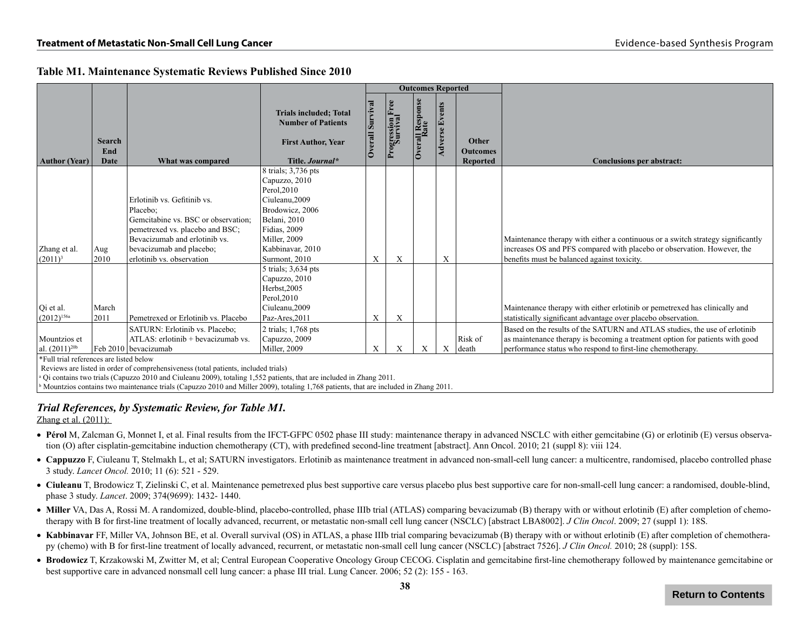#### <span id="page-38-0"></span>**Table M1. Maintenance Systematic Reviews Published Since 2010**

|                                         |                              |                                                                                    |                                                                                                            |                  |                         | <b>Outcomes Reported</b> |                       |                                      |                                                                                                                                            |
|-----------------------------------------|------------------------------|------------------------------------------------------------------------------------|------------------------------------------------------------------------------------------------------------|------------------|-------------------------|--------------------------|-----------------------|--------------------------------------|--------------------------------------------------------------------------------------------------------------------------------------------|
| <b>Author (Year)</b>                    | <b>Search</b><br>End<br>Date | What was compared                                                                  | <b>Trials included; Total</b><br><b>Number of Patients</b><br><b>First Author, Year</b><br>Title. Journal* | Overall Survival | <b>Progression Free</b> | <b>Overall Response</b>  | <b>Adverse Events</b> | Other<br><b>Outcomes</b><br>Reported | <b>Conclusions per abstract:</b>                                                                                                           |
|                                         |                              |                                                                                    | 8 trials; 3,736 pts                                                                                        |                  |                         |                          |                       |                                      |                                                                                                                                            |
|                                         |                              |                                                                                    | Capuzzo, 2010                                                                                              |                  |                         |                          |                       |                                      |                                                                                                                                            |
|                                         |                              |                                                                                    | Perol, 2010                                                                                                |                  |                         |                          |                       |                                      |                                                                                                                                            |
|                                         |                              | Erlotinib vs. Gefitinib vs.                                                        | Ciuleanu, 2009                                                                                             |                  |                         |                          |                       |                                      |                                                                                                                                            |
|                                         |                              | Placebo:                                                                           | Brodowicz, 2006                                                                                            |                  |                         |                          |                       |                                      |                                                                                                                                            |
|                                         |                              | Gemeitabine vs. BSC or observation:                                                | Belani, 2010                                                                                               |                  |                         |                          |                       |                                      |                                                                                                                                            |
|                                         |                              | pemetrexed vs. placebo and BSC;                                                    | <b>Fidias</b> , 2009                                                                                       |                  |                         |                          |                       |                                      |                                                                                                                                            |
|                                         |                              | Bevacizumab and erlotinib vs.                                                      | <b>Miller, 2009</b>                                                                                        |                  |                         |                          |                       |                                      | Maintenance therapy with either a continuous or a switch strategy significantly                                                            |
| Zhang et al.                            | Aug                          | bevacizumab and placebo;                                                           | Kabbinavar, 2010                                                                                           |                  |                         |                          |                       |                                      | increases OS and PFS compared with placebo or observation. However, the                                                                    |
| $(2011)^3$                              | 2010                         | erlotinib vs. observation                                                          | Surmont, 2010                                                                                              | X                | X                       |                          | X                     |                                      | benefits must be balanced against toxicity.                                                                                                |
|                                         |                              |                                                                                    | 5 trials; 3,634 pts                                                                                        |                  |                         |                          |                       |                                      |                                                                                                                                            |
|                                         |                              |                                                                                    | Capuzzo, 2010                                                                                              |                  |                         |                          |                       |                                      |                                                                                                                                            |
|                                         |                              |                                                                                    | Herbst, 2005<br>Perol, 2010                                                                                |                  |                         |                          |                       |                                      |                                                                                                                                            |
| Oi et al.                               | March                        |                                                                                    | Ciuleanu, 2009                                                                                             |                  |                         |                          |                       |                                      | Maintenance therapy with either erlotinib or pemetrexed has clinically and                                                                 |
| $(2012)^{156a}$                         | 2011                         | Pemetrexed or Erlotinib vs. Placebo                                                | Paz-Ares, 2011                                                                                             | X                | X                       |                          |                       |                                      | statistically significant advantage over placebo observation.                                                                              |
|                                         |                              | SATURN: Erlotinib vs. Placebo;                                                     |                                                                                                            |                  |                         |                          |                       |                                      | Based on the results of the SATURN and ATLAS studies, the use of erlotinib                                                                 |
|                                         |                              | $ATLAS$ : erlotinib + bevacizumab vs.                                              | 2 trials; 1,768 pts                                                                                        |                  |                         |                          |                       |                                      |                                                                                                                                            |
| Mountzios et<br>al. $(2011)^{20b}$      |                              | Feb 2010 bevacizumab                                                               | Capuzzo, 2009<br><b>Miller</b> , 2009                                                                      | X                | X                       | X                        | X                     | Risk of<br>death                     | as maintenance therapy is becoming a treatment option for patients with good<br>performance status who respond to first-line chemotherapy. |
| *Full trial references are listed below |                              |                                                                                    |                                                                                                            |                  |                         |                          |                       |                                      |                                                                                                                                            |
|                                         |                              | Reviews are listed in order of comprehensiveness (total patients, included trials) |                                                                                                            |                  |                         |                          |                       |                                      |                                                                                                                                            |

Reviews are listed in order of comprehensiveness (total patients, included trials)

a Qi contains two trials (Capuzzo 2010 and Ciuleanu 2009), totaling 1,552 patients, that are included in Zhang 2011. b Mountzios contains two maintenance trials (Capuzzo 2010 and Miller 2009), totaling 1,768 patients, that are included in Zhang 2011.

#### *Trial References, by Systematic Review, for Table M1.*

Zhang et al. (2011):

- • **Pérol** M, Zalcman G, Monnet I, et al. Final results from the IFCT-GFPC 0502 phase III study: maintenance therapy in advanced NSCLC with either gemcitabine (G) or erlotinib (E) versus observation (O) after cisplatin-gemcitabine induction chemotherapy (CT), with predefined second-line treatment [abstract]. Ann Oncol. 2010; 21 (suppl 8): viii 124.
- • **Cappuzzo** F, Ciuleanu T, Stelmakh L, et al; SATURN investigators. Erlotinib as maintenance treatment in advanced non-small-cell lung cancer: a multicentre, randomised, placebo controlled phase 3 study. *Lancet Oncol.* 2010; 11 (6): 521 - 529.
- • **Ciuleanu** T, Brodowicz T, Zielinski C, et al. Maintenance pemetrexed plus best supportive care versus placebo plus best supportive care for non-small-cell lung cancer: a randomised, double-blind, phase 3 study. *Lancet*. 2009; 374(9699): 1432- 1440.
- Miller VA, Das A, Rossi M. A randomized, double-blind, placebo-controlled, phase IIIb trial (ATLAS) comparing bevacizumab (B) therapy with or without erlotinib (E) after completion of chemotherapy with B for first-line treatment of locally advanced, recurrent, or metastatic non-small cell lung cancer (NSCLC) [abstract LBA8002]. *J Clin Oncol*. 2009; 27 (suppl 1): 18S.
- • **Kabbinavar** FF, Miller VA, Johnson BE, et al. Overall survival (OS) in ATLAS, a phase IIIb trial comparing bevacizumab (B) therapy with or without erlotinib (E) after completion of chemotherapy (chemo) with B for first-line treatment of locally advanced, recurrent, or metastatic non-small cell lung cancer (NSCLC) [abstract 7526]. *J Clin Oncol.* 2010; 28 (suppl): 15S.
- • **Brodowicz** T, Krzakowski M, Zwitter M, et al; Central European Cooperative Oncology Group CECOG. Cisplatin and gemcitabine first-line chemotherapy followed by maintenance gemcitabine or best supportive care in advanced nonsmall cell lung cancer: a phase III trial. Lung Cancer. 2006; 52 (2): 155 - 163.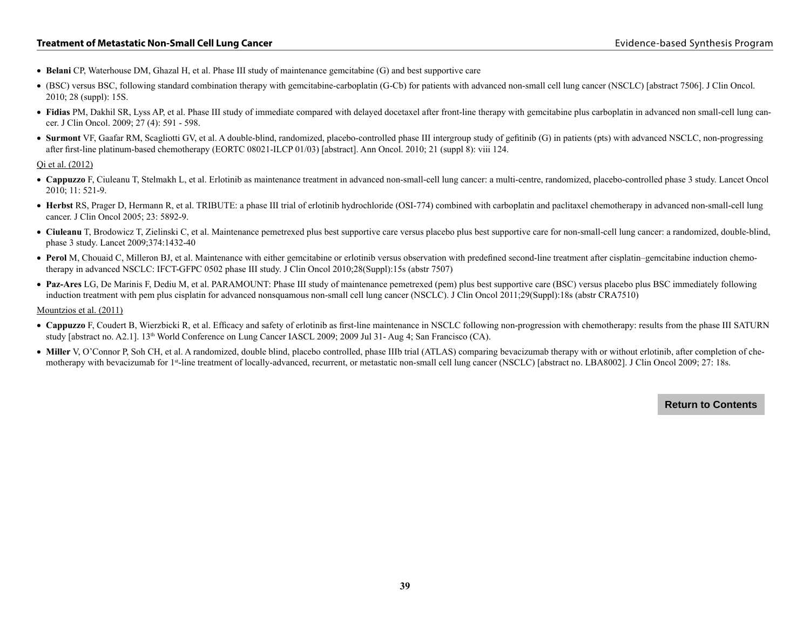- • **Belani** CP, Waterhouse DM, Ghazal H, et al. Phase III study of maintenance gemcitabine (G) and best supportive care
- (BSC) versus BSC, following standard combination therapy with gemcitabine-carboplatin (G-Cb) for patients with advanced non-small cell lung cancer (NSCLC) [abstract 7506]. J Clin Oncol. 2010; 28 (suppl): 15S.
- **Fidias** PM, Dakhil SR, Lyss AP, et al. Phase III study of immediate compared with delayed docetaxel after front-line therapy with gemcitabine plus carboplatin in advanced non small-cell lung cancer. J Clin Oncol. 2009; 27 (4): 591 - 598.
- • **Surmont** VF, Gaafar RM, Scagliotti GV, et al. A double-blind, randomized, placebo-controlled phase III intergroup study of gefitinib (G) in patients (pts) with advanced NSCLC, non-progressing after first-line platinum-based chemotherapy (EORTC 08021-ILCP 01/03) [abstract]. Ann Oncol. 2010; 21 (suppl 8): viii 124.

#### Qi et al. (2012)

- • **Cappuzzo** F, Ciuleanu T, Stelmakh L, et al. Erlotinib as maintenance treatment in advanced non-small-cell lung cancer: a multi-centre, randomized, placebo-controlled phase 3 study. Lancet Oncol 2010; 11: 521-9.
- Herbst RS, Prager D, Hermann R, et al. TRIBUTE: a phase III trial of erlotinib hydrochloride (OSI-774) combined with carboplatin and paclitaxel chemotherapy in advanced non-small-cell lung cancer. J Clin Oncol 2005; 23: 5892-9.
- • **Ciuleanu** T, Brodowicz T, Zielinski C, et al. Maintenance pemetrexed plus best supportive care versus placebo plus best supportive care for non-small-cell lung cancer: a randomized, double-blind, phase 3 study. Lancet 2009;374:1432-40
- Perol M, Chouaid C, Milleron BJ, et al. Maintenance with either gemcitabine or erlotinib versus observation with predefined second-line treatment after cisplatin–gemcitabine induction chemotherapy in advanced NSCLC: IFCT-GFPC 0502 phase III study. J Clin Oncol 2010;28(Suppl):15s (abstr 7507)
- Paz-Ares LG, De Marinis F, Dediu M, et al. PARAMOUNT: Phase III study of maintenance pemetrexed (pem) plus best supportive care (BSC) versus placebo plus BSC immediately following induction treatment with pem plus cisplatin for advanced nonsquamous non-small cell lung cancer (NSCLC). J Clin Oncol 2011;29(Suppl):18s (abstr CRA7510)

Mountzios et al. (2011)

- • **Cappuzzo** F, Coudert B, Wierzbicki R, et al. Efficacy and safety of erlotinib as first-line maintenance in NSCLC following non-progression with chemotherapy: results from the phase III SATURN study [abstract no. A2.1]. 13<sup>th</sup> World Conference on Lung Cancer IASCL 2009; 2009 Jul 31- Aug 4; San Francisco (CA).
- Miller V, O'Connor P, Soh CH, et al. A randomized, double blind, placebo controlled, phase IIIb trial (ATLAS) comparing bevacizumab therapy with or without erlotinib, after completion of chemotherapy with bevacizumab for 1<sup>st</sup>-line treatment of locally-advanced, recurrent, or metastatic non-small cell lung cancer (NSCLC) [abstract no. LBA8002]. J Clin Oncol 2009; 27: 18s.

**Return to Contents Return to Contents**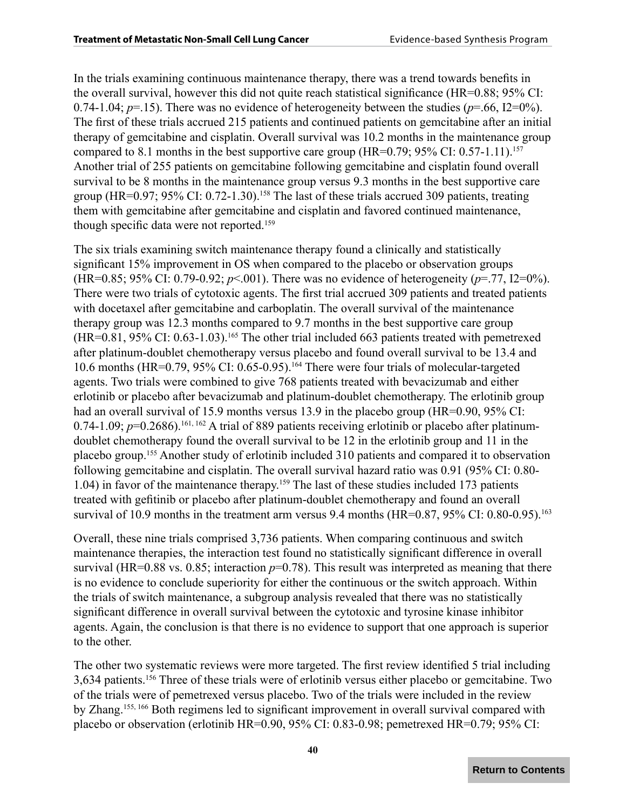In the trials examining continuous maintenance therapy, there was a trend towards benefits in the overall survival, however this did not quite reach statistical significance (HR=0.88; 95% CI: 0.74-1.04;  $p=15$ ). There was no evidence of heterogeneity between the studies ( $p=0.66$ ,  $12=0\%$ ). The first of these trials accrued 215 patients and continued patients on gemcitabine after an initial therapy of gemcitabine and cisplatin. Overall survival was 10.2 months in the maintenance group compared to 8.1 months in the best supportive care group (HR=0.79; 95% CI: 0.57-1.11).<sup>157</sup> Another trial of 255 patients on gemcitabine following gemcitabine and cisplatin found overall survival to be 8 months in the maintenance group versus 9.3 months in the best supportive care group (HR=0.97; 95% CI:  $0.72$ -1.30).<sup>158</sup> The last of these trials accrued 309 patients, treating them with gemcitabine after gemcitabine and cisplatin and favored continued maintenance, though specific data were not reported.<sup>159</sup>

The six trials examining switch maintenance therapy found a clinically and statistically significant 15% improvement in OS when compared to the placebo or observation groups (HR=0.85; 95% CI: 0.79-0.92; *p*<.001). There was no evidence of heterogeneity (*p*=.77, I2=0%). There were two trials of cytotoxic agents. The first trial accrued 309 patients and treated patients with docetaxel after gemcitabine and carboplatin. The overall survival of the maintenance therapy group was 12.3 months compared to 9.7 months in the best supportive care group (HR=0.81, 95% CI: 0.63-1.03).165 The other trial included 663 patients treated with pemetrexed after platinum-doublet chemotherapy versus placebo and found overall survival to be 13.4 and 10.6 months (HR=0.79, 95% CI: 0.65-0.95).164 There were four trials of molecular-targeted agents. Two trials were combined to give 768 patients treated with bevacizumab and either erlotinib or placebo after bevacizumab and platinum-doublet chemotherapy. The erlotinib group had an overall survival of 15.9 months versus 13.9 in the placebo group (HR=0.90, 95% CI:  $0.74$ -1.09;  $p=0.2686$ .<sup>161, 162</sup> A trial of 889 patients receiving erlotinib or placebo after platinumdoublet chemotherapy found the overall survival to be 12 in the erlotinib group and 11 in the placebo group.155 Another study of erlotinib included 310 patients and compared it to observation following gemcitabine and cisplatin. The overall survival hazard ratio was 0.91 (95% CI: 0.80- 1.04) in favor of the maintenance therapy.159 The last of these studies included 173 patients treated with gefitinib or placebo after platinum-doublet chemotherapy and found an overall survival of 10.9 months in the treatment arm versus 9.4 months ( $HR=0.87$ ,  $95\%$  CI: 0.80-0.95).<sup>163</sup>

Overall, these nine trials comprised 3,736 patients. When comparing continuous and switch maintenance therapies, the interaction test found no statistically significant difference in overall survival (HR=0.88 vs. 0.85; interaction  $p=0.78$ ). This result was interpreted as meaning that there is no evidence to conclude superiority for either the continuous or the switch approach. Within the trials of switch maintenance, a subgroup analysis revealed that there was no statistically significant difference in overall survival between the cytotoxic and tyrosine kinase inhibitor agents. Again, the conclusion is that there is no evidence to support that one approach is superior to the other.

The other two systematic reviews were more targeted. The first review identified 5 trial including 3,634 patients.156 Three of these trials were of erlotinib versus either placebo or gemcitabine. Two of the trials were of pemetrexed versus placebo. Two of the trials were included in the review by Zhang.155, 166 Both regimens led to significant improvement in overall survival compared with placebo or observation (erlotinib HR=0.90, 95% CI: 0.83-0.98; pemetrexed HR=0.79; 95% CI: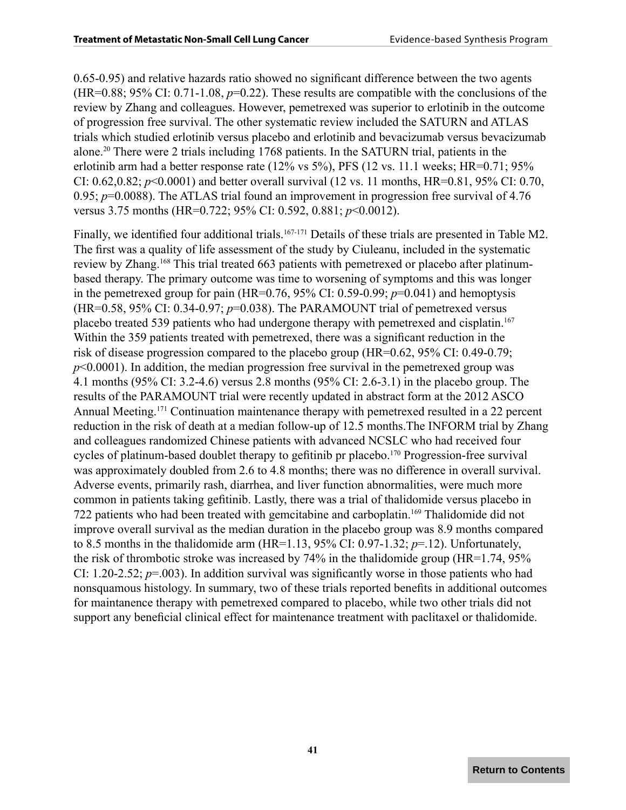0.65-0.95) and relative hazards ratio showed no significant difference between the two agents (HR= $0.88$ ; 95% CI:  $0.71$ -1.08,  $p=0.22$ ). These results are compatible with the conclusions of the review by Zhang and colleagues. However, pemetrexed was superior to erlotinib in the outcome of progression free survival. The other systematic review included the SATURN and ATLAS trials which studied erlotinib versus placebo and erlotinib and bevacizumab versus bevacizumab alone.20 There were 2 trials including 1768 patients. In the SATURN trial, patients in the erlotinib arm had a better response rate (12% vs 5%), PFS (12 vs. 11.1 weeks; HR=0.71; 95% CI: 0.62,0.82; *p*<0.0001) and better overall survival (12 vs. 11 months, HR=0.81, 95% CI: 0.70, 0.95; *p*=0.0088). The ATLAS trial found an improvement in progression free survival of 4.76 versus 3.75 months (HR=0.722; 95% CI: 0.592, 0.881; *p*<0.0012).

Finally, we identified four additional trials.<sup>167-171</sup> Details of these trials are presented in Table M2. The first was a quality of life assessment of the study by Ciuleanu, included in the systematic review by Zhang.168 This trial treated 663 patients with pemetrexed or placebo after platinumbased therapy. The primary outcome was time to worsening of symptoms and this was longer in the pemetrexed group for pain (HR=0.76, 95% CI:  $0.59-0.99$ ;  $p=0.041$ ) and hemoptysis (HR=0.58, 95% CI:  $0.34$ - $0.97$ ;  $p=0.038$ ). The PARAMOUNT trial of pemetrexed versus placebo treated 539 patients who had undergone therapy with pemetrexed and cisplatin.167 Within the 359 patients treated with pemetrexed, there was a significant reduction in the risk of disease progression compared to the placebo group (HR=0.62, 95% CI: 0.49-0.79;  $p<0.0001$ ). In addition, the median progression free survival in the pemetrexed group was 4.1 months (95% CI: 3.2-4.6) versus 2.8 months (95% CI: 2.6-3.1) in the placebo group. The results of the PARAMOUNT trial were recently updated in abstract form at the 2012 ASCO Annual Meeting.171 Continuation maintenance therapy with pemetrexed resulted in a 22 percent reduction in the risk of death at a median follow-up of 12.5 months.The INFORM trial by Zhang and colleagues randomized Chinese patients with advanced NCSLC who had received four cycles of platinum-based doublet therapy to gefitinib pr placebo.<sup>170</sup> Progression-free survival was approximately doubled from 2.6 to 4.8 months; there was no difference in overall survival. Adverse events, primarily rash, diarrhea, and liver function abnormalities, were much more common in patients taking gefitinib. Lastly, there was a trial of thalidomide versus placebo in 722 patients who had been treated with gemcitabine and carboplatin.169 Thalidomide did not improve overall survival as the median duration in the placebo group was 8.9 months compared to 8.5 months in the thalidomide arm (HR=1.13,  $95\%$  CI: 0.97-1.32;  $p=12$ ). Unfortunately, the risk of thrombotic stroke was increased by 74% in the thalidomide group (HR=1.74, 95% CI: 1.20-2.52; *p*=.003). In addition survival was significantly worse in those patients who had nonsquamous histology. In summary, two of these trials reported benefits in additional outcomes for maintanence therapy with pemetrexed compared to placebo, while two other trials did not support any beneficial clinical effect for maintenance treatment with paclitaxel or thalidomide.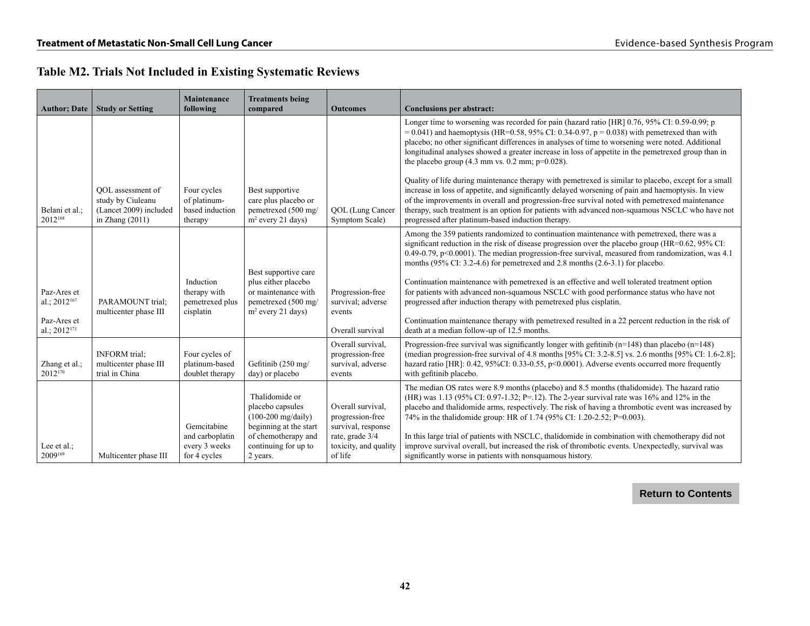<span id="page-42-0"></span>

|  |  | Table M2. Trials Not Included in Existing Systematic Reviews |  |
|--|--|--------------------------------------------------------------|--|
|  |  |                                                              |  |

|                                         | Author; Date   Study or Setting                                                       | Maintenance<br>following                                        | <b>Treatments being</b><br>compared                                                                                                                     | <b>Outcomes</b>                                                                                                    | <b>Conclusions per abstract:</b>                                                                                                                                                                                                                                                                                                                                                                                                                                                                                                                                                                                                                |
|-----------------------------------------|---------------------------------------------------------------------------------------|-----------------------------------------------------------------|---------------------------------------------------------------------------------------------------------------------------------------------------------|--------------------------------------------------------------------------------------------------------------------|-------------------------------------------------------------------------------------------------------------------------------------------------------------------------------------------------------------------------------------------------------------------------------------------------------------------------------------------------------------------------------------------------------------------------------------------------------------------------------------------------------------------------------------------------------------------------------------------------------------------------------------------------|
|                                         |                                                                                       |                                                                 |                                                                                                                                                         |                                                                                                                    | Longer time to worsening was recorded for pain (hazard ratio [HR] 0.76, 95% CI: 0.59-0.99; p<br>$= 0.041$ ) and haemoptysis (HR=0.58, 95% CI: 0.34-0.97, p = 0.038) with pemetrexed than with<br>placebo; no other significant differences in analyses of time to worsening were noted. Additional<br>longitudinal analyses showed a greater increase in loss of appetite in the pemetrexed group than in<br>the placebo group $(4.3 \text{ mm vs. } 0.2 \text{ mm}; \text{p=0.028}).$                                                                                                                                                          |
| Belani et al.:<br>2012168               | OOL assessment of<br>study by Ciuleanu<br>(Lancet 2009) included<br>in Zhang $(2011)$ | Four cycles<br>of platinum-<br>based induction<br>therapy       | Best supportive<br>care plus placebo or<br>pemetrexed (500 mg/<br>$m2$ every 21 days)                                                                   | QOL (Lung Cancer<br>Symptom Scale)                                                                                 | Quality of life during maintenance therapy with pemetrexed is similar to placebo, except for a small<br>increase in loss of appetite, and significantly delayed worsening of pain and haemoptysis. In view<br>of the improvements in overall and progression-free survival noted with pemetrexed maintenance<br>therapy, such treatment is an option for patients with advanced non-squamous NSCLC who have not<br>progressed after platinum-based induction therapy.                                                                                                                                                                           |
|                                         |                                                                                       |                                                                 | Best supportive care                                                                                                                                    |                                                                                                                    | Among the 359 patients randomized to continuation maintenance with pemetrexed, there was a<br>significant reduction in the risk of disease progression over the placebo group (HR=0.62, 95% CI:<br>$0.49 - 0.79$ , p<0.0001). The median progression-free survival, measured from randomization, was 4.1<br>months $(95\% \text{ CI: } 3.2-4.6)$ for pemetrexed and 2.8 months $(2.6-3.1)$ for placebo.                                                                                                                                                                                                                                         |
| Paz-Ares et<br>al.; 2012 <sup>167</sup> | PARAMOUNT trial;<br>multicenter phase III                                             | Induction<br>therapy with<br>pemetrexed plus<br>cisplatin       | plus either placebo<br>or maintenance with<br>pemetrexed (500 mg/<br>$m2$ every 21 days)                                                                | Progression-free<br>survival; adverse<br>events                                                                    | Continuation maintenance with pemetrexed is an effective and well tolerated treatment option<br>for patients with advanced non-squamous NSCLC with good performance status who have not<br>progressed after induction therapy with pemetrexed plus cisplatin.                                                                                                                                                                                                                                                                                                                                                                                   |
| Paz-Ares et<br>al.; $2012^{171}$        |                                                                                       |                                                                 |                                                                                                                                                         | Overall survival                                                                                                   | Continuation maintenance therapy with pemetrexed resulted in a 22 percent reduction in the risk of<br>death at a median follow-up of 12.5 months.                                                                                                                                                                                                                                                                                                                                                                                                                                                                                               |
| Zhang et al.;<br>2012170                | <b>INFORM</b> trial:<br>multicenter phase III<br>trial in China                       | Four cycles of<br>platinum-based<br>doublet therapy             | Gefitinib (250 mg/<br>day) or placebo                                                                                                                   | Overall survival,<br>progression-free<br>survival, adverse<br>events                                               | Progression-free survival was significantly longer with gefitinib $(n=148)$ than placebo $(n=148)$<br>(median progression-free survival of 4.8 months [95% CI: 3.2-8.5] vs. 2.6 months [95% CI: 1.6-2.8];<br>hazard ratio [HR]: 0.42, 95%CI: 0.33-0.55, p<0.0001). Adverse events occurred more frequently<br>with gefitinib placebo.                                                                                                                                                                                                                                                                                                           |
| Lee et al.;<br>2009169                  | Multicenter phase III                                                                 | Gemcitabine<br>and carboplatin<br>every 3 weeks<br>for 4 cycles | Thalidomide or<br>placebo capsules<br>$(100-200 \text{ mg/daily})$<br>beginning at the start<br>of chemotherapy and<br>continuing for up to<br>2 years. | Overall survival,<br>progression-free<br>survival, response<br>rate, grade 3/4<br>toxicity, and quality<br>of life | The median OS rates were 8.9 months (placebo) and 8.5 months (thalidomide). The hazard ratio<br>(HR) was 1.13 (95% CI: 0.97-1.32; P=.12). The 2-year survival rate was 16% and 12% in the<br>placebo and thalidomide arms, respectively. The risk of having a thrombotic event was increased by<br>74% in the thalidomide group: HR of 1.74 (95% CI: 1.20-2.52; P=0.003).<br>In this large trial of patients with NSCLC, thalidomide in combination with chemotherapy did not<br>improve survival overall, but increased the risk of thrombotic events. Unexpectedly, survival was<br>significantly worse in patients with nonsquamous history. |

**Return to Contents Return to Contents**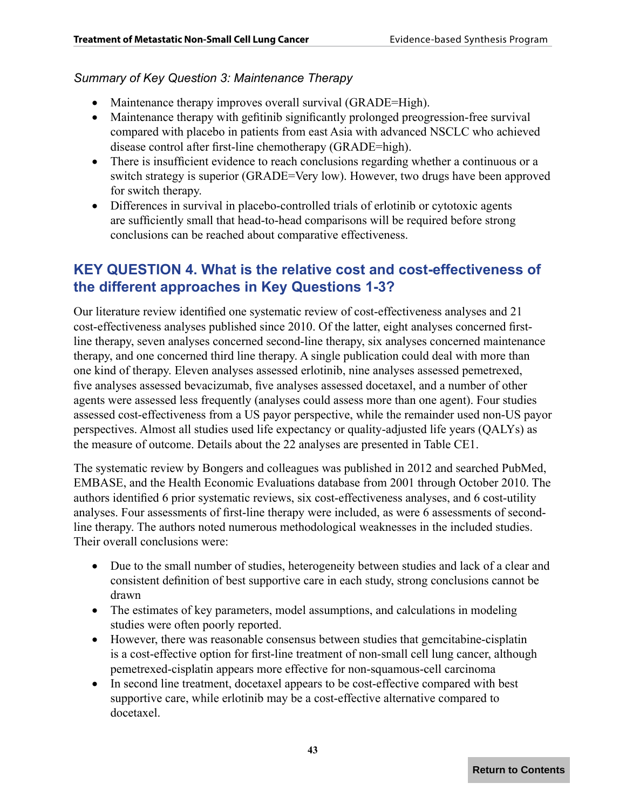#### <span id="page-43-0"></span>*Summary of Key Question 3: Maintenance Therapy*

- Maintenance therapy improves overall survival (GRADE=High).
- Maintenance therapy with gefitinib significantly prolonged preogression-free survival compared with placebo in patients from east Asia with advanced NSCLC who achieved disease control after first-line chemotherapy (GRADE=high).
- There is insufficient evidence to reach conclusions regarding whether a continuous or a switch strategy is superior (GRADE=Very low). However, two drugs have been approved for switch therapy.
- Differences in survival in placebo-controlled trials of erlotinib or cytotoxic agents are sufficiently small that head-to-head comparisons will be required before strong conclusions can be reached about comparative effectiveness.

# **KEY QUESTION 4. What is the relative cost and cost-effectiveness of the different approaches in Key Questions 1-3?**

Our literature review identified one systematic review of cost-effectiveness analyses and 21 cost-effectiveness analyses published since 2010. Of the latter, eight analyses concerned firstline therapy, seven analyses concerned second-line therapy, six analyses concerned maintenance therapy, and one concerned third line therapy. A single publication could deal with more than one kind of therapy. Eleven analyses assessed erlotinib, nine analyses assessed pemetrexed, five analyses assessed bevacizumab, five analyses assessed docetaxel, and a number of other agents were assessed less frequently (analyses could assess more than one agent). Four studies assessed cost-effectiveness from a US payor perspective, while the remainder used non-US payor perspectives. Almost all studies used life expectancy or quality-adjusted life years (QALYs) as the measure of outcome. Details about the 22 analyses are presented in Table CE1.

The systematic review by Bongers and colleagues was published in 2012 and searched PubMed, EMBASE, and the Health Economic Evaluations database from 2001 through October 2010. The authors identified 6 prior systematic reviews, six cost-effectiveness analyses, and 6 cost-utility analyses. Four assessments of first-line therapy were included, as were 6 assessments of secondline therapy. The authors noted numerous methodological weaknesses in the included studies. Their overall conclusions were:

- Due to the small number of studies, heterogeneity between studies and lack of a clear and consistent definition of best supportive care in each study, strong conclusions cannot be drawn
- The estimates of key parameters, model assumptions, and calculations in modeling studies were often poorly reported.
- However, there was reasonable consensus between studies that gemcitabine-cisplatin is a cost-effective option for first-line treatment of non-small cell lung cancer, although pemetrexed-cisplatin appears more effective for non-squamous-cell carcinoma
- In second line treatment, docetaxel appears to be cost-effective compared with best supportive care, while erlotinib may be a cost-effective alternative compared to docetaxel.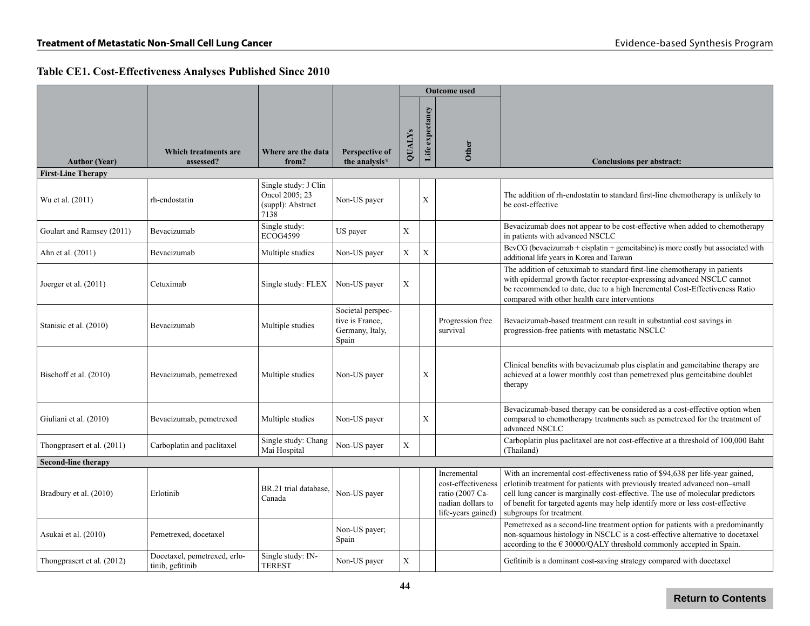#### <span id="page-44-0"></span>**Table CE1. Cost-Effectiveness Analyses Published Since 2010**

|                            |                                                  |                                                                     |                                                                  |             |                 | <b>Outcome</b> used                                                                             |                                                                                                                                                                                                                                                                                                                                                             |
|----------------------------|--------------------------------------------------|---------------------------------------------------------------------|------------------------------------------------------------------|-------------|-----------------|-------------------------------------------------------------------------------------------------|-------------------------------------------------------------------------------------------------------------------------------------------------------------------------------------------------------------------------------------------------------------------------------------------------------------------------------------------------------------|
| <b>Author (Year)</b>       | Which treatments are<br>assessed?                | Where are the data<br>from?                                         | <b>Perspective of</b><br>the analysis*                           | QUALYS      | Life expectancy | <b>Other</b>                                                                                    | <b>Conclusions per abstract:</b>                                                                                                                                                                                                                                                                                                                            |
| <b>First-Line Therapy</b>  |                                                  |                                                                     |                                                                  |             |                 |                                                                                                 |                                                                                                                                                                                                                                                                                                                                                             |
| Wu et al. (2011)           | rh-endostatin                                    | Single study: J Clin<br>Oncol 2005; 23<br>(suppl): Abstract<br>7138 | Non-US payer                                                     |             | $\mathbf X$     |                                                                                                 | The addition of rh-endostatin to standard first-line chemotherapy is unlikely to<br>be cost-effective                                                                                                                                                                                                                                                       |
| Goulart and Ramsey (2011)  | Bevacizumab                                      | Single study:<br><b>ECOG4599</b>                                    | US payer                                                         | $\mathbf X$ |                 |                                                                                                 | Bevacizumab does not appear to be cost-effective when added to chemotherapy<br>in patients with advanced NSCLC                                                                                                                                                                                                                                              |
| Ahn et al. (2011)          | Bevacizumab                                      | Multiple studies                                                    | Non-US payer                                                     | $\mathbf X$ | X               |                                                                                                 | BevCG (bevacizumab + cisplatin + gemcitabine) is more costly but associated with<br>additional life years in Korea and Taiwan                                                                                                                                                                                                                               |
| Joerger et al. (2011)      | Cetuximab                                        | Single study: FLEX                                                  | Non-US payer                                                     | X           |                 |                                                                                                 | The addition of cetuximab to standard first-line chemotherapy in patients<br>with epidermal growth factor receptor-expressing advanced NSCLC cannot<br>be recommended to date, due to a high Incremental Cost-Effectiveness Ratio<br>compared with other health care interventions                                                                          |
| Stanisic et al. (2010)     | Bevacizumab                                      | Multiple studies                                                    | Societal perspec-<br>tive is France,<br>Germany, Italy,<br>Spain |             |                 | Progression free<br>survival                                                                    | Bevacizumab-based treatment can result in substantial cost savings in<br>progression-free patients with metastatic NSCLC                                                                                                                                                                                                                                    |
| Bischoff et al. (2010)     | Bevacizumab, pemetrexed                          | Multiple studies                                                    | Non-US payer                                                     |             | X               |                                                                                                 | Clinical benefits with bevacizumab plus cisplatin and gemcitabine therapy are<br>achieved at a lower monthly cost than pemetrexed plus gemcitabine doublet<br>therapy                                                                                                                                                                                       |
| Giuliani et al. (2010)     | Bevacizumab, pemetrexed                          | Multiple studies                                                    | Non-US payer                                                     |             | X               |                                                                                                 | Bevacizumab-based therapy can be considered as a cost-effective option when<br>compared to chemotherapy treatments such as pemetrexed for the treatment of<br>advanced NSCLC                                                                                                                                                                                |
| Thongprasert et al. (2011) | Carboplatin and paclitaxel                       | Single study: Chang<br>Mai Hospital                                 | Non-US payer                                                     | $\mathbf X$ |                 |                                                                                                 | Carboplatin plus paclitaxel are not cost-effective at a threshold of 100,000 Baht<br>(Thailand)                                                                                                                                                                                                                                                             |
| <b>Second-line therapy</b> |                                                  |                                                                     |                                                                  |             |                 |                                                                                                 |                                                                                                                                                                                                                                                                                                                                                             |
| Bradbury et al. (2010)     | Erlotinib                                        | BR.21 trial database,<br>Canada                                     | Non-US payer                                                     |             |                 | Incremental<br>cost-effectiveness<br>ratio (2007 Ca-<br>nadian dollars to<br>life-years gained) | With an incremental cost-effectiveness ratio of \$94,638 per life-year gained,<br>erlotinib treatment for patients with previously treated advanced non-small<br>cell lung cancer is marginally cost-effective. The use of molecular predictors<br>of benefit for targeted agents may help identify more or less cost-effective<br>subgroups for treatment. |
| Asukai et al. (2010)       | Pemetrexed, docetaxel                            |                                                                     | Non-US payer;<br>Spain                                           |             |                 |                                                                                                 | Pemetrexed as a second-line treatment option for patients with a predominantly<br>non-squamous histology in NSCLC is a cost-effective alternative to docetaxel<br>according to the $\epsilon$ 30000/QALY threshold commonly accepted in Spain.                                                                                                              |
| Thongprasert et al. (2012) | Docetaxel, pemetrexed, erlo-<br>tinib, gefitinib | Single study: IN-<br><b>TEREST</b>                                  | Non-US payer                                                     | $\mathbf X$ |                 |                                                                                                 | Gefitinib is a dominant cost-saving strategy compared with docetaxel                                                                                                                                                                                                                                                                                        |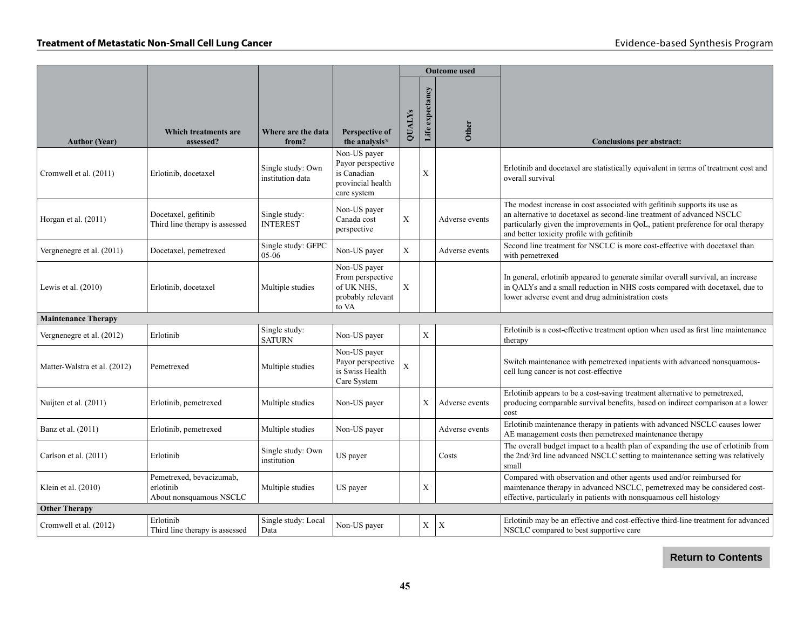|                              |                                                                  |                                       |                                                                                      | <b>Outcome</b> used |                 |                |                                                                                                                                                                                                                                                                                      |
|------------------------------|------------------------------------------------------------------|---------------------------------------|--------------------------------------------------------------------------------------|---------------------|-----------------|----------------|--------------------------------------------------------------------------------------------------------------------------------------------------------------------------------------------------------------------------------------------------------------------------------------|
| <b>Author (Year)</b>         | Which treatments are<br>assessed?                                | Where are the data<br>from?           | Perspective of<br>the analysis*                                                      | <b>QUALYS</b>       | Life expectancy | <b>Other</b>   | <b>Conclusions per abstract:</b>                                                                                                                                                                                                                                                     |
| Cromwell et al. (2011)       | Erlotinib, docetaxel                                             | Single study: Own<br>institution data | Non-US payer<br>Payor perspective<br>is Canadian<br>provincial health<br>care system |                     | X               |                | Erlotinib and docetaxel are statistically equivalent in terms of treatment cost and<br>overall survival                                                                                                                                                                              |
| Horgan et al. (2011)         | Docetaxel, gefitinib<br>Third line therapy is assessed           | Single study:<br><b>INTEREST</b>      | Non-US payer<br>Canada cost<br>perspective                                           | X                   |                 | Adverse events | The modest increase in cost associated with gefitinib supports its use as<br>an alternative to docetaxel as second-line treatment of advanced NSCLC<br>particularly given the improvements in QoL, patient preference for oral therapy<br>and better toxicity profile with gefitinib |
| Vergnenegre et al. (2011)    | Docetaxel, pemetrexed                                            | Single study: GFPC<br>$05-06$         | Non-US payer                                                                         | $\mathbf X$         |                 | Adverse events | Second line treatment for NSCLC is more cost-effective with docetaxel than<br>with pemetrexed                                                                                                                                                                                        |
| Lewis et al. $(2010)$        | Erlotinib, docetaxel                                             | Multiple studies                      | Non-US payer<br>From perspective<br>of UK NHS,<br>probably relevant<br>to VA         | X                   |                 |                | In general, erlotinib appeared to generate similar overall survival, an increase<br>in QALYs and a small reduction in NHS costs compared with docetaxel, due to<br>lower adverse event and drug administration costs                                                                 |
| <b>Maintenance Therapy</b>   |                                                                  |                                       |                                                                                      |                     |                 |                |                                                                                                                                                                                                                                                                                      |
| Vergnenegre et al. (2012)    | Erlotinib                                                        | Single study:<br><b>SATURN</b>        | Non-US payer                                                                         |                     | $\mathbf X$     |                | Erlotinib is a cost-effective treatment option when used as first line maintenance<br>therapy                                                                                                                                                                                        |
| Matter-Walstra et al. (2012) | Pemetrexed                                                       | Multiple studies                      | Non-US payer<br>Payor perspective<br>is Swiss Health<br>Care System                  | $\bar{x}$           |                 |                | Switch maintenance with pemetrexed inpatients with advanced nonsquamous-<br>cell lung cancer is not cost-effective                                                                                                                                                                   |
| Nuijten et al. (2011)        | Erlotinib, pemetrexed                                            | Multiple studies                      | Non-US payer                                                                         |                     | $\mathbf X$     | Adverse events | Erlotinib appears to be a cost-saving treatment alternative to pemetrexed,<br>producing comparable survival benefits, based on indirect comparison at a lower<br>cost                                                                                                                |
| Banz et al. (2011)           | Erlotinib, pemetrexed                                            | Multiple studies                      | Non-US payer                                                                         |                     |                 | Adverse events | Erlotinib maintenance therapy in patients with advanced NSCLC causes lower<br>AE management costs then pemetrexed maintenance therapy                                                                                                                                                |
| Carlson et al. (2011)        | Erlotinib                                                        | Single study: Own<br>institution      | US payer                                                                             |                     |                 | Costs          | The overall budget impact to a health plan of expanding the use of erlotinib from<br>the 2nd/3rd line advanced NSCLC setting to maintenance setting was relatively<br>small                                                                                                          |
| Klein et al. (2010)          | Pemetrexed, bevacizumab,<br>erlotinib<br>About nonsquamous NSCLC | Multiple studies                      | US payer                                                                             |                     | $\mathbf X$     |                | Compared with observation and other agents used and/or reimbursed for<br>maintenance therapy in advanced NSCLC, pemetrexed may be considered cost-<br>effective, particularly in patients with nonsquamous cell histology                                                            |
| <b>Other Therapy</b>         |                                                                  |                                       |                                                                                      |                     |                 |                |                                                                                                                                                                                                                                                                                      |
| Cromwell et al. (2012)       | Erlotinib<br>Third line therapy is assessed                      | Single study: Local<br>Data           | Non-US payer                                                                         |                     | $\mathbf X$     | X              | Erlotinib may be an effective and cost-effective third-line treatment for advanced<br>NSCLC compared to best supportive care                                                                                                                                                         |

**Return to Contents Return to Contents**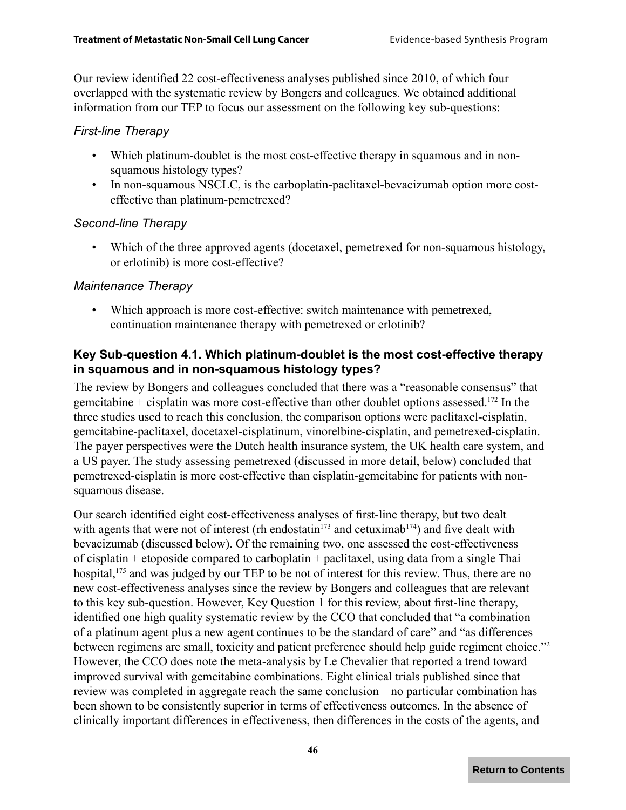<span id="page-46-0"></span>Our review identified 22 cost-effectiveness analyses published since 2010, of which four overlapped with the systematic review by Bongers and colleagues. We obtained additional information from our TEP to focus our assessment on the following key sub-questions:

#### *First-line Therapy*

- Which platinum-doublet is the most cost-effective therapy in squamous and in nonsquamous histology types?
- In non-squamous NSCLC, is the carboplatin-paclitaxel-bevacizumab option more costeffective than platinum-pemetrexed?

#### *Second-line Therapy*

• Which of the three approved agents (docetaxel, pemetrexed for non-squamous histology, or erlotinib) is more cost-effective?

#### *Maintenance Therapy*

• Which approach is more cost-effective: switch maintenance with pemetrexed, continuation maintenance therapy with pemetrexed or erlotinib?

#### **Key Sub-question 4.1. Which platinum-doublet is the most cost-effective therapy in squamous and in non-squamous histology types?**

The review by Bongers and colleagues concluded that there was a "reasonable consensus" that gemcitabine  $+$  cisplatin was more cost-effective than other doublet options assessed.<sup>172</sup> In the three studies used to reach this conclusion, the comparison options were paclitaxel-cisplatin, gemcitabine-paclitaxel, docetaxel-cisplatinum, vinorelbine-cisplatin, and pemetrexed-cisplatin. The payer perspectives were the Dutch health insurance system, the UK health care system, and a US payer. The study assessing pemetrexed (discussed in more detail, below) concluded that pemetrexed-cisplatin is more cost-effective than cisplatin-gemcitabine for patients with nonsquamous disease.

Our search identified eight cost-effectiveness analyses of first-line therapy, but two dealt with agents that were not of interest (rh endostatin<sup>173</sup> and cetuximab<sup>174</sup>) and five dealt with bevacizumab (discussed below). Of the remaining two, one assessed the cost-effectiveness of cisplatin + etoposide compared to carboplatin + paclitaxel, using data from a single Thai hospital,<sup>175</sup> and was judged by our TEP to be not of interest for this review. Thus, there are no new cost-effectiveness analyses since the review by Bongers and colleagues that are relevant to this key sub-question. However, Key Question 1 for this review, about first-line therapy, identified one high quality systematic review by the CCO that concluded that "a combination of a platinum agent plus a new agent continues to be the standard of care" and "as differences between regimens are small, toxicity and patient preference should help guide regiment choice."2 However, the CCO does note the meta-analysis by Le Chevalier that reported a trend toward improved survival with gemcitabine combinations. Eight clinical trials published since that review was completed in aggregate reach the same conclusion – no particular combination has been shown to be consistently superior in terms of effectiveness outcomes. In the absence of clinically important differences in effectiveness, then differences in the costs of the agents, and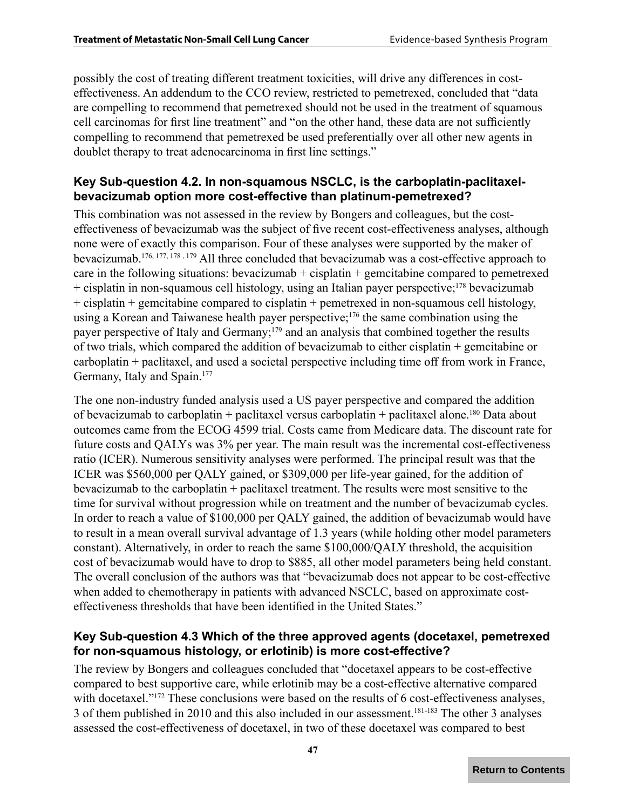<span id="page-47-0"></span>possibly the cost of treating different treatment toxicities, will drive any differences in costeffectiveness. An addendum to the CCO review, restricted to pemetrexed, concluded that "data are compelling to recommend that pemetrexed should not be used in the treatment of squamous cell carcinomas for first line treatment" and "on the other hand, these data are not sufficiently compelling to recommend that pemetrexed be used preferentially over all other new agents in doublet therapy to treat adenocarcinoma in first line settings."

#### **Key Sub-question 4.2. In non-squamous NSCLC, is the carboplatin-paclitaxelbevacizumab option more cost-effective than platinum-pemetrexed?**

This combination was not assessed in the review by Bongers and colleagues, but the costeffectiveness of bevacizumab was the subject of five recent cost-effectiveness analyses, although none were of exactly this comparison. Four of these analyses were supported by the maker of bevacizumab.176, 177, 178 , 179 All three concluded that bevacizumab was a cost-effective approach to care in the following situations: bevacizumab  $+$  cisplatin  $+$  gemcitabine compared to pemetrexed + cisplatin in non-squamous cell histology, using an Italian payer perspective;<sup>178</sup> bevacizumab + cisplatin + gemcitabine compared to cisplatin + pemetrexed in non-squamous cell histology, using a Korean and Taiwanese health payer perspective;<sup>176</sup> the same combination using the payer perspective of Italy and Germany;<sup>179</sup> and an analysis that combined together the results of two trials, which compared the addition of bevacizumab to either cisplatin + gemcitabine or carboplatin + paclitaxel, and used a societal perspective including time off from work in France, Germany, Italy and Spain.<sup>177</sup>

The one non-industry funded analysis used a US payer perspective and compared the addition of bevacizumab to carboplatin + paclitaxel versus carboplatin + paclitaxel alone.<sup>180</sup> Data about outcomes came from the ECOG 4599 trial. Costs came from Medicare data. The discount rate for future costs and QALYs was 3% per year. The main result was the incremental cost-effectiveness ratio (ICER). Numerous sensitivity analyses were performed. The principal result was that the ICER was \$560,000 per QALY gained, or \$309,000 per life-year gained, for the addition of bevacizumab to the carboplatin + paclitaxel treatment. The results were most sensitive to the time for survival without progression while on treatment and the number of bevacizumab cycles. In order to reach a value of \$100,000 per QALY gained, the addition of bevacizumab would have to result in a mean overall survival advantage of 1.3 years (while holding other model parameters constant). Alternatively, in order to reach the same \$100,000/QALY threshold, the acquisition cost of bevacizumab would have to drop to \$885, all other model parameters being held constant. The overall conclusion of the authors was that "bevacizumab does not appear to be cost-effective when added to chemotherapy in patients with advanced NSCLC, based on approximate costeffectiveness thresholds that have been identified in the United States."

#### **Key Sub-question 4.3 Which of the three approved agents (docetaxel, pemetrexed for non-squamous histology, or erlotinib) is more cost-effective?**

The review by Bongers and colleagues concluded that "docetaxel appears to be cost-effective compared to best supportive care, while erlotinib may be a cost-effective alternative compared with docetaxel."<sup>172</sup> These conclusions were based on the results of 6 cost-effectiveness analyses, 3 of them published in 2010 and this also included in our assessment.181-183 The other 3 analyses assessed the cost-effectiveness of docetaxel, in two of these docetaxel was compared to best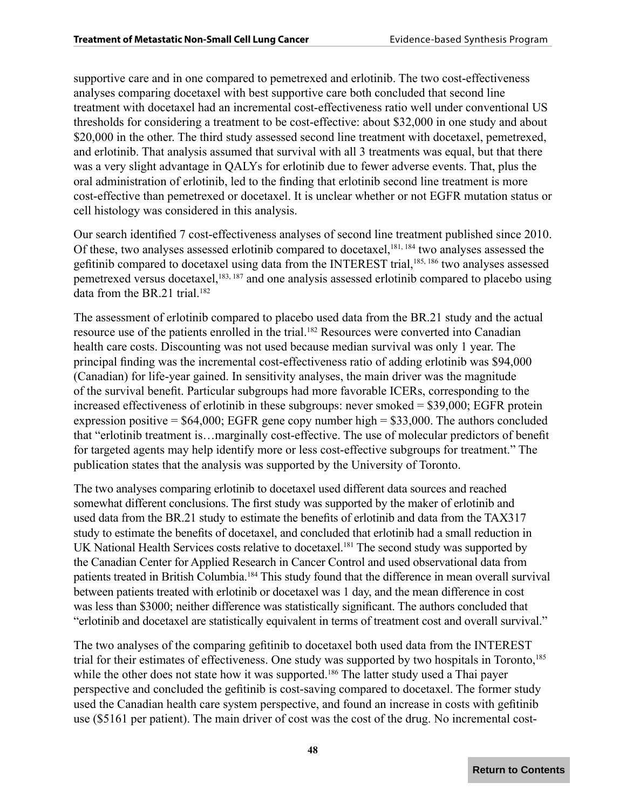<span id="page-48-0"></span>supportive care and in one compared to pemetrexed and erlotinib. The two cost-effectiveness analyses comparing docetaxel with best supportive care both concluded that second line treatment with docetaxel had an incremental cost-effectiveness ratio well under conventional US thresholds for considering a treatment to be cost-effective: about \$32,000 in one study and about \$20,000 in the other. The third study assessed second line treatment with docetaxel, pemetrexed, and erlotinib. That analysis assumed that survival with all 3 treatments was equal, but that there was a very slight advantage in QALYs for erlotinib due to fewer adverse events. That, plus the oral administration of erlotinib, led to the finding that erlotinib second line treatment is more cost-effective than pemetrexed or docetaxel. It is unclear whether or not EGFR mutation status or cell histology was considered in this analysis.

Our search identified 7 cost-effectiveness analyses of second line treatment published since 2010. Of these, two analyses assessed erlotinib compared to docetaxel,<sup>181, 184</sup> two analyses assessed the gefitinib compared to docetaxel using data from the INTEREST trial,185, 186 two analyses assessed pemetrexed versus docetaxel,<sup>183, 187</sup> and one analysis assessed erlotinib compared to placebo using data from the BR.21 trial. $182$ 

The assessment of erlotinib compared to placebo used data from the BR.21 study and the actual resource use of the patients enrolled in the trial.<sup>182</sup> Resources were converted into Canadian health care costs. Discounting was not used because median survival was only 1 year. The principal finding was the incremental cost-effectiveness ratio of adding erlotinib was \$94,000 (Canadian) for life-year gained. In sensitivity analyses, the main driver was the magnitude of the survival benefit. Particular subgroups had more favorable ICERs, corresponding to the increased effectiveness of erlotinib in these subgroups: never smoked = \$39,000; EGFR protein expression positive =  $$64,000$ ; EGFR gene copy number high =  $$33,000$ . The authors concluded that "erlotinib treatment is…marginally cost-effective. The use of molecular predictors of benefit for targeted agents may help identify more or less cost-effective subgroups for treatment." The publication states that the analysis was supported by the University of Toronto.

The two analyses comparing erlotinib to docetaxel used different data sources and reached somewhat different conclusions. The first study was supported by the maker of erlotinib and used data from the BR.21 study to estimate the benefits of erlotinib and data from the TAX317 study to estimate the benefits of docetaxel, and concluded that erlotinib had a small reduction in UK National Health Services costs relative to docetaxel.<sup>181</sup> The second study was supported by the Canadian Center for Applied Research in Cancer Control and used observational data from patients treated in British Columbia.184 This study found that the difference in mean overall survival between patients treated with erlotinib or docetaxel was 1 day, and the mean difference in cost was less than \$3000; neither difference was statistically significant. The authors concluded that "erlotinib and docetaxel are statistically equivalent in terms of treatment cost and overall survival."

The two analyses of the comparing gefitinib to docetaxel both used data from the INTEREST trial for their estimates of effectiveness. One study was supported by two hospitals in Toronto,<sup>185</sup> while the other does not state how it was supported.<sup>186</sup> The latter study used a Thai payer perspective and concluded the gefitinib is cost-saving compared to docetaxel. The former study used the Canadian health care system perspective, and found an increase in costs with gefitinib use (\$5161 per patient). The main driver of cost was the cost of the drug. No incremental cost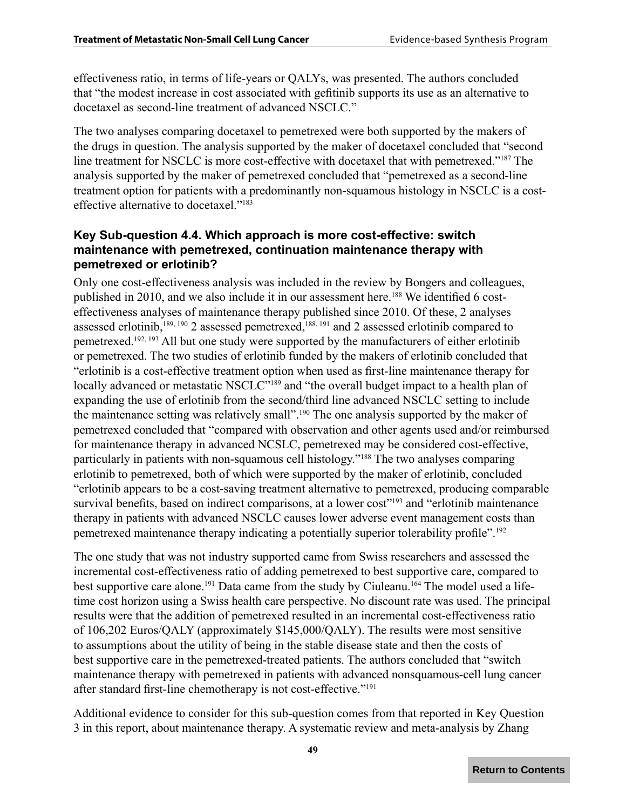<span id="page-49-0"></span>effectiveness ratio, in terms of life-years or QALYs, was presented. The authors concluded that "the modest increase in cost associated with gefitinib supports its use as an alternative to docetaxel as second-line treatment of advanced NSCLC."

The two analyses comparing docetaxel to pemetrexed were both supported by the makers of the drugs in question. The analysis supported by the maker of docetaxel concluded that "second line treatment for NSCLC is more cost-effective with docetaxel that with pemetrexed."187 The analysis supported by the maker of pemetrexed concluded that "pemetrexed as a second-line treatment option for patients with a predominantly non-squamous histology in NSCLC is a costeffective alternative to docetaxel."183

#### **Key Sub-question 4.4. Which approach is more cost-effective: switch maintenance with pemetrexed, continuation maintenance therapy with pemetrexed or erlotinib?**

Only one cost-effectiveness analysis was included in the review by Bongers and colleagues, published in 2010, and we also include it in our assessment here.<sup>188</sup> We identified 6 costeffectiveness analyses of maintenance therapy published since 2010. Of these, 2 analyses assessed erlotinib,<sup>189, 190</sup> 2 assessed pemetrexed,<sup>188, 191</sup> and 2 assessed erlotinib compared to pemetrexed.192, 193 All but one study were supported by the manufacturers of either erlotinib or pemetrexed. The two studies of erlotinib funded by the makers of erlotinib concluded that "erlotinib is a cost-effective treatment option when used as first-line maintenance therapy for locally advanced or metastatic NSCLC"<sup>189</sup> and "the overall budget impact to a health plan of expanding the use of erlotinib from the second/third line advanced NSCLC setting to include the maintenance setting was relatively small".<sup>190</sup> The one analysis supported by the maker of pemetrexed concluded that "compared with observation and other agents used and/or reimbursed for maintenance therapy in advanced NCSLC, pemetrexed may be considered cost-effective, particularly in patients with non-squamous cell histology."188 The two analyses comparing erlotinib to pemetrexed, both of which were supported by the maker of erlotinib, concluded "erlotinib appears to be a cost-saving treatment alternative to pemetrexed, producing comparable survival benefits, based on indirect comparisons, at a lower cost"<sup>193</sup> and "erlotinib maintenance therapy in patients with advanced NSCLC causes lower adverse event management costs than pemetrexed maintenance therapy indicating a potentially superior tolerability profile".<sup>192</sup>

The one study that was not industry supported came from Swiss researchers and assessed the incremental cost-effectiveness ratio of adding pemetrexed to best supportive care, compared to best supportive care alone.<sup>191</sup> Data came from the study by Ciuleanu.<sup>164</sup> The model used a lifetime cost horizon using a Swiss health care perspective. No discount rate was used. The principal results were that the addition of pemetrexed resulted in an incremental cost-effectiveness ratio of 106,202 Euros/QALY (approximately \$145,000/QALY). The results were most sensitive to assumptions about the utility of being in the stable disease state and then the costs of best supportive care in the pemetrexed-treated patients. The authors concluded that "switch maintenance therapy with pemetrexed in patients with advanced nonsquamous-cell lung cancer after standard first-line chemotherapy is not cost-effective."<sup>191</sup>

Additional evidence to consider for this sub-question comes from that reported in Key Question 3 in this report, about maintenance therapy. A systematic review and meta-analysis by Zhang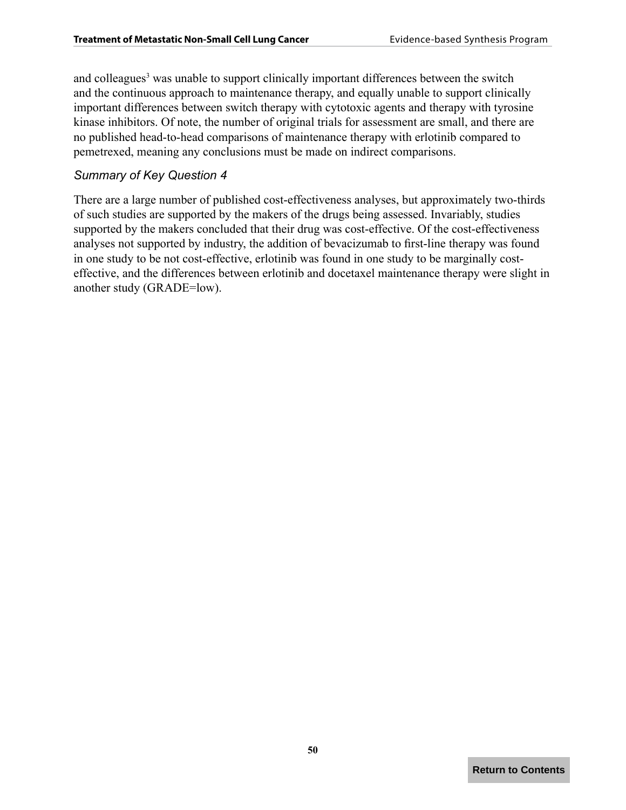and colleagues<sup>3</sup> was unable to support clinically important differences between the switch and the continuous approach to maintenance therapy, and equally unable to support clinically important differences between switch therapy with cytotoxic agents and therapy with tyrosine kinase inhibitors. Of note, the number of original trials for assessment are small, and there are no published head-to-head comparisons of maintenance therapy with erlotinib compared to pemetrexed, meaning any conclusions must be made on indirect comparisons.

#### *Summary of Key Question 4*

There are a large number of published cost-effectiveness analyses, but approximately two-thirds of such studies are supported by the makers of the drugs being assessed. Invariably, studies supported by the makers concluded that their drug was cost-effective. Of the cost-effectiveness analyses not supported by industry, the addition of bevacizumab to first-line therapy was found in one study to be not cost-effective, erlotinib was found in one study to be marginally costeffective, and the differences between erlotinib and docetaxel maintenance therapy were slight in another study (GRADE=low).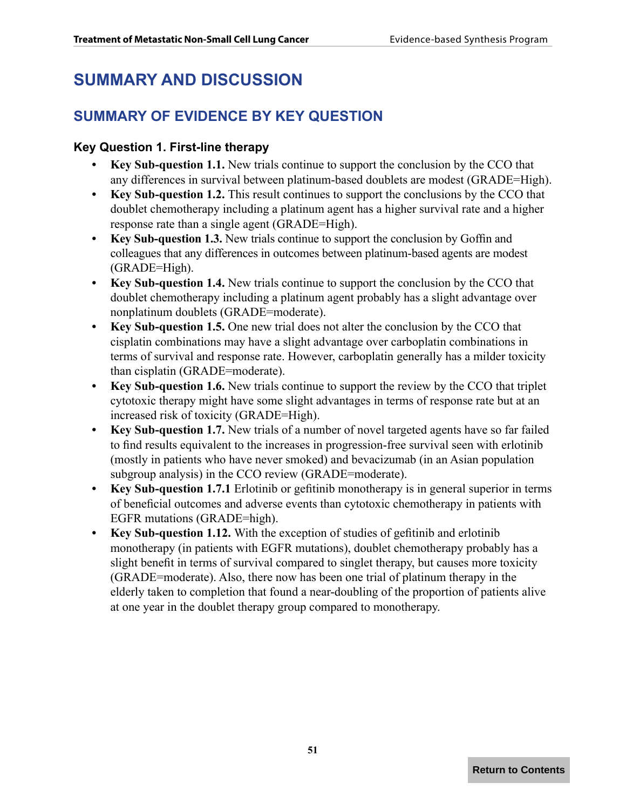# <span id="page-51-0"></span>**SUMMARY AND DISCUSSION**

# **SUMMARY OF EVIDENCE BY KEY QUESTION**

#### **Key Question 1. First-line therapy**

- **• Key Sub-question 1.1.** New trials continue to support the conclusion by the CCO that any differences in survival between platinum-based doublets are modest (GRADE=High).
- **Key Sub-question 1.2.** This result continues to support the conclusions by the CCO that doublet chemotherapy including a platinum agent has a higher survival rate and a higher response rate than a single agent (GRADE=High).
- **Key Sub-question 1.3.** New trials continue to support the conclusion by Goffin and colleagues that any differences in outcomes between platinum-based agents are modest (GRADE=High).
- **Key Sub-question 1.4.** New trials continue to support the conclusion by the CCO that doublet chemotherapy including a platinum agent probably has a slight advantage over nonplatinum doublets (GRADE=moderate).
- **Key Sub-question 1.5.** One new trial does not alter the conclusion by the CCO that cisplatin combinations may have a slight advantage over carboplatin combinations in terms of survival and response rate. However, carboplatin generally has a milder toxicity than cisplatin (GRADE=moderate).
- **Key Sub-question 1.6.** New trials continue to support the review by the CCO that triplet cytotoxic therapy might have some slight advantages in terms of response rate but at an increased risk of toxicity (GRADE=High).
- **Key Sub-question 1.7.** New trials of a number of novel targeted agents have so far failed to find results equivalent to the increases in progression-free survival seen with erlotinib (mostly in patients who have never smoked) and bevacizumab (in an Asian population subgroup analysis) in the CCO review (GRADE=moderate).
- **• Key Sub-question 1.7.1** Erlotinib or gefitinib monotherapy is in general superior in terms of beneficial outcomes and adverse events than cytotoxic chemotherapy in patients with EGFR mutations (GRADE=high).
- **• Key Sub-question 1.12.** With the exception of studies of gefitinib and erlotinib monotherapy (in patients with EGFR mutations), doublet chemotherapy probably has a slight benefit in terms of survival compared to singlet therapy, but causes more toxicity (GRADE=moderate). Also, there now has been one trial of platinum therapy in the elderly taken to completion that found a near-doubling of the proportion of patients alive at one year in the doublet therapy group compared to monotherapy.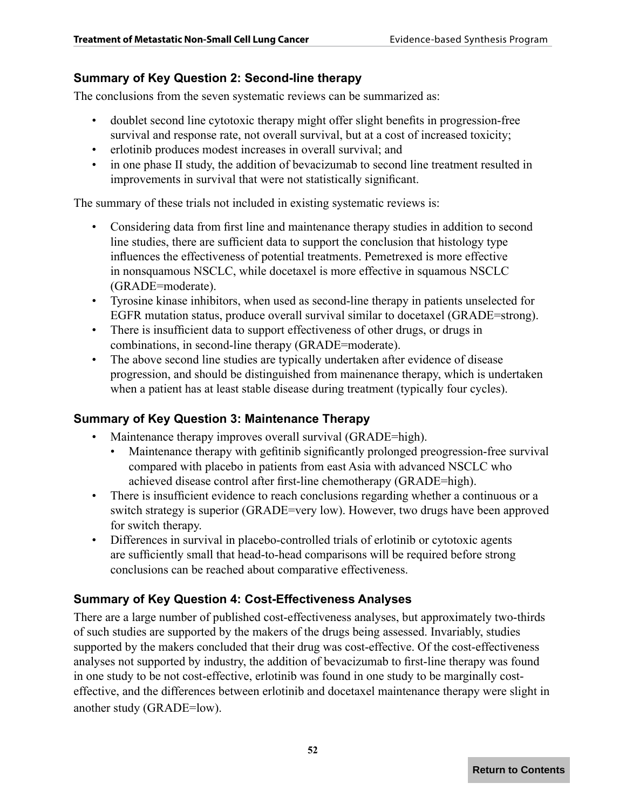#### **Summary of Key Question 2: Second-line therapy**

The conclusions from the seven systematic reviews can be summarized as:

- doublet second line cytotoxic therapy might offer slight benefits in progression-free survival and response rate, not overall survival, but at a cost of increased toxicity;
- erlotinib produces modest increases in overall survival; and
- in one phase II study, the addition of bevacizumab to second line treatment resulted in improvements in survival that were not statistically significant.

The summary of these trials not included in existing systematic reviews is:

- Considering data from first line and maintenance therapy studies in addition to second line studies, there are sufficient data to support the conclusion that histology type influences the effectiveness of potential treatments. Pemetrexed is more effective in nonsquamous NSCLC, while docetaxel is more effective in squamous NSCLC (GRADE=moderate).
- Tyrosine kinase inhibitors, when used as second-line therapy in patients unselected for EGFR mutation status, produce overall survival similar to docetaxel (GRADE=strong).
- There is insufficient data to support effectiveness of other drugs, or drugs in combinations, in second-line therapy (GRADE=moderate).
- The above second line studies are typically undertaken after evidence of disease progression, and should be distinguished from mainenance therapy, which is undertaken when a patient has at least stable disease during treatment (typically four cycles).

#### **Summary of Key Question 3: Maintenance Therapy**

- Maintenance therapy improves overall survival (GRADE=high).
	- Maintenance therapy with gefitinib significantly prolonged preogression-free survival compared with placebo in patients from east Asia with advanced NSCLC who achieved disease control after first-line chemotherapy (GRADE=high).
- There is insufficient evidence to reach conclusions regarding whether a continuous or a switch strategy is superior (GRADE=very low). However, two drugs have been approved for switch therapy.
- Differences in survival in placebo-controlled trials of erlotinib or cytotoxic agents are sufficiently small that head-to-head comparisons will be required before strong conclusions can be reached about comparative effectiveness.

#### **Summary of Key Question 4: Cost-Effectiveness Analyses**

There are a large number of published cost-effectiveness analyses, but approximately two-thirds of such studies are supported by the makers of the drugs being assessed. Invariably, studies supported by the makers concluded that their drug was cost-effective. Of the cost-effectiveness analyses not supported by industry, the addition of bevacizumab to first-line therapy was found in one study to be not cost-effective, erlotinib was found in one study to be marginally costeffective, and the differences between erlotinib and docetaxel maintenance therapy were slight in another study (GRADE=low).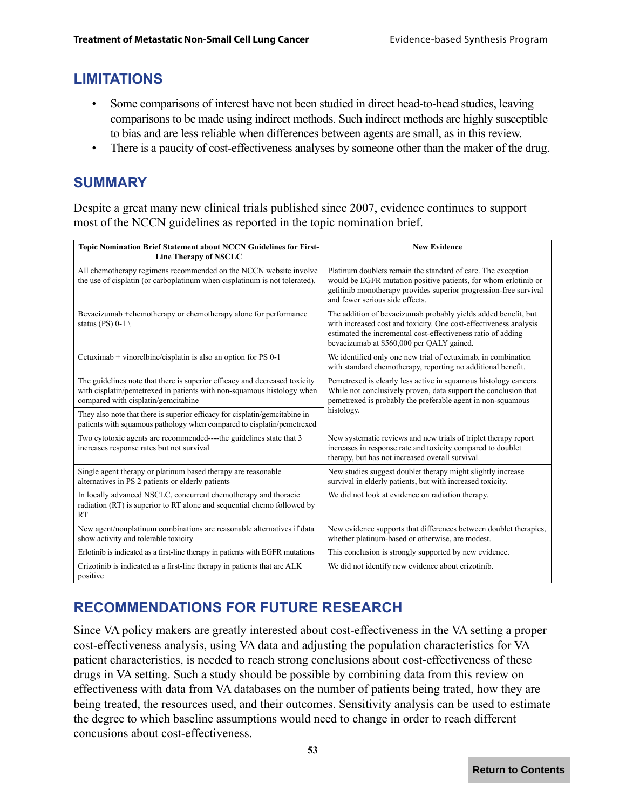# <span id="page-53-0"></span>**LIMITATIONS**

- Some comparisons of interest have not been studied in direct head-to-head studies, leaving comparisons to be made using indirect methods. Such indirect methods are highly susceptible to bias and are less reliable when differences between agents are small, as in this review.
- There is a paucity of cost-effectiveness analyses by someone other than the maker of the drug.

# **SUMMARY**

Despite a great many new clinical trials published since 2007, evidence continues to support most of the NCCN guidelines as reported in the topic nomination brief.

| <b>Topic Nomination Brief Statement about NCCN Guidelines for First-</b><br><b>Line Therapy of NSCLC</b>                                                                                    | <b>New Evidence</b>                                                                                                                                                                                                                              |  |  |
|---------------------------------------------------------------------------------------------------------------------------------------------------------------------------------------------|--------------------------------------------------------------------------------------------------------------------------------------------------------------------------------------------------------------------------------------------------|--|--|
| All chemotherapy regimens recommended on the NCCN website involve<br>the use of cisplatin (or carboplatinum when cisplatinum is not tolerated).                                             | Platinum doublets remain the standard of care. The exception<br>would be EGFR mutation positive patients, for whom erlotinib or<br>gefitinib monotherapy provides superior progression-free survival<br>and fewer serious side effects.          |  |  |
| Bevacizumab +chemotherapy or chemotherapy alone for performance<br>status (PS) $0-1$ \                                                                                                      | The addition of bevacizumab probably yields added benefit, but<br>with increased cost and toxicity. One cost-effectiveness analysis<br>estimated the incremental cost-effectiveness ratio of adding<br>bevacizumab at \$560,000 per QALY gained. |  |  |
| Cetuximab + vinorelbine/cisplatin is also an option for $PS 0-1$                                                                                                                            | We identified only one new trial of cetuximab, in combination<br>with standard chemotherapy, reporting no additional benefit.                                                                                                                    |  |  |
| The guidelines note that there is superior efficacy and decreased toxicity<br>with cisplatin/pemetrexed in patients with non-squamous histology when<br>compared with cisplatin/gemcitabine | Pemetrexed is clearly less active in squamous histology cancers.<br>While not conclusively proven, data support the conclusion that<br>pemetrexed is probably the preferable agent in non-squamous                                               |  |  |
| They also note that there is superior efficacy for cisplatin/gemcitabine in<br>patients with squamous pathology when compared to cisplatin/pemetrexed                                       | histology.                                                                                                                                                                                                                                       |  |  |
| Two cytotoxic agents are recommended----the guidelines state that 3<br>increases response rates but not survival                                                                            | New systematic reviews and new trials of triplet therapy report<br>increases in response rate and toxicity compared to doublet<br>therapy, but has not increased overall survival.                                                               |  |  |
| Single agent therapy or platinum based therapy are reasonable<br>alternatives in PS 2 patients or elderly patients                                                                          | New studies suggest doublet therapy might slightly increase<br>survival in elderly patients, but with increased toxicity.                                                                                                                        |  |  |
| In locally advanced NSCLC, concurrent chemotherapy and thoracic<br>radiation (RT) is superior to RT alone and sequential chemo followed by<br><b>RT</b>                                     | We did not look at evidence on radiation therapy.                                                                                                                                                                                                |  |  |
| New agent/nonplatinum combinations are reasonable alternatives if data<br>show activity and tolerable toxicity                                                                              | New evidence supports that differences between doublet therapies,<br>whether platinum-based or otherwise, are modest.                                                                                                                            |  |  |
| Erlotinib is indicated as a first-line therapy in patients with EGFR mutations                                                                                                              | This conclusion is strongly supported by new evidence.                                                                                                                                                                                           |  |  |
| Crizotinib is indicated as a first-line therapy in patients that are ALK<br>positive                                                                                                        | We did not identify new evidence about crizotinib.                                                                                                                                                                                               |  |  |

# **RECOMMENDATIONS FOR FUTURE RESEARCH**

Since VA policy makers are greatly interested about cost-effectiveness in the VA setting a proper cost-effectiveness analysis, using VA data and adjusting the population characteristics for VA patient characteristics, is needed to reach strong conclusions about cost-effectiveness of these drugs in VA setting. Such a study should be possible by combining data from this review on effectiveness with data from VA databases on the number of patients being trated, how they are being treated, the resources used, and their outcomes. Sensitivity analysis can be used to estimate the degree to which baseline assumptions would need to change in order to reach different concusions about cost-effectiveness.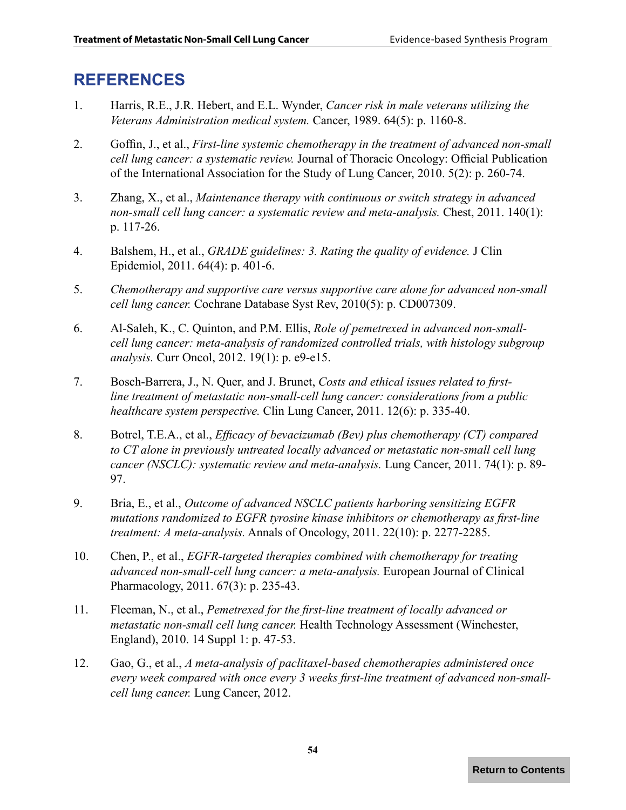# <span id="page-54-0"></span>**REFERENCES**

- 1. Harris, R.E., J.R. Hebert, and E.L. Wynder, *Cancer risk in male veterans utilizing the Veterans Administration medical system.* Cancer, 1989. 64(5): p. 1160-8.
- 2. Goffin, J., et al., *First-line systemic chemotherapy in the treatment of advanced non-small cell lung cancer: a systematic review.* Journal of Thoracic Oncology: Official Publication of the International Association for the Study of Lung Cancer, 2010. 5(2): p. 260-74.
- 3. Zhang, X., et al., *Maintenance therapy with continuous or switch strategy in advanced non-small cell lung cancer: a systematic review and meta-analysis.* Chest, 2011. 140(1): p. 117-26.
- 4. Balshem, H., et al., *GRADE guidelines: 3. Rating the quality of evidence.* J Clin Epidemiol, 2011. 64(4): p. 401-6.
- 5. *Chemotherapy and supportive care versus supportive care alone for advanced non-small cell lung cancer.* Cochrane Database Syst Rev, 2010(5): p. CD007309.
- 6. Al-Saleh, K., C. Quinton, and P.M. Ellis, *Role of pemetrexed in advanced non-smallcell lung cancer: meta-analysis of randomized controlled trials, with histology subgroup analysis.* Curr Oncol, 2012. 19(1): p. e9-e15.
- 7. Bosch-Barrera, J., N. Quer, and J. Brunet, *Costs and ethical issues related to firstline treatment of metastatic non-small-cell lung cancer: considerations from a public healthcare system perspective.* Clin Lung Cancer, 2011. 12(6): p. 335-40.
- 8. Botrel, T.E.A., et al., *Efficacy of bevacizumab (Bev) plus chemotherapy (CT) compared to CT alone in previously untreated locally advanced or metastatic non-small cell lung cancer (NSCLC): systematic review and meta-analysis.* Lung Cancer, 2011. 74(1): p. 89- 97.
- 9. Bria, E., et al., *Outcome of advanced NSCLC patients harboring sensitizing EGFR mutations randomized to EGFR tyrosine kinase inhibitors or chemotherapy as first-line treatment: A meta-analysis.* Annals of Oncology, 2011. 22(10): p. 2277-2285.
- 10. Chen, P., et al., *EGFR-targeted therapies combined with chemotherapy for treating advanced non-small-cell lung cancer: a meta-analysis.* European Journal of Clinical Pharmacology, 2011. 67(3): p. 235-43.
- 11. Fleeman, N., et al., *Pemetrexed for the first-line treatment of locally advanced or metastatic non-small cell lung cancer.* Health Technology Assessment (Winchester, England), 2010. 14 Suppl 1: p. 47-53.
- 12. Gao, G., et al., *A meta-analysis of paclitaxel-based chemotherapies administered once every week compared with once every 3 weeks first-line treatment of advanced non-smallcell lung cancer.* Lung Cancer, 2012.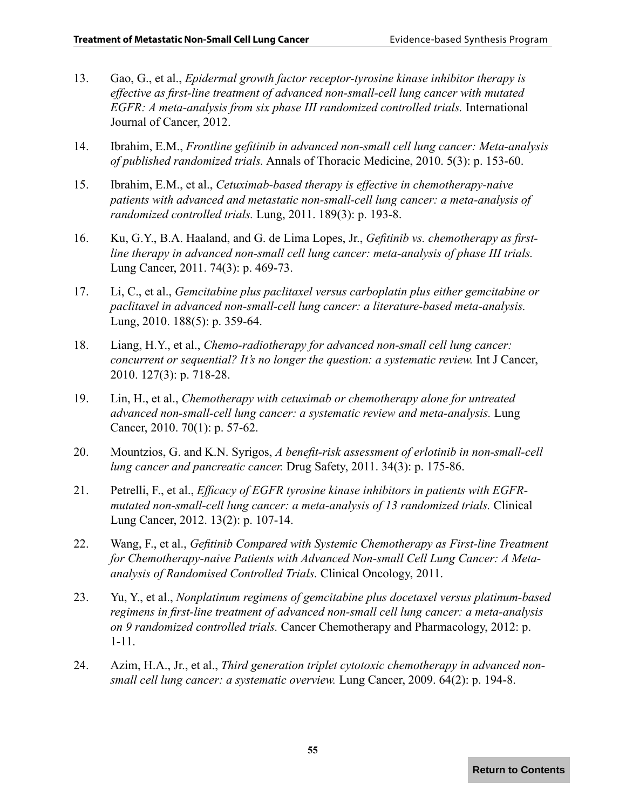- 13. Gao, G., et al., *Epidermal growth factor receptor-tyrosine kinase inhibitor therapy is effective as first-line treatment of advanced non-small-cell lung cancer with mutated EGFR: A meta-analysis from six phase III randomized controlled trials.* International Journal of Cancer, 2012.
- 14. Ibrahim, E.M., *Frontline gefitinib in advanced non-small cell lung cancer: Meta-analysis of published randomized trials.* Annals of Thoracic Medicine, 2010. 5(3): p. 153-60.
- 15. Ibrahim, E.M., et al., *Cetuximab-based therapy is effective in chemotherapy-naive patients with advanced and metastatic non-small-cell lung cancer: a meta-analysis of randomized controlled trials.* Lung, 2011. 189(3): p. 193-8.
- 16. Ku, G.Y., B.A. Haaland, and G. de Lima Lopes, Jr., *Gefitinib vs. chemotherapy as firstline therapy in advanced non-small cell lung cancer: meta-analysis of phase III trials.* Lung Cancer, 2011. 74(3): p. 469-73.
- 17. Li, C., et al., *Gemcitabine plus paclitaxel versus carboplatin plus either gemcitabine or paclitaxel in advanced non-small-cell lung cancer: a literature-based meta-analysis.* Lung, 2010. 188(5): p. 359-64.
- 18. Liang, H.Y., et al., *Chemo-radiotherapy for advanced non-small cell lung cancer: concurrent or sequential? It's no longer the question: a systematic review.* Int J Cancer, 2010. 127(3): p. 718-28.
- 19. Lin, H., et al., *Chemotherapy with cetuximab or chemotherapy alone for untreated advanced non-small-cell lung cancer: a systematic review and meta-analysis.* Lung Cancer, 2010. 70(1): p. 57-62.
- 20. Mountzios, G. and K.N. Syrigos, *A benefit-risk assessment of erlotinib in non-small-cell lung cancer and pancreatic cancer.* Drug Safety, 2011. 34(3): p. 175-86.
- 21. Petrelli, F., et al., *Efficacy of EGFR tyrosine kinase inhibitors in patients with EGFRmutated non-small-cell lung cancer: a meta-analysis of 13 randomized trials.* Clinical Lung Cancer, 2012. 13(2): p. 107-14.
- 22. Wang, F., et al., *Gefitinib Compared with Systemic Chemotherapy as First-line Treatment for Chemotherapy-naive Patients with Advanced Non-small Cell Lung Cancer: A Metaanalysis of Randomised Controlled Trials.* Clinical Oncology, 2011.
- 23. Yu, Y., et al., *Nonplatinum regimens of gemcitabine plus docetaxel versus platinum-based regimens in first-line treatment of advanced non-small cell lung cancer: a meta-analysis on 9 randomized controlled trials.* Cancer Chemotherapy and Pharmacology, 2012: p. 1-11.
- 24. Azim, H.A., Jr., et al., *Third generation triplet cytotoxic chemotherapy in advanced nonsmall cell lung cancer: a systematic overview.* Lung Cancer, 2009. 64(2): p. 194-8.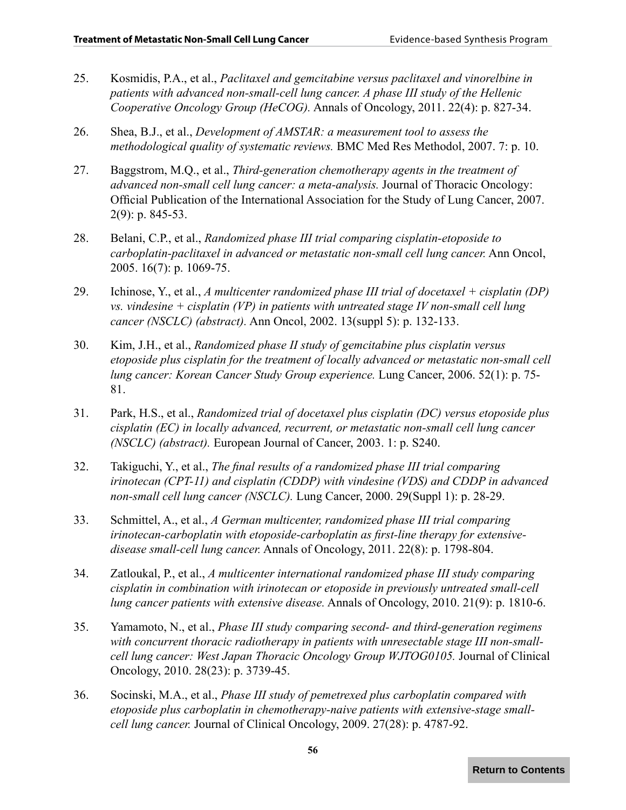- 25. Kosmidis, P.A., et al., *Paclitaxel and gemcitabine versus paclitaxel and vinorelbine in patients with advanced non-small-cell lung cancer. A phase III study of the Hellenic Cooperative Oncology Group (HeCOG).* Annals of Oncology, 2011. 22(4): p. 827-34.
- 26. Shea, B.J., et al., *Development of AMSTAR: a measurement tool to assess the methodological quality of systematic reviews.* BMC Med Res Methodol, 2007. 7: p. 10.
- 27. Baggstrom, M.Q., et al., *Third-generation chemotherapy agents in the treatment of advanced non-small cell lung cancer: a meta-analysis.* Journal of Thoracic Oncology: Official Publication of the International Association for the Study of Lung Cancer, 2007. 2(9): p. 845-53.
- 28. Belani, C.P., et al., *Randomized phase III trial comparing cisplatin-etoposide to carboplatin-paclitaxel in advanced or metastatic non-small cell lung cancer.* Ann Oncol, 2005. 16(7): p. 1069-75.
- 29. Ichinose, Y., et al., *A multicenter randomized phase III trial of docetaxel + cisplatin (DP) vs. vindesine + cisplatin (VP) in patients with untreated stage IV non-small cell lung cancer (NSCLC) (abstract).* Ann Oncol, 2002. 13(suppl 5): p. 132-133.
- 30. Kim, J.H., et al., *Randomized phase II study of gemcitabine plus cisplatin versus etoposide plus cisplatin for the treatment of locally advanced or metastatic non-small cell lung cancer: Korean Cancer Study Group experience.* Lung Cancer, 2006. 52(1): p. 75- 81.
- 31. Park, H.S., et al., *Randomized trial of docetaxel plus cisplatin (DC) versus etoposide plus cisplatin (EC) in locally advanced, recurrent, or metastatic non-small cell lung cancer (NSCLC) (abstract).* European Journal of Cancer, 2003. 1: p. S240.
- 32. Takiguchi, Y., et al., *The final results of a randomized phase III trial comparing irinotecan (CPT-11) and cisplatin (CDDP) with vindesine (VDS) and CDDP in advanced non-small cell lung cancer (NSCLC).* Lung Cancer, 2000. 29(Suppl 1): p. 28-29.
- 33. Schmittel, A., et al., *A German multicenter, randomized phase III trial comparing irinotecan-carboplatin with etoposide-carboplatin as first-line therapy for extensivedisease small-cell lung cancer.* Annals of Oncology, 2011. 22(8): p. 1798-804.
- 34. Zatloukal, P., et al., *A multicenter international randomized phase III study comparing cisplatin in combination with irinotecan or etoposide in previously untreated small-cell lung cancer patients with extensive disease.* Annals of Oncology, 2010. 21(9): p. 1810-6.
- 35. Yamamoto, N., et al., *Phase III study comparing second- and third-generation regimens with concurrent thoracic radiotherapy in patients with unresectable stage III non-smallcell lung cancer: West Japan Thoracic Oncology Group WJTOG0105.* Journal of Clinical Oncology, 2010. 28(23): p. 3739-45.
- 36. Socinski, M.A., et al., *Phase III study of pemetrexed plus carboplatin compared with etoposide plus carboplatin in chemotherapy-naive patients with extensive-stage smallcell lung cancer.* Journal of Clinical Oncology, 2009. 27(28): p. 4787-92.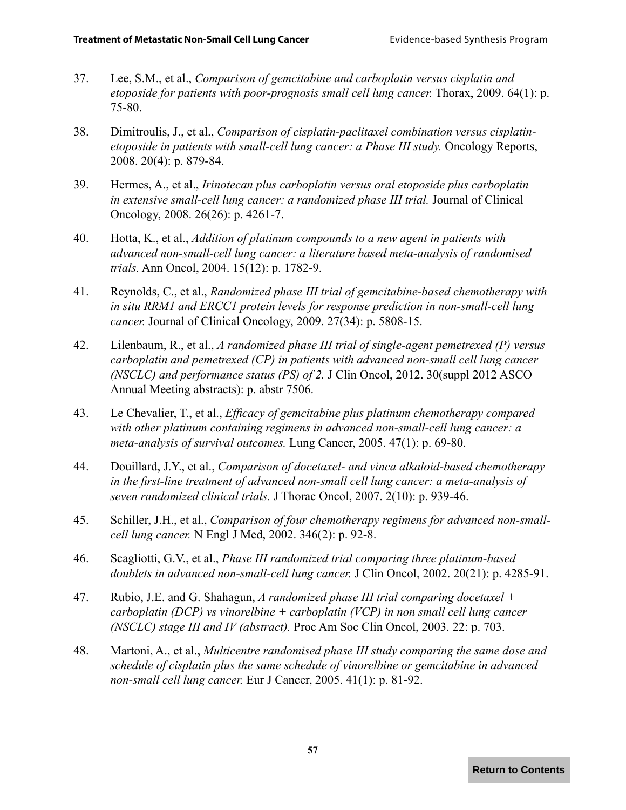- 37. Lee, S.M., et al., *Comparison of gemcitabine and carboplatin versus cisplatin and etoposide for patients with poor-prognosis small cell lung cancer.* Thorax, 2009. 64(1): p. 75-80.
- 38. Dimitroulis, J., et al., *Comparison of cisplatin-paclitaxel combination versus cisplatinetoposide in patients with small-cell lung cancer: a Phase III study.* Oncology Reports, 2008. 20(4): p. 879-84.
- 39. Hermes, A., et al., *Irinotecan plus carboplatin versus oral etoposide plus carboplatin in extensive small-cell lung cancer: a randomized phase III trial.* Journal of Clinical Oncology, 2008. 26(26): p. 4261-7.
- 40. Hotta, K., et al., *Addition of platinum compounds to a new agent in patients with advanced non-small-cell lung cancer: a literature based meta-analysis of randomised trials.* Ann Oncol, 2004. 15(12): p. 1782-9.
- 41. Reynolds, C., et al., *Randomized phase III trial of gemcitabine-based chemotherapy with in situ RRM1 and ERCC1 protein levels for response prediction in non-small-cell lung cancer.* Journal of Clinical Oncology, 2009. 27(34): p. 5808-15.
- 42. Lilenbaum, R., et al., *A randomized phase III trial of single-agent pemetrexed (P) versus carboplatin and pemetrexed (CP) in patients with advanced non-small cell lung cancer (NSCLC) and performance status (PS) of 2.* J Clin Oncol, 2012. 30(suppl 2012 ASCO Annual Meeting abstracts): p. abstr 7506.
- 43. Le Chevalier, T., et al., *Efficacy of gemcitabine plus platinum chemotherapy compared with other platinum containing regimens in advanced non-small-cell lung cancer: a meta-analysis of survival outcomes.* Lung Cancer, 2005. 47(1): p. 69-80.
- 44. Douillard, J.Y., et al., *Comparison of docetaxel- and vinca alkaloid-based chemotherapy in the first-line treatment of advanced non-small cell lung cancer: a meta-analysis of seven randomized clinical trials.* J Thorac Oncol, 2007. 2(10): p. 939-46.
- 45. Schiller, J.H., et al., *Comparison of four chemotherapy regimens for advanced non-smallcell lung cancer.* N Engl J Med, 2002. 346(2): p. 92-8.
- 46. Scagliotti, G.V., et al., *Phase III randomized trial comparing three platinum-based doublets in advanced non-small-cell lung cancer.* J Clin Oncol, 2002. 20(21): p. 4285-91.
- 47. Rubio, J.E. and G. Shahagun, *A randomized phase III trial comparing docetaxel + carboplatin (DCP) vs vinorelbine + carboplatin (VCP) in non small cell lung cancer (NSCLC) stage III and IV (abstract).* Proc Am Soc Clin Oncol, 2003. 22: p. 703.
- 48. Martoni, A., et al., *Multicentre randomised phase III study comparing the same dose and schedule of cisplatin plus the same schedule of vinorelbine or gemcitabine in advanced non-small cell lung cancer.* Eur J Cancer, 2005. 41(1): p. 81-92.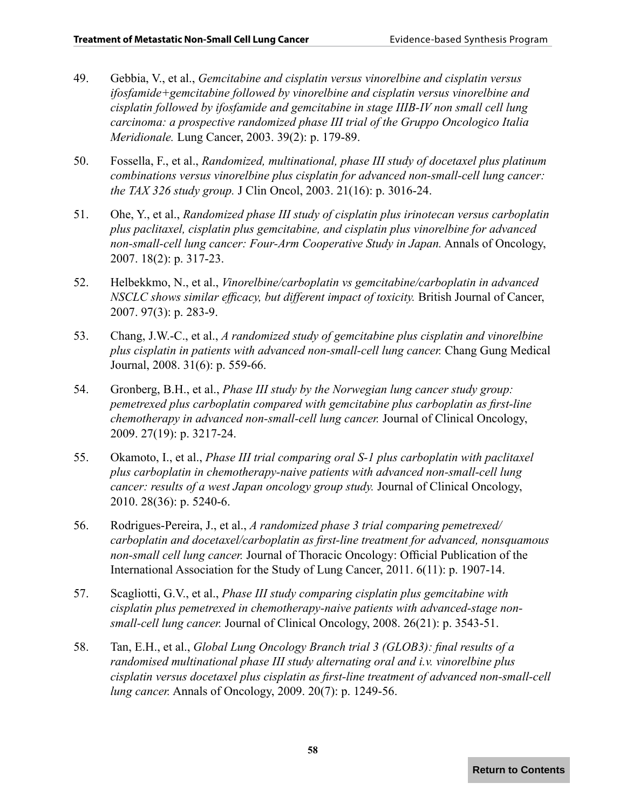- 49. Gebbia, V., et al., *Gemcitabine and cisplatin versus vinorelbine and cisplatin versus ifosfamide+gemcitabine followed by vinorelbine and cisplatin versus vinorelbine and cisplatin followed by ifosfamide and gemcitabine in stage IIIB-IV non small cell lung carcinoma: a prospective randomized phase III trial of the Gruppo Oncologico Italia Meridionale.* Lung Cancer, 2003. 39(2): p. 179-89.
- 50. Fossella, F., et al., *Randomized, multinational, phase III study of docetaxel plus platinum combinations versus vinorelbine plus cisplatin for advanced non-small-cell lung cancer: the TAX 326 study group.* J Clin Oncol, 2003. 21(16): p. 3016-24.
- 51. Ohe, Y., et al., *Randomized phase III study of cisplatin plus irinotecan versus carboplatin plus paclitaxel, cisplatin plus gemcitabine, and cisplatin plus vinorelbine for advanced non-small-cell lung cancer: Four-Arm Cooperative Study in Japan.* Annals of Oncology, 2007. 18(2): p. 317-23.
- 52. Helbekkmo, N., et al., *Vinorelbine/carboplatin vs gemcitabine/carboplatin in advanced NSCLC shows similar efficacy, but different impact of toxicity.* British Journal of Cancer, 2007. 97(3): p. 283-9.
- 53. Chang, J.W.-C., et al., *A randomized study of gemcitabine plus cisplatin and vinorelbine plus cisplatin in patients with advanced non-small-cell lung cancer.* Chang Gung Medical Journal, 2008. 31(6): p. 559-66.
- 54. Gronberg, B.H., et al., *Phase III study by the Norwegian lung cancer study group: pemetrexed plus carboplatin compared with gemcitabine plus carboplatin as first-line chemotherapy in advanced non-small-cell lung cancer.* Journal of Clinical Oncology, 2009. 27(19): p. 3217-24.
- 55. Okamoto, I., et al., *Phase III trial comparing oral S-1 plus carboplatin with paclitaxel plus carboplatin in chemotherapy-naive patients with advanced non-small-cell lung cancer: results of a west Japan oncology group study.* Journal of Clinical Oncology, 2010. 28(36): p. 5240-6.
- 56. Rodrigues-Pereira, J., et al., *A randomized phase 3 trial comparing pemetrexed/ carboplatin and docetaxel/carboplatin as first-line treatment for advanced, nonsquamous non-small cell lung cancer.* Journal of Thoracic Oncology: Official Publication of the International Association for the Study of Lung Cancer, 2011. 6(11): p. 1907-14.
- 57. Scagliotti, G.V., et al., *Phase III study comparing cisplatin plus gemcitabine with cisplatin plus pemetrexed in chemotherapy-naive patients with advanced-stage nonsmall-cell lung cancer.* Journal of Clinical Oncology, 2008. 26(21): p. 3543-51.
- 58. Tan, E.H., et al., *Global Lung Oncology Branch trial 3 (GLOB3): final results of a randomised multinational phase III study alternating oral and i.v. vinorelbine plus cisplatin versus docetaxel plus cisplatin as first-line treatment of advanced non-small-cell lung cancer.* Annals of Oncology, 2009. 20(7): p. 1249-56.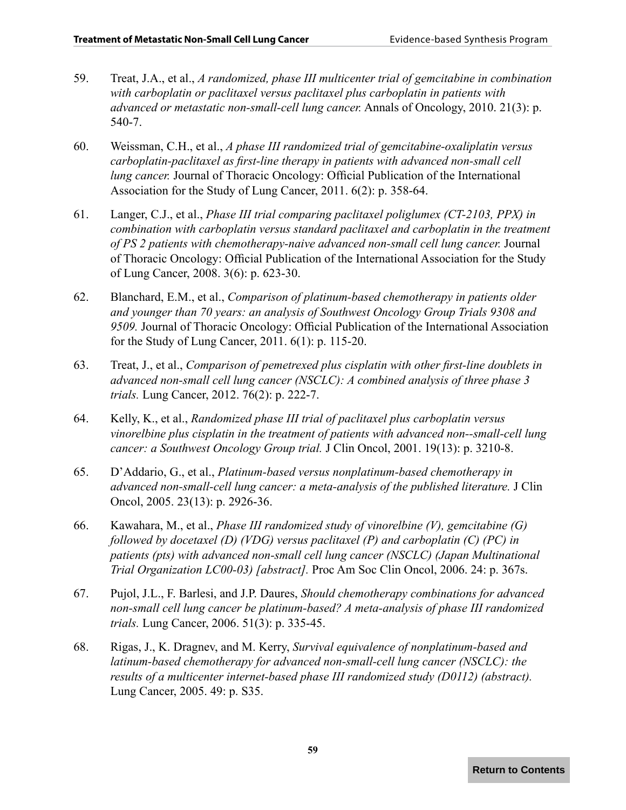- 59. Treat, J.A., et al., *A randomized, phase III multicenter trial of gemcitabine in combination with carboplatin or paclitaxel versus paclitaxel plus carboplatin in patients with advanced or metastatic non-small-cell lung cancer.* Annals of Oncology, 2010. 21(3): p. 540-7.
- 60. Weissman, C.H., et al., *A phase III randomized trial of gemcitabine-oxaliplatin versus carboplatin-paclitaxel as first-line therapy in patients with advanced non-small cell lung cancer.* Journal of Thoracic Oncology: Official Publication of the International Association for the Study of Lung Cancer, 2011. 6(2): p. 358-64.
- 61. Langer, C.J., et al., *Phase III trial comparing paclitaxel poliglumex (CT-2103, PPX) in combination with carboplatin versus standard paclitaxel and carboplatin in the treatment of PS 2 patients with chemotherapy-naive advanced non-small cell lung cancer.* Journal of Thoracic Oncology: Official Publication of the International Association for the Study of Lung Cancer, 2008. 3(6): p. 623-30.
- 62. Blanchard, E.M., et al., *Comparison of platinum-based chemotherapy in patients older and younger than 70 years: an analysis of Southwest Oncology Group Trials 9308 and 9509.* Journal of Thoracic Oncology: Official Publication of the International Association for the Study of Lung Cancer, 2011. 6(1): p. 115-20.
- 63. Treat, J., et al., *Comparison of pemetrexed plus cisplatin with other first-line doublets in advanced non-small cell lung cancer (NSCLC): A combined analysis of three phase 3 trials.* Lung Cancer, 2012. 76(2): p. 222-7.
- 64. Kelly, K., et al., *Randomized phase III trial of paclitaxel plus carboplatin versus vinorelbine plus cisplatin in the treatment of patients with advanced non--small-cell lung cancer: a Southwest Oncology Group trial.* J Clin Oncol, 2001. 19(13): p. 3210-8.
- 65. D'Addario, G., et al., *Platinum-based versus nonplatinum-based chemotherapy in advanced non-small-cell lung cancer: a meta-analysis of the published literature.* J Clin Oncol, 2005. 23(13): p. 2926-36.
- 66. Kawahara, M., et al., *Phase III randomized study of vinorelbine (V), gemcitabine (G) followed by docetaxel (D) (VDG) versus paclitaxel (P) and carboplatin (C) (PC) in patients (pts) with advanced non-small cell lung cancer (NSCLC) (Japan Multinational Trial Organization LC00-03) [abstract].* Proc Am Soc Clin Oncol, 2006. 24: p. 367s.
- 67. Pujol, J.L., F. Barlesi, and J.P. Daures, *Should chemotherapy combinations for advanced non-small cell lung cancer be platinum-based? A meta-analysis of phase III randomized trials.* Lung Cancer, 2006. 51(3): p. 335-45.
- 68. Rigas, J., K. Dragnev, and M. Kerry, *Survival equivalence of nonplatinum-based and latinum-based chemotherapy for advanced non-small-cell lung cancer (NSCLC): the results of a multicenter internet-based phase III randomized study (D0112) (abstract).* Lung Cancer, 2005. 49: p. S35.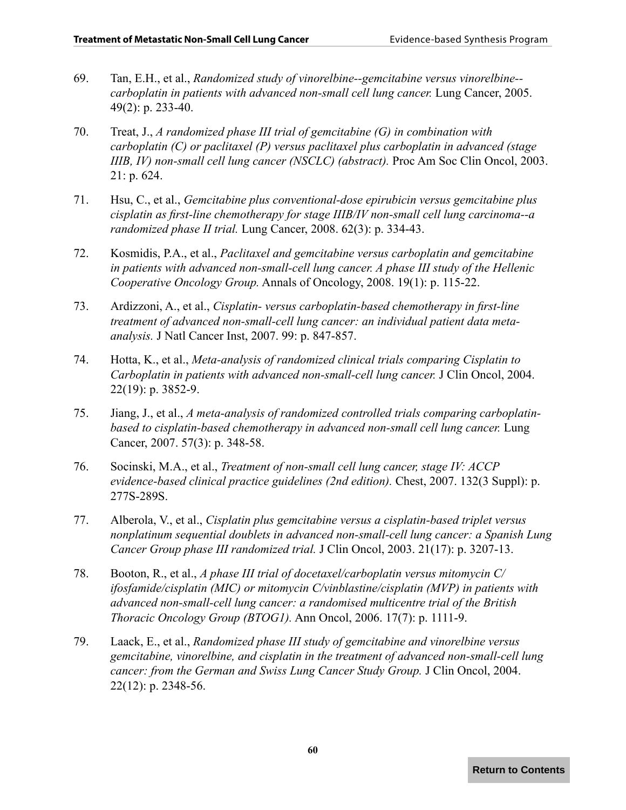- 69. Tan, E.H., et al., *Randomized study of vinorelbine--gemcitabine versus vinorelbine- carboplatin in patients with advanced non-small cell lung cancer.* Lung Cancer, 2005. 49(2): p. 233-40.
- 70. Treat, J., *A randomized phase III trial of gemcitabine (G) in combination with carboplatin (C) or paclitaxel (P) versus paclitaxel plus carboplatin in advanced (stage IIIB, IV) non-small cell lung cancer (NSCLC) (abstract).* Proc Am Soc Clin Oncol, 2003. 21: p. 624.
- 71. Hsu, C., et al., *Gemcitabine plus conventional-dose epirubicin versus gemcitabine plus cisplatin as first-line chemotherapy for stage IIIB/IV non-small cell lung carcinoma--a randomized phase II trial.* Lung Cancer, 2008. 62(3): p. 334-43.
- 72. Kosmidis, P.A., et al., *Paclitaxel and gemcitabine versus carboplatin and gemcitabine in patients with advanced non-small-cell lung cancer. A phase III study of the Hellenic Cooperative Oncology Group.* Annals of Oncology, 2008. 19(1): p. 115-22.
- 73. Ardizzoni, A., et al., *Cisplatin- versus carboplatin-based chemotherapy in first-line treatment of advanced non-small-cell lung cancer: an individual patient data metaanalysis.* J Natl Cancer Inst, 2007. 99: p. 847-857.
- 74. Hotta, K., et al., *Meta-analysis of randomized clinical trials comparing Cisplatin to Carboplatin in patients with advanced non-small-cell lung cancer.* J Clin Oncol, 2004. 22(19): p. 3852-9.
- 75. Jiang, J., et al., *A meta-analysis of randomized controlled trials comparing carboplatinbased to cisplatin-based chemotherapy in advanced non-small cell lung cancer.* Lung Cancer, 2007. 57(3): p. 348-58.
- 76. Socinski, M.A., et al., *Treatment of non-small cell lung cancer, stage IV: ACCP evidence-based clinical practice guidelines (2nd edition).* Chest, 2007. 132(3 Suppl): p. 277S-289S.
- 77. Alberola, V., et al., *Cisplatin plus gemcitabine versus a cisplatin-based triplet versus nonplatinum sequential doublets in advanced non-small-cell lung cancer: a Spanish Lung Cancer Group phase III randomized trial.* J Clin Oncol, 2003. 21(17): p. 3207-13.
- 78. Booton, R., et al., *A phase III trial of docetaxel/carboplatin versus mitomycin C/ ifosfamide/cisplatin (MIC) or mitomycin C/vinblastine/cisplatin (MVP) in patients with advanced non-small-cell lung cancer: a randomised multicentre trial of the British Thoracic Oncology Group (BTOG1).* Ann Oncol, 2006. 17(7): p. 1111-9.
- 79. Laack, E., et al., *Randomized phase III study of gemcitabine and vinorelbine versus gemcitabine, vinorelbine, and cisplatin in the treatment of advanced non-small-cell lung cancer: from the German and Swiss Lung Cancer Study Group.* J Clin Oncol, 2004. 22(12): p. 2348-56.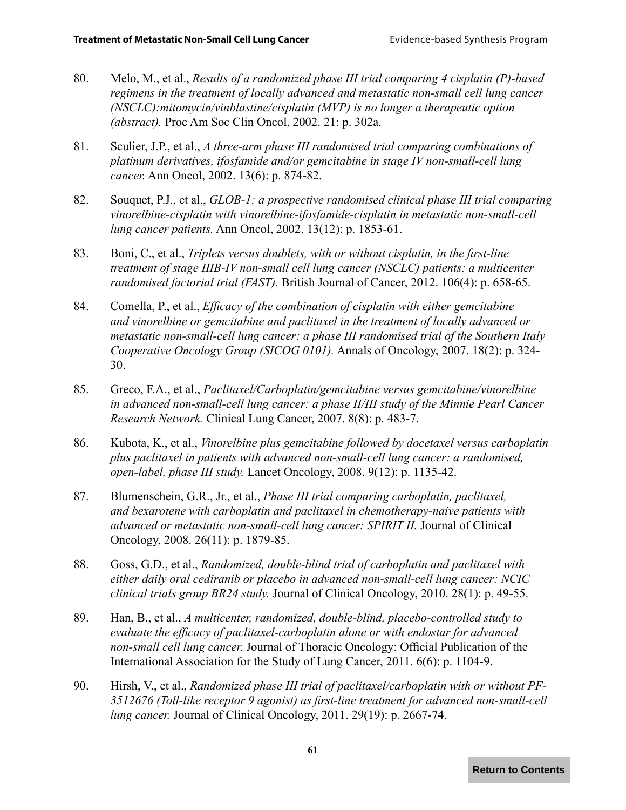- 80. Melo, M., et al., *Results of a randomized phase III trial comparing 4 cisplatin (P)-based regimens in the treatment of locally advanced and metastatic non-small cell lung cancer (NSCLC):mitomycin/vinblastine/cisplatin (MVP) is no longer a therapeutic option (abstract).* Proc Am Soc Clin Oncol, 2002. 21: p. 302a.
- 81. Sculier, J.P., et al., *A three-arm phase III randomised trial comparing combinations of platinum derivatives, ifosfamide and/or gemcitabine in stage IV non-small-cell lung cancer.* Ann Oncol, 2002. 13(6): p. 874-82.
- 82. Souquet, P.J., et al., *GLOB-1: a prospective randomised clinical phase III trial comparing vinorelbine-cisplatin with vinorelbine-ifosfamide-cisplatin in metastatic non-small-cell lung cancer patients.* Ann Oncol, 2002. 13(12): p. 1853-61.
- 83. Boni, C., et al., *Triplets versus doublets, with or without cisplatin, in the first-line treatment of stage IIIB-IV non-small cell lung cancer (NSCLC) patients: a multicenter randomised factorial trial (FAST).* British Journal of Cancer, 2012. 106(4): p. 658-65.
- 84. Comella, P., et al., *Efficacy of the combination of cisplatin with either gemcitabine and vinorelbine or gemcitabine and paclitaxel in the treatment of locally advanced or metastatic non-small-cell lung cancer: a phase III randomised trial of the Southern Italy Cooperative Oncology Group (SICOG 0101).* Annals of Oncology, 2007. 18(2): p. 324- 30.
- 85. Greco, F.A., et al., *Paclitaxel/Carboplatin/gemcitabine versus gemcitabine/vinorelbine in advanced non-small-cell lung cancer: a phase II/III study of the Minnie Pearl Cancer Research Network.* Clinical Lung Cancer, 2007. 8(8): p. 483-7.
- 86. Kubota, K., et al., *Vinorelbine plus gemcitabine followed by docetaxel versus carboplatin plus paclitaxel in patients with advanced non-small-cell lung cancer: a randomised, open-label, phase III study.* Lancet Oncology, 2008. 9(12): p. 1135-42.
- 87. Blumenschein, G.R., Jr., et al., *Phase III trial comparing carboplatin, paclitaxel, and bexarotene with carboplatin and paclitaxel in chemotherapy-naive patients with advanced or metastatic non-small-cell lung cancer: SPIRIT II.* Journal of Clinical Oncology, 2008. 26(11): p. 1879-85.
- 88. Goss, G.D., et al., *Randomized, double-blind trial of carboplatin and paclitaxel with either daily oral cediranib or placebo in advanced non-small-cell lung cancer: NCIC clinical trials group BR24 study.* Journal of Clinical Oncology, 2010. 28(1): p. 49-55.
- 89. Han, B., et al., *A multicenter, randomized, double-blind, placebo-controlled study to evaluate the efficacy of paclitaxel-carboplatin alone or with endostar for advanced non-small cell lung cancer.* Journal of Thoracic Oncology: Official Publication of the International Association for the Study of Lung Cancer, 2011. 6(6): p. 1104-9.
- 90. Hirsh, V., et al., *Randomized phase III trial of paclitaxel/carboplatin with or without PF-3512676 (Toll-like receptor 9 agonist) as first-line treatment for advanced non-small-cell lung cancer.* Journal of Clinical Oncology, 2011. 29(19): p. 2667-74.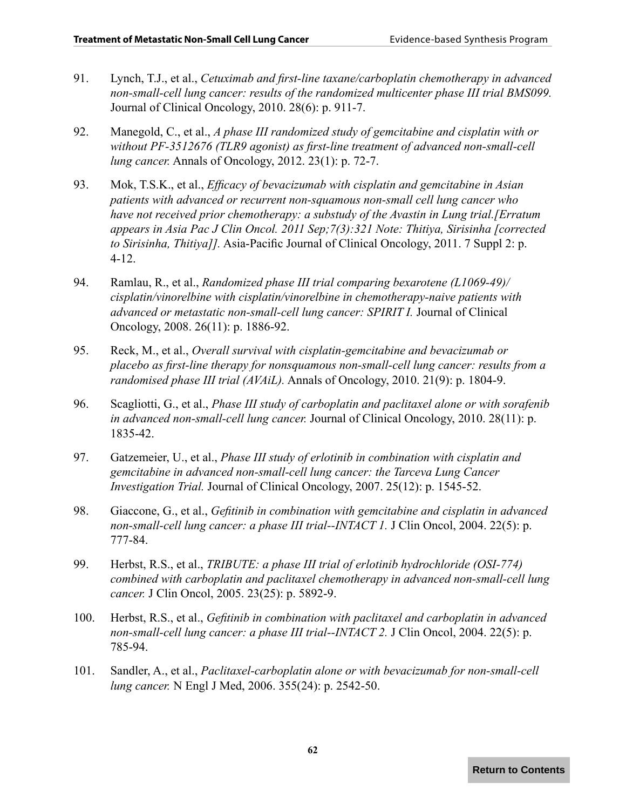- 91. Lynch, T.J., et al., *Cetuximab and first-line taxane/carboplatin chemotherapy in advanced non-small-cell lung cancer: results of the randomized multicenter phase III trial BMS099.* Journal of Clinical Oncology, 2010. 28(6): p. 911-7.
- 92. Manegold, C., et al., *A phase III randomized study of gemcitabine and cisplatin with or without PF-3512676 (TLR9 agonist) as first-line treatment of advanced non-small-cell lung cancer.* Annals of Oncology, 2012. 23(1): p. 72-7.
- 93. Mok, T.S.K., et al., *Efficacy of bevacizumab with cisplatin and gemcitabine in Asian patients with advanced or recurrent non-squamous non-small cell lung cancer who have not received prior chemotherapy: a substudy of the Avastin in Lung trial.[Erratum appears in Asia Pac J Clin Oncol. 2011 Sep;7(3):321 Note: Thitiya, Sirisinha [corrected to Sirisinha, Thitiya]].* Asia-Pacific Journal of Clinical Oncology, 2011. 7 Suppl 2: p. 4-12.
- 94. Ramlau, R., et al., *Randomized phase III trial comparing bexarotene (L1069-49)/ cisplatin/vinorelbine with cisplatin/vinorelbine in chemotherapy-naive patients with advanced or metastatic non-small-cell lung cancer: SPIRIT I.* Journal of Clinical Oncology, 2008. 26(11): p. 1886-92.
- 95. Reck, M., et al., *Overall survival with cisplatin-gemcitabine and bevacizumab or placebo as first-line therapy for nonsquamous non-small-cell lung cancer: results from a randomised phase III trial (AVAiL).* Annals of Oncology, 2010. 21(9): p. 1804-9.
- 96. Scagliotti, G., et al., *Phase III study of carboplatin and paclitaxel alone or with sorafenib in advanced non-small-cell lung cancer.* Journal of Clinical Oncology, 2010. 28(11): p. 1835-42.
- 97. Gatzemeier, U., et al., *Phase III study of erlotinib in combination with cisplatin and gemcitabine in advanced non-small-cell lung cancer: the Tarceva Lung Cancer Investigation Trial.* Journal of Clinical Oncology, 2007. 25(12): p. 1545-52.
- 98. Giaccone, G., et al., *Gefitinib in combination with gemcitabine and cisplatin in advanced non-small-cell lung cancer: a phase III trial--INTACT 1.* J Clin Oncol, 2004. 22(5): p. 777-84.
- 99. Herbst, R.S., et al., *TRIBUTE: a phase III trial of erlotinib hydrochloride (OSI-774) combined with carboplatin and paclitaxel chemotherapy in advanced non-small-cell lung cancer.* J Clin Oncol, 2005. 23(25): p. 5892-9.
- 100. Herbst, R.S., et al., *Gefitinib in combination with paclitaxel and carboplatin in advanced non-small-cell lung cancer: a phase III trial--INTACT 2.* J Clin Oncol, 2004. 22(5): p. 785-94.
- 101. Sandler, A., et al., *Paclitaxel-carboplatin alone or with bevacizumab for non-small-cell lung cancer.* N Engl J Med, 2006. 355(24): p. 2542-50.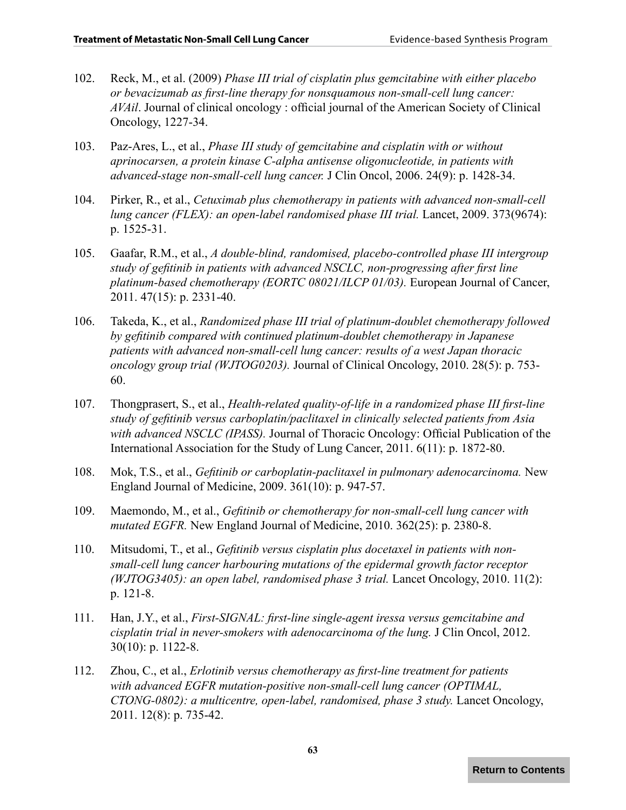- 102. Reck, M., et al. (2009) *Phase III trial of cisplatin plus gemcitabine with either placebo or bevacizumab as first-line therapy for nonsquamous non-small-cell lung cancer: AVAil*. Journal of clinical oncology : official journal of the American Society of Clinical Oncology, 1227-34.
- 103. Paz-Ares, L., et al., *Phase III study of gemcitabine and cisplatin with or without aprinocarsen, a protein kinase C-alpha antisense oligonucleotide, in patients with advanced-stage non-small-cell lung cancer.* J Clin Oncol, 2006. 24(9): p. 1428-34.
- 104. Pirker, R., et al., *Cetuximab plus chemotherapy in patients with advanced non-small-cell lung cancer (FLEX): an open-label randomised phase III trial.* Lancet, 2009. 373(9674): p. 1525-31.
- 105. Gaafar, R.M., et al., *A double-blind, randomised, placebo-controlled phase III intergroup study of gefitinib in patients with advanced NSCLC, non-progressing after first line platinum-based chemotherapy (EORTC 08021/ILCP 01/03).* European Journal of Cancer, 2011. 47(15): p. 2331-40.
- 106. Takeda, K., et al., *Randomized phase III trial of platinum-doublet chemotherapy followed by gefitinib compared with continued platinum-doublet chemotherapy in Japanese patients with advanced non-small-cell lung cancer: results of a west Japan thoracic oncology group trial (WJTOG0203).* Journal of Clinical Oncology, 2010. 28(5): p. 753- 60.
- 107. Thongprasert, S., et al., *Health-related quality-of-life in a randomized phase III first-line study of gefitinib versus carboplatin/paclitaxel in clinically selected patients from Asia with advanced NSCLC (IPASS).* Journal of Thoracic Oncology: Official Publication of the International Association for the Study of Lung Cancer, 2011. 6(11): p. 1872-80.
- 108. Mok, T.S., et al., *Gefitinib or carboplatin-paclitaxel in pulmonary adenocarcinoma.* New England Journal of Medicine, 2009. 361(10): p. 947-57.
- 109. Maemondo, M., et al., *Gefitinib or chemotherapy for non-small-cell lung cancer with mutated EGFR.* New England Journal of Medicine, 2010. 362(25): p. 2380-8.
- 110. Mitsudomi, T., et al., *Gefitinib versus cisplatin plus docetaxel in patients with nonsmall-cell lung cancer harbouring mutations of the epidermal growth factor receptor (WJTOG3405): an open label, randomised phase 3 trial.* Lancet Oncology, 2010. 11(2): p. 121-8.
- 111. Han, J.Y., et al., *First-SIGNAL: first-line single-agent iressa versus gemcitabine and cisplatin trial in never-smokers with adenocarcinoma of the lung.* J Clin Oncol, 2012. 30(10): p. 1122-8.
- 112. Zhou, C., et al., *Erlotinib versus chemotherapy as first-line treatment for patients with advanced EGFR mutation-positive non-small-cell lung cancer (OPTIMAL, CTONG-0802): a multicentre, open-label, randomised, phase 3 study.* Lancet Oncology, 2011. 12(8): p. 735-42.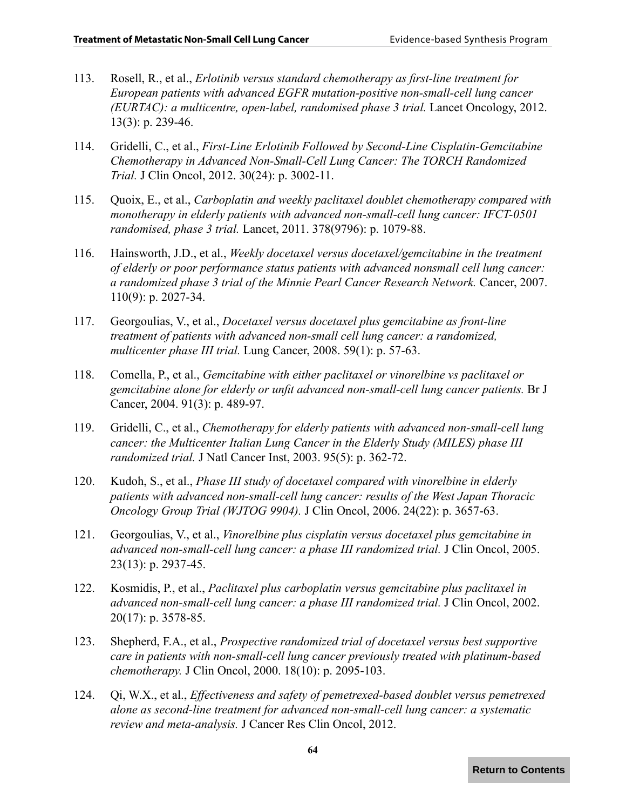- 113. Rosell, R., et al., *Erlotinib versus standard chemotherapy as first-line treatment for European patients with advanced EGFR mutation-positive non-small-cell lung cancer (EURTAC): a multicentre, open-label, randomised phase 3 trial.* Lancet Oncology, 2012. 13(3): p. 239-46.
- 114. Gridelli, C., et al., *First-Line Erlotinib Followed by Second-Line Cisplatin-Gemcitabine Chemotherapy in Advanced Non-Small-Cell Lung Cancer: The TORCH Randomized Trial.* J Clin Oncol, 2012. 30(24): p. 3002-11.
- 115. Quoix, E., et al., *Carboplatin and weekly paclitaxel doublet chemotherapy compared with monotherapy in elderly patients with advanced non-small-cell lung cancer: IFCT-0501 randomised, phase 3 trial.* Lancet, 2011. 378(9796): p. 1079-88.
- 116. Hainsworth, J.D., et al., *Weekly docetaxel versus docetaxel/gemcitabine in the treatment of elderly or poor performance status patients with advanced nonsmall cell lung cancer: a randomized phase 3 trial of the Minnie Pearl Cancer Research Network.* Cancer, 2007. 110(9): p. 2027-34.
- 117. Georgoulias, V., et al., *Docetaxel versus docetaxel plus gemcitabine as front-line treatment of patients with advanced non-small cell lung cancer: a randomized, multicenter phase III trial.* Lung Cancer, 2008. 59(1): p. 57-63.
- 118. Comella, P., et al., *Gemcitabine with either paclitaxel or vinorelbine vs paclitaxel or gemcitabine alone for elderly or unfit advanced non-small-cell lung cancer patients.* Br J Cancer, 2004. 91(3): p. 489-97.
- 119. Gridelli, C., et al., *Chemotherapy for elderly patients with advanced non-small-cell lung cancer: the Multicenter Italian Lung Cancer in the Elderly Study (MILES) phase III randomized trial.* J Natl Cancer Inst, 2003. 95(5): p. 362-72.
- 120. Kudoh, S., et al., *Phase III study of docetaxel compared with vinorelbine in elderly patients with advanced non-small-cell lung cancer: results of the West Japan Thoracic Oncology Group Trial (WJTOG 9904).* J Clin Oncol, 2006. 24(22): p. 3657-63.
- 121. Georgoulias, V., et al., *Vinorelbine plus cisplatin versus docetaxel plus gemcitabine in advanced non-small-cell lung cancer: a phase III randomized trial.* J Clin Oncol, 2005. 23(13): p. 2937-45.
- 122. Kosmidis, P., et al., *Paclitaxel plus carboplatin versus gemcitabine plus paclitaxel in advanced non-small-cell lung cancer: a phase III randomized trial.* J Clin Oncol, 2002. 20(17): p. 3578-85.
- 123. Shepherd, F.A., et al., *Prospective randomized trial of docetaxel versus best supportive care in patients with non-small-cell lung cancer previously treated with platinum-based chemotherapy.* J Clin Oncol, 2000. 18(10): p. 2095-103.
- 124. Qi, W.X., et al., *Effectiveness and safety of pemetrexed-based doublet versus pemetrexed alone as second-line treatment for advanced non-small-cell lung cancer: a systematic review and meta-analysis.* J Cancer Res Clin Oncol, 2012.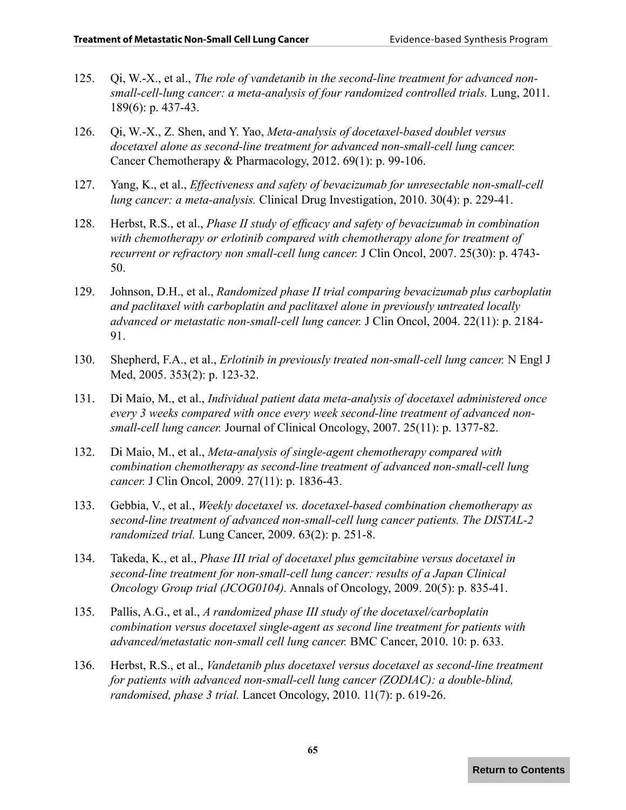- 125. Qi, W.-X., et al., *The role of vandetanib in the second-line treatment for advanced nonsmall-cell-lung cancer: a meta-analysis of four randomized controlled trials.* Lung, 2011. 189(6): p. 437-43.
- 126. Qi, W.-X., Z. Shen, and Y. Yao, *Meta-analysis of docetaxel-based doublet versus docetaxel alone as second-line treatment for advanced non-small-cell lung cancer.* Cancer Chemotherapy & Pharmacology, 2012. 69(1): p. 99-106.
- 127. Yang, K., et al., *Effectiveness and safety of bevacizumab for unresectable non-small-cell lung cancer: a meta-analysis.* Clinical Drug Investigation, 2010. 30(4): p. 229-41.
- 128. Herbst, R.S., et al., *Phase II study of efficacy and safety of bevacizumab in combination with chemotherapy or erlotinib compared with chemotherapy alone for treatment of recurrent or refractory non small-cell lung cancer.* J Clin Oncol, 2007. 25(30): p. 4743- 50.
- 129. Johnson, D.H., et al., *Randomized phase II trial comparing bevacizumab plus carboplatin and paclitaxel with carboplatin and paclitaxel alone in previously untreated locally advanced or metastatic non-small-cell lung cancer.* J Clin Oncol, 2004. 22(11): p. 2184- 91.
- 130. Shepherd, F.A., et al., *Erlotinib in previously treated non-small-cell lung cancer.* N Engl J Med, 2005. 353(2): p. 123-32.
- 131. Di Maio, M., et al., *Individual patient data meta-analysis of docetaxel administered once every 3 weeks compared with once every week second-line treatment of advanced nonsmall-cell lung cancer.* Journal of Clinical Oncology, 2007. 25(11): p. 1377-82.
- 132. Di Maio, M., et al., *Meta-analysis of single-agent chemotherapy compared with combination chemotherapy as second-line treatment of advanced non-small-cell lung cancer.* J Clin Oncol, 2009. 27(11): p. 1836-43.
- 133. Gebbia, V., et al., *Weekly docetaxel vs. docetaxel-based combination chemotherapy as second-line treatment of advanced non-small-cell lung cancer patients. The DISTAL-2 randomized trial.* Lung Cancer, 2009. 63(2): p. 251-8.
- 134. Takeda, K., et al., *Phase III trial of docetaxel plus gemcitabine versus docetaxel in second-line treatment for non-small-cell lung cancer: results of a Japan Clinical Oncology Group trial (JCOG0104).* Annals of Oncology, 2009. 20(5): p. 835-41.
- 135. Pallis, A.G., et al., *A randomized phase III study of the docetaxel/carboplatin combination versus docetaxel single-agent as second line treatment for patients with advanced/metastatic non-small cell lung cancer.* BMC Cancer, 2010. 10: p. 633.
- 136. Herbst, R.S., et al., *Vandetanib plus docetaxel versus docetaxel as second-line treatment for patients with advanced non-small-cell lung cancer (ZODIAC): a double-blind, randomised, phase 3 trial.* Lancet Oncology, 2010. 11(7): p. 619-26.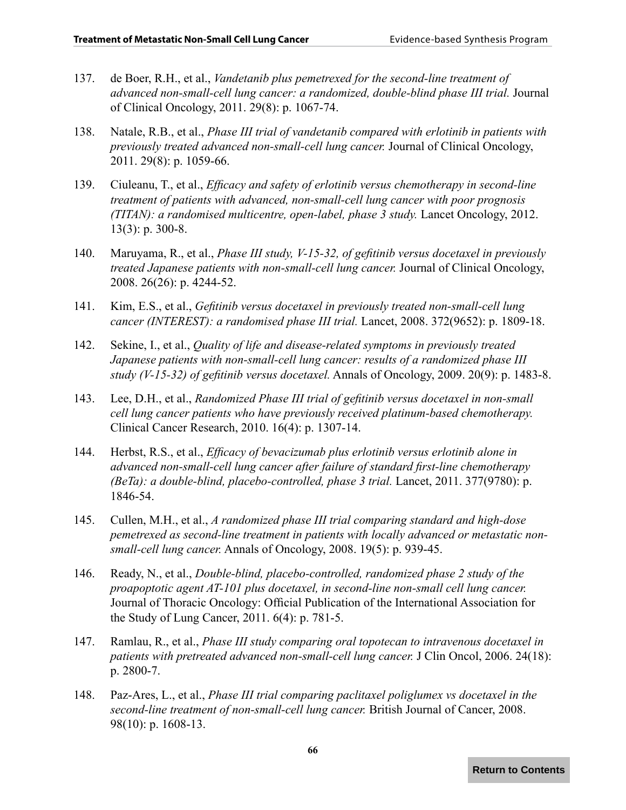- 137. de Boer, R.H., et al., *Vandetanib plus pemetrexed for the second-line treatment of advanced non-small-cell lung cancer: a randomized, double-blind phase III trial.* Journal of Clinical Oncology, 2011. 29(8): p. 1067-74.
- 138. Natale, R.B., et al., *Phase III trial of vandetanib compared with erlotinib in patients with previously treated advanced non-small-cell lung cancer.* Journal of Clinical Oncology, 2011. 29(8): p. 1059-66.
- 139. Ciuleanu, T., et al., *Efficacy and safety of erlotinib versus chemotherapy in second-line treatment of patients with advanced, non-small-cell lung cancer with poor prognosis (TITAN): a randomised multicentre, open-label, phase 3 study.* Lancet Oncology, 2012. 13(3): p. 300-8.
- 140. Maruyama, R., et al., *Phase III study, V-15-32, of gefitinib versus docetaxel in previously treated Japanese patients with non-small-cell lung cancer.* Journal of Clinical Oncology, 2008. 26(26): p. 4244-52.
- 141. Kim, E.S., et al., *Gefitinib versus docetaxel in previously treated non-small-cell lung cancer (INTEREST): a randomised phase III trial.* Lancet, 2008. 372(9652): p. 1809-18.
- 142. Sekine, I., et al., *Quality of life and disease-related symptoms in previously treated Japanese patients with non-small-cell lung cancer: results of a randomized phase III study (V-15-32) of gefitinib versus docetaxel.* Annals of Oncology, 2009. 20(9): p. 1483-8.
- 143. Lee, D.H., et al., *Randomized Phase III trial of gefitinib versus docetaxel in non-small cell lung cancer patients who have previously received platinum-based chemotherapy.* Clinical Cancer Research, 2010. 16(4): p. 1307-14.
- 144. Herbst, R.S., et al., *Efficacy of bevacizumab plus erlotinib versus erlotinib alone in advanced non-small-cell lung cancer after failure of standard first-line chemotherapy (BeTa): a double-blind, placebo-controlled, phase 3 trial.* Lancet, 2011. 377(9780): p. 1846-54.
- 145. Cullen, M.H., et al., *A randomized phase III trial comparing standard and high-dose pemetrexed as second-line treatment in patients with locally advanced or metastatic nonsmall-cell lung cancer.* Annals of Oncology, 2008. 19(5): p. 939-45.
- 146. Ready, N., et al., *Double-blind, placebo-controlled, randomized phase 2 study of the proapoptotic agent AT-101 plus docetaxel, in second-line non-small cell lung cancer.* Journal of Thoracic Oncology: Official Publication of the International Association for the Study of Lung Cancer, 2011. 6(4): p. 781-5.
- 147. Ramlau, R., et al., *Phase III study comparing oral topotecan to intravenous docetaxel in patients with pretreated advanced non-small-cell lung cancer.* J Clin Oncol, 2006. 24(18): p. 2800-7.
- 148. Paz-Ares, L., et al., *Phase III trial comparing paclitaxel poliglumex vs docetaxel in the second-line treatment of non-small-cell lung cancer.* British Journal of Cancer, 2008. 98(10): p. 1608-13.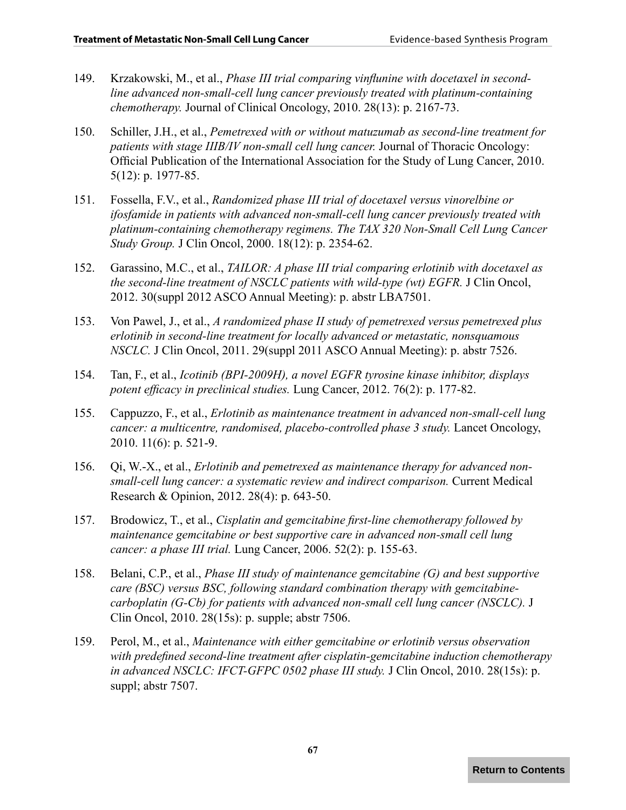- 149. Krzakowski, M., et al., *Phase III trial comparing vinflunine with docetaxel in secondline advanced non-small-cell lung cancer previously treated with platinum-containing chemotherapy.* Journal of Clinical Oncology, 2010. 28(13): p. 2167-73.
- 150. Schiller, J.H., et al., *Pemetrexed with or without matuzumab as second-line treatment for patients with stage IIIB/IV non-small cell lung cancer.* Journal of Thoracic Oncology: Official Publication of the International Association for the Study of Lung Cancer, 2010. 5(12): p. 1977-85.
- 151. Fossella, F.V., et al., *Randomized phase III trial of docetaxel versus vinorelbine or ifosfamide in patients with advanced non-small-cell lung cancer previously treated with platinum-containing chemotherapy regimens. The TAX 320 Non-Small Cell Lung Cancer Study Group.* J Clin Oncol, 2000. 18(12): p. 2354-62.
- 152. Garassino, M.C., et al., *TAILOR: A phase III trial comparing erlotinib with docetaxel as the second-line treatment of NSCLC patients with wild-type (wt) EGFR.* J Clin Oncol, 2012. 30(suppl 2012 ASCO Annual Meeting): p. abstr LBA7501.
- 153. Von Pawel, J., et al., *A randomized phase II study of pemetrexed versus pemetrexed plus erlotinib in second-line treatment for locally advanced or metastatic, nonsquamous NSCLC.* J Clin Oncol, 2011. 29(suppl 2011 ASCO Annual Meeting): p. abstr 7526.
- 154. Tan, F., et al., *Icotinib (BPI-2009H), a novel EGFR tyrosine kinase inhibitor, displays potent efficacy in preclinical studies.* Lung Cancer, 2012. 76(2): p. 177-82.
- 155. Cappuzzo, F., et al., *Erlotinib as maintenance treatment in advanced non-small-cell lung cancer: a multicentre, randomised, placebo-controlled phase 3 study.* Lancet Oncology, 2010. 11(6): p. 521-9.
- 156. Qi, W.-X., et al., *Erlotinib and pemetrexed as maintenance therapy for advanced nonsmall-cell lung cancer: a systematic review and indirect comparison.* Current Medical Research & Opinion, 2012. 28(4): p. 643-50.
- 157. Brodowicz, T., et al., *Cisplatin and gemcitabine first-line chemotherapy followed by maintenance gemcitabine or best supportive care in advanced non-small cell lung cancer: a phase III trial.* Lung Cancer, 2006. 52(2): p. 155-63.
- 158. Belani, C.P., et al., *Phase III study of maintenance gemcitabine (G) and best supportive care (BSC) versus BSC, following standard combination therapy with gemcitabinecarboplatin (G-Cb) for patients with advanced non-small cell lung cancer (NSCLC).* J Clin Oncol, 2010. 28(15s): p. supple; abstr 7506.
- 159. Perol, M., et al., *Maintenance with either gemcitabine or erlotinib versus observation with predefined second-line treatment after cisplatin-gemcitabine induction chemotherapy in advanced NSCLC: IFCT-GFPC 0502 phase III study.* J Clin Oncol, 2010. 28(15s): p. suppl; abstr 7507.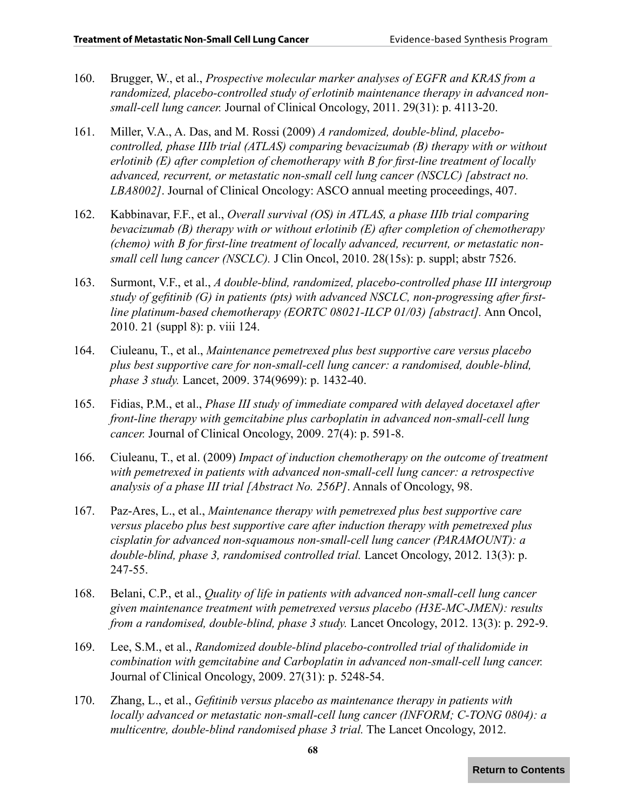- 160. Brugger, W., et al., *Prospective molecular marker analyses of EGFR and KRAS from a randomized, placebo-controlled study of erlotinib maintenance therapy in advanced nonsmall-cell lung cancer.* Journal of Clinical Oncology, 2011. 29(31): p. 4113-20.
- 161. Miller, V.A., A. Das, and M. Rossi (2009) *A randomized, double-blind, placebocontrolled, phase IIIb trial (ATLAS) comparing bevacizumab (B) therapy with or without erlotinib (E) after completion of chemotherapy with B for first-line treatment of locally advanced, recurrent, or metastatic non-small cell lung cancer (NSCLC) [abstract no. LBA8002]*. Journal of Clinical Oncology: ASCO annual meeting proceedings, 407.
- 162. Kabbinavar, F.F., et al., *Overall survival (OS) in ATLAS, a phase IIIb trial comparing bevacizumab (B) therapy with or without erlotinib (E) after completion of chemotherapy (chemo) with B for first-line treatment of locally advanced, recurrent, or metastatic nonsmall cell lung cancer (NSCLC).* J Clin Oncol, 2010. 28(15s): p. suppl; abstr 7526.
- 163. Surmont, V.F., et al., *A double-blind, randomized, placebo-controlled phase III intergroup study of gefitinib (G) in patients (pts) with advanced NSCLC, non-progressing after firstline platinum-based chemotherapy (EORTC 08021-ILCP 01/03) [abstract].* Ann Oncol, 2010. 21 (suppl 8): p. viii 124.
- 164. Ciuleanu, T., et al., *Maintenance pemetrexed plus best supportive care versus placebo plus best supportive care for non-small-cell lung cancer: a randomised, double-blind, phase 3 study.* Lancet, 2009. 374(9699): p. 1432-40.
- 165. Fidias, P.M., et al., *Phase III study of immediate compared with delayed docetaxel after front-line therapy with gemcitabine plus carboplatin in advanced non-small-cell lung cancer.* Journal of Clinical Oncology, 2009. 27(4): p. 591-8.
- 166. Ciuleanu, T., et al. (2009) *Impact of induction chemotherapy on the outcome of treatment with pemetrexed in patients with advanced non-small-cell lung cancer: a retrospective analysis of a phase III trial [Abstract No. 256P]*. Annals of Oncology, 98.
- 167. Paz-Ares, L., et al., *Maintenance therapy with pemetrexed plus best supportive care versus placebo plus best supportive care after induction therapy with pemetrexed plus cisplatin for advanced non-squamous non-small-cell lung cancer (PARAMOUNT): a double-blind, phase 3, randomised controlled trial.* Lancet Oncology, 2012. 13(3): p. 247-55.
- 168. Belani, C.P., et al., *Quality of life in patients with advanced non-small-cell lung cancer given maintenance treatment with pemetrexed versus placebo (H3E-MC-JMEN): results from a randomised, double-blind, phase 3 study.* Lancet Oncology, 2012. 13(3): p. 292-9.
- 169. Lee, S.M., et al., *Randomized double-blind placebo-controlled trial of thalidomide in combination with gemcitabine and Carboplatin in advanced non-small-cell lung cancer.* Journal of Clinical Oncology, 2009. 27(31): p. 5248-54.
- 170. Zhang, L., et al., *Gefitinib versus placebo as maintenance therapy in patients with locally advanced or metastatic non-small-cell lung cancer (INFORM; C-TONG 0804): a multicentre, double-blind randomised phase 3 trial.* The Lancet Oncology, 2012.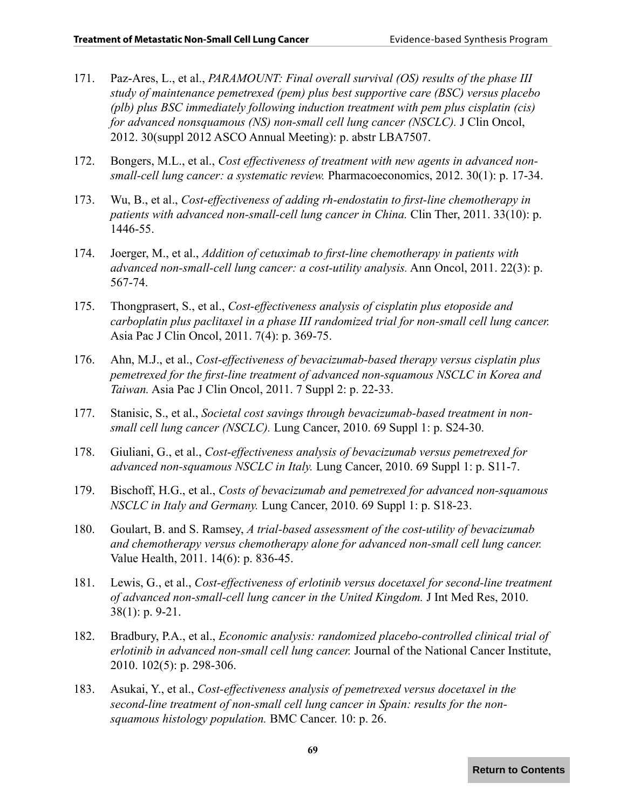- 171. Paz-Ares, L., et al., *PARAMOUNT: Final overall survival (OS) results of the phase III study of maintenance pemetrexed (pem) plus best supportive care (BSC) versus placebo (plb) plus BSC immediately following induction treatment with pem plus cisplatin (cis) for advanced nonsquamous (NS) non-small cell lung cancer (NSCLC).* J Clin Oncol, 2012. 30(suppl 2012 ASCO Annual Meeting): p. abstr LBA7507.
- 172. Bongers, M.L., et al., *Cost effectiveness of treatment with new agents in advanced nonsmall-cell lung cancer: a systematic review.* Pharmacoeconomics, 2012. 30(1): p. 17-34.
- 173. Wu, B., et al., *Cost-effectiveness of adding rh-endostatin to first-line chemotherapy in patients with advanced non-small-cell lung cancer in China.* Clin Ther, 2011. 33(10): p. 1446-55.
- 174. Joerger, M., et al., *Addition of cetuximab to first-line chemotherapy in patients with advanced non-small-cell lung cancer: a cost-utility analysis.* Ann Oncol, 2011. 22(3): p. 567-74.
- 175. Thongprasert, S., et al., *Cost-effectiveness analysis of cisplatin plus etoposide and carboplatin plus paclitaxel in a phase III randomized trial for non-small cell lung cancer.* Asia Pac J Clin Oncol, 2011. 7(4): p. 369-75.
- 176. Ahn, M.J., et al., *Cost-effectiveness of bevacizumab-based therapy versus cisplatin plus pemetrexed for the first-line treatment of advanced non-squamous NSCLC in Korea and Taiwan.* Asia Pac J Clin Oncol, 2011. 7 Suppl 2: p. 22-33.
- 177. Stanisic, S., et al., *Societal cost savings through bevacizumab-based treatment in nonsmall cell lung cancer (NSCLC).* Lung Cancer, 2010. 69 Suppl 1: p. S24-30.
- 178. Giuliani, G., et al., *Cost-effectiveness analysis of bevacizumab versus pemetrexed for advanced non-squamous NSCLC in Italy.* Lung Cancer, 2010. 69 Suppl 1: p. S11-7.
- 179. Bischoff, H.G., et al., *Costs of bevacizumab and pemetrexed for advanced non-squamous NSCLC in Italy and Germany.* Lung Cancer, 2010. 69 Suppl 1: p. S18-23.
- 180. Goulart, B. and S. Ramsey, *A trial-based assessment of the cost-utility of bevacizumab and chemotherapy versus chemotherapy alone for advanced non-small cell lung cancer.* Value Health, 2011. 14(6): p. 836-45.
- 181. Lewis, G., et al., *Cost-effectiveness of erlotinib versus docetaxel for second-line treatment of advanced non-small-cell lung cancer in the United Kingdom.* J Int Med Res, 2010. 38(1): p. 9-21.
- 182. Bradbury, P.A., et al., *Economic analysis: randomized placebo-controlled clinical trial of erlotinib in advanced non-small cell lung cancer.* Journal of the National Cancer Institute, 2010. 102(5): p. 298-306.
- 183. Asukai, Y., et al., *Cost-effectiveness analysis of pemetrexed versus docetaxel in the second-line treatment of non-small cell lung cancer in Spain: results for the nonsquamous histology population.* BMC Cancer. 10: p. 26.